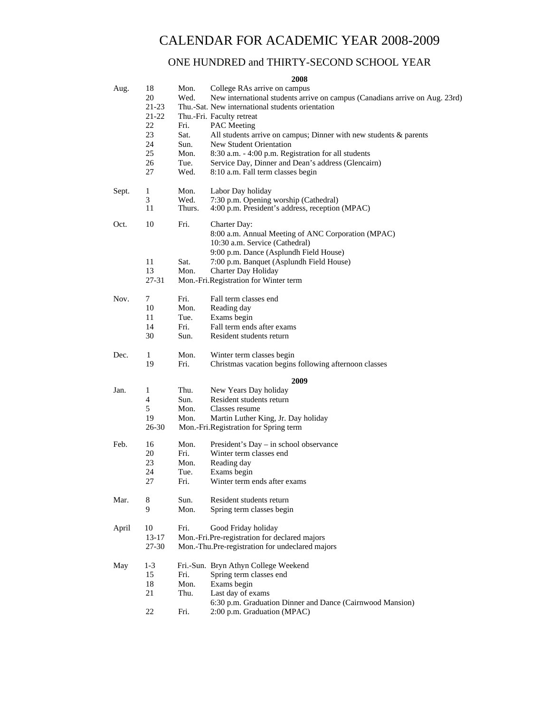# CALENDAR FOR ACADEMIC YEAR 2008-2009

# ONE HUNDRED and THIRTY-SECOND SCHOOL YEAR

## **2008**

| Aug.  | 18<br>20<br>$21-23$<br>$21 - 22$<br>22<br>23 | Mon.<br>Wed.<br>Fri.<br>Sat. | College RAs arrive on campus<br>New international students arrive on campus (Canadians arrive on Aug. 23rd)<br>Thu.-Sat. New international students orientation<br>Thu.-Fri. Faculty retreat<br><b>PAC</b> Meeting<br>All students arrive on campus; Dinner with new students $\&$ parents |
|-------|----------------------------------------------|------------------------------|--------------------------------------------------------------------------------------------------------------------------------------------------------------------------------------------------------------------------------------------------------------------------------------------|
|       | 24<br>25                                     | Sun.<br>Mon.                 | New Student Orientation<br>8:30 a.m. - 4:00 p.m. Registration for all students                                                                                                                                                                                                             |
|       | 26<br>27                                     | Tue.<br>Wed.                 | Service Day, Dinner and Dean's address (Glencairn)<br>8:10 a.m. Fall term classes begin                                                                                                                                                                                                    |
| Sept. | 1<br>3<br>11                                 | Mon.<br>Wed.<br>Thurs.       | Labor Day holiday<br>7:30 p.m. Opening worship (Cathedral)<br>4:00 p.m. President's address, reception (MPAC)                                                                                                                                                                              |
|       |                                              |                              |                                                                                                                                                                                                                                                                                            |
| Oct.  | 10                                           | Fri.                         | Charter Day:<br>8:00 a.m. Annual Meeting of ANC Corporation (MPAC)<br>10:30 a.m. Service (Cathedral)<br>9:00 p.m. Dance (Asplundh Field House)                                                                                                                                             |
|       | 11                                           | Sat.                         | 7:00 p.m. Banquet (Asplundh Field House)                                                                                                                                                                                                                                                   |
|       | 13                                           | Mon.                         | <b>Charter Day Holiday</b>                                                                                                                                                                                                                                                                 |
|       | 27-31                                        |                              | Mon.-Fri.Registration for Winter term                                                                                                                                                                                                                                                      |
| Nov.  | 7                                            | Fri.                         | Fall term classes end                                                                                                                                                                                                                                                                      |
|       | 10                                           | Mon.                         | Reading day                                                                                                                                                                                                                                                                                |
|       | 11                                           | Tue.                         | Exams begin                                                                                                                                                                                                                                                                                |
|       | 14                                           | Fri.                         | Fall term ends after exams                                                                                                                                                                                                                                                                 |
|       | 30                                           | Sun.                         | Resident students return                                                                                                                                                                                                                                                                   |
| Dec.  | 1                                            | Mon.                         | Winter term classes begin                                                                                                                                                                                                                                                                  |
|       | 19                                           | Fri.                         | Christmas vacation begins following afternoon classes                                                                                                                                                                                                                                      |
|       |                                              |                              |                                                                                                                                                                                                                                                                                            |
| Jan.  | 1                                            | Thu.                         | 2009<br>New Years Day holiday                                                                                                                                                                                                                                                              |
|       | 4                                            | Sun.                         | Resident students return                                                                                                                                                                                                                                                                   |
|       | 5                                            | Mon.                         | Classes resume                                                                                                                                                                                                                                                                             |
|       |                                              |                              |                                                                                                                                                                                                                                                                                            |
|       | 19<br>26-30                                  | Mon.                         | Martin Luther King, Jr. Day holiday<br>Mon.-Fri.Registration for Spring term                                                                                                                                                                                                               |
|       |                                              |                              |                                                                                                                                                                                                                                                                                            |
| Feb.  | 16                                           | Mon.                         | President's Day – in school observance                                                                                                                                                                                                                                                     |
|       | 20                                           | Fri.                         | Winter term classes end                                                                                                                                                                                                                                                                    |
|       | 23                                           | Mon.                         | Reading day                                                                                                                                                                                                                                                                                |
|       | 24                                           | Tue.                         | Exams begin                                                                                                                                                                                                                                                                                |
|       | 27                                           | Fri.                         | Winter term ends after exams                                                                                                                                                                                                                                                               |
| Mar.  | 8                                            | Sun.                         | Resident students return                                                                                                                                                                                                                                                                   |
|       | 9                                            | Mon.                         | Spring term classes begin                                                                                                                                                                                                                                                                  |
|       |                                              | Fri.                         |                                                                                                                                                                                                                                                                                            |
| April | 10<br>$13 - 17$                              |                              | Good Friday holiday                                                                                                                                                                                                                                                                        |
|       | 27-30                                        |                              | Mon.-Fri.Pre-registration for declared majors<br>Mon.-Thu.Pre-registration for undeclared majors                                                                                                                                                                                           |
|       |                                              |                              |                                                                                                                                                                                                                                                                                            |
| May   | $1-3$                                        |                              | Fri.-Sun. Bryn Athyn College Weekend                                                                                                                                                                                                                                                       |
|       | 15                                           | Fri.                         | Spring term classes end                                                                                                                                                                                                                                                                    |
|       | 18                                           | Mon.                         | Exams begin                                                                                                                                                                                                                                                                                |
|       | 21                                           | Thu.                         | Last day of exams                                                                                                                                                                                                                                                                          |
|       |                                              |                              | 6:30 p.m. Graduation Dinner and Dance (Cairnwood Mansion)                                                                                                                                                                                                                                  |
|       | 22                                           | Fri.                         | 2:00 p.m. Graduation (MPAC)                                                                                                                                                                                                                                                                |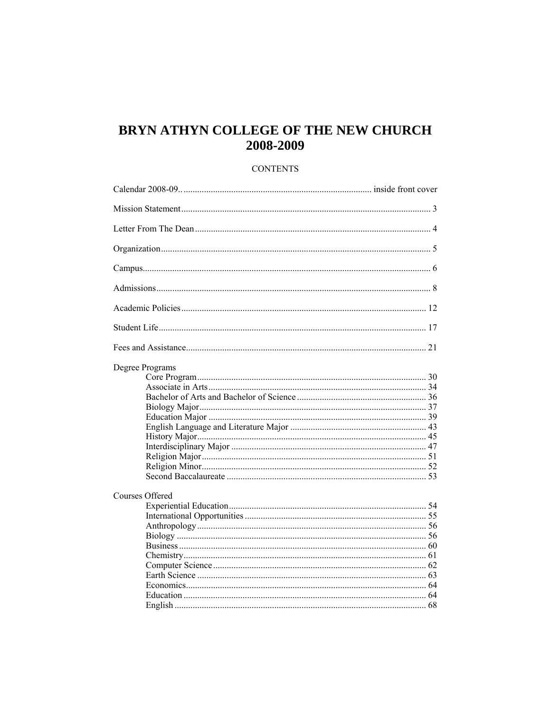# BRYN ATHYN COLLEGE OF THE NEW CHURCH 2008-2009

# **CONTENTS**

| Degree Programs |  |
|-----------------|--|
| Courses Offered |  |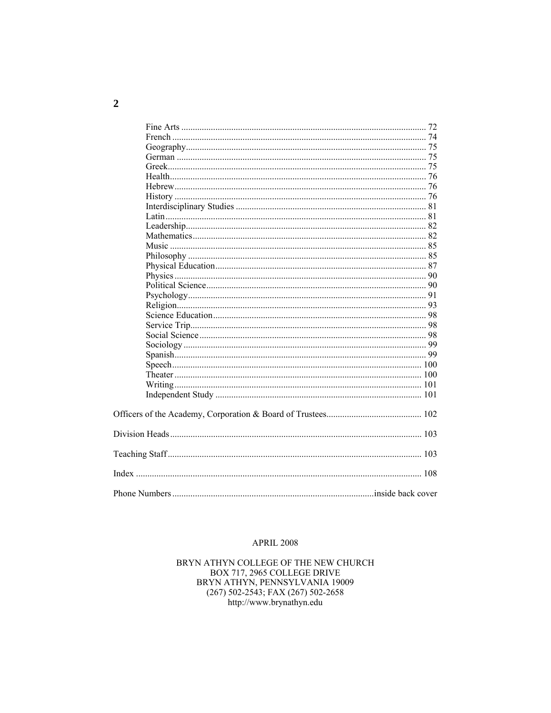## **APRIL 2008**

BRYN ATHYN COLLEGE OF THE NEW CHURCH BOX 717, 2965 COLLEGE DRIVE BRYN ATHYN, PENNSYLVANIA 19009 (267) 502-2543; FAX (267) 502-2658 http://www.brynathyn.edu

 $\overline{2}$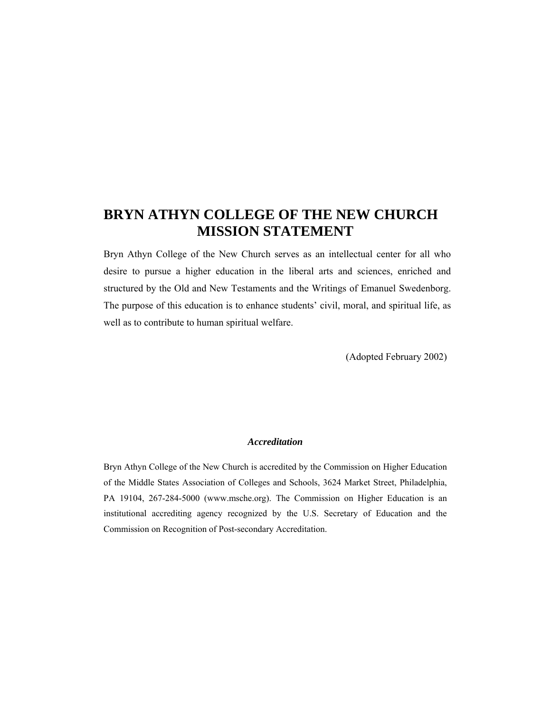# **BRYN ATHYN COLLEGE OF THE NEW CHURCH MISSION STATEMENT**

Bryn Athyn College of the New Church serves as an intellectual center for all who desire to pursue a higher education in the liberal arts and sciences, enriched and structured by the Old and New Testaments and the Writings of Emanuel Swedenborg. The purpose of this education is to enhance students' civil, moral, and spiritual life, as well as to contribute to human spiritual welfare.

(Adopted February 2002)

## *Accreditation*

Bryn Athyn College of the New Church is accredited by the Commission on Higher Education of the Middle States Association of Colleges and Schools, 3624 Market Street, Philadelphia, PA 19104, 267-284-5000 (www.msche.org). The Commission on Higher Education is an institutional accrediting agency recognized by the U.S. Secretary of Education and the Commission on Recognition of Post-secondary Accreditation.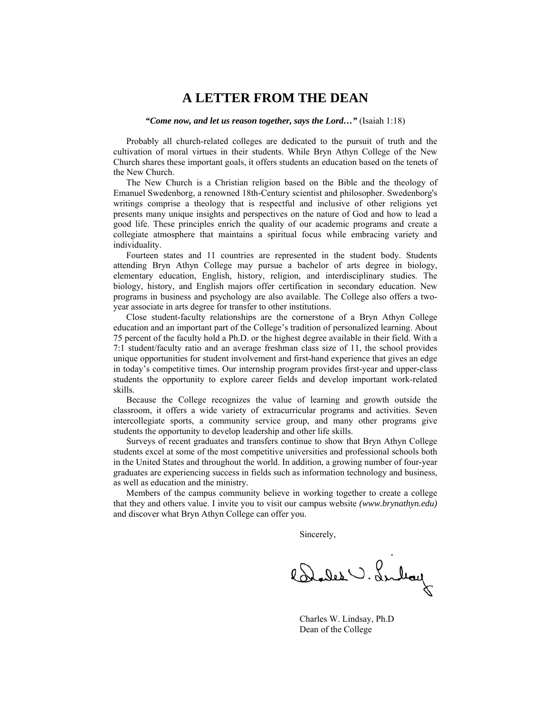# **A LETTER FROM THE DEAN**

#### *"Come now, and let us reason together, says the Lord…"* (Isaiah 1:18)

 Probably all church-related colleges are dedicated to the pursuit of truth and the cultivation of moral virtues in their students. While Bryn Athyn College of the New Church shares these important goals, it offers students an education based on the tenets of the New Church.

 The New Church is a Christian religion based on the Bible and the theology of Emanuel Swedenborg, a renowned 18th-Century scientist and philosopher. Swedenborg's writings comprise a theology that is respectful and inclusive of other religions yet presents many unique insights and perspectives on the nature of God and how to lead a good life. These principles enrich the quality of our academic programs and create a collegiate atmosphere that maintains a spiritual focus while embracing variety and individuality.

 Fourteen states and 11 countries are represented in the student body. Students attending Bryn Athyn College may pursue a bachelor of arts degree in biology, elementary education, English, history, religion, and interdisciplinary studies. The biology, history, and English majors offer certification in secondary education. New programs in business and psychology are also available. The College also offers a twoyear associate in arts degree for transfer to other institutions.

 Close student-faculty relationships are the cornerstone of a Bryn Athyn College education and an important part of the College's tradition of personalized learning. About 75 percent of the faculty hold a Ph.D. or the highest degree available in their field. With a 7:1 student/faculty ratio and an average freshman class size of 11, the school provides unique opportunities for student involvement and first-hand experience that gives an edge in today's competitive times. Our internship program provides first-year and upper-class students the opportunity to explore career fields and develop important work-related skills.

 Because the College recognizes the value of learning and growth outside the classroom, it offers a wide variety of extracurricular programs and activities. Seven intercollegiate sports, a community service group, and many other programs give students the opportunity to develop leadership and other life skills.

 Surveys of recent graduates and transfers continue to show that Bryn Athyn College students excel at some of the most competitive universities and professional schools both in the United States and throughout the world. In addition, a growing number of four-year graduates are experiencing success in fields such as information technology and business, as well as education and the ministry.

 Members of the campus community believe in working together to create a college that they and others value. I invite you to visit our campus website *(www.brynathyn.edu)* and discover what Bryn Athyn College can offer you.

Sincerely,

Bades . Lubay

 Charles W. Lindsay, Ph.D Dean of the College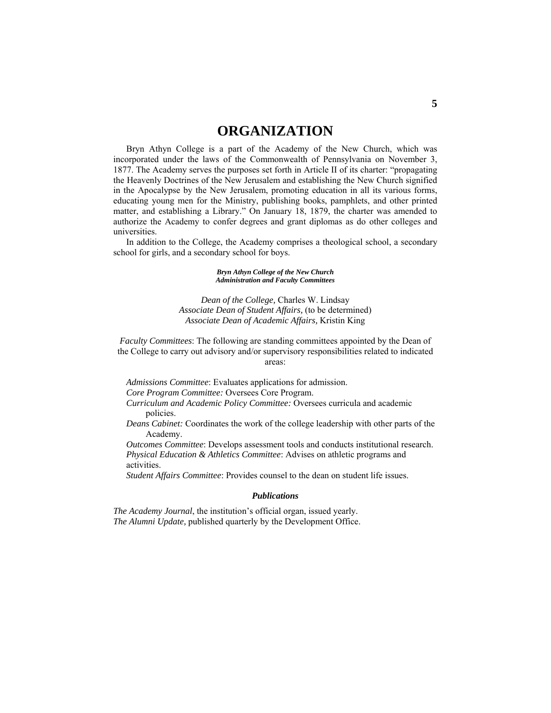# **ORGANIZATION**

 Bryn Athyn College is a part of the Academy of the New Church, which was incorporated under the laws of the Commonwealth of Pennsylvania on November 3, 1877. The Academy serves the purposes set forth in Article II of its charter: "propagating the Heavenly Doctrines of the New Jerusalem and establishing the New Church signified in the Apocalypse by the New Jerusalem, promoting education in all its various forms, educating young men for the Ministry, publishing books, pamphlets, and other printed matter, and establishing a Library." On January 18, 1879, the charter was amended to authorize the Academy to confer degrees and grant diplomas as do other colleges and universities.

 In addition to the College, the Academy comprises a theological school, a secondary school for girls, and a secondary school for boys.

> *Bryn Athyn College of the New Church Administration and Faculty Committees*

*Dean of the College,* Charles W. Lindsay *Associate Dean of Student Affairs,* (to be determined) *Associate Dean of Academic Affairs,* Kristin King

*Faculty Committees*: The following are standing committees appointed by the Dean of the College to carry out advisory and/or supervisory responsibilities related to indicated areas:

*Admissions Committee*: Evaluates applications for admission. *Core Program Committee:* Oversees Core Program.

*Curriculum and Academic Policy Committee:* Oversees curricula and academic policies.

*Deans Cabinet:* Coordinates the work of the college leadership with other parts of the Academy.

 *Outcomes Committee*: Develops assessment tools and conducts institutional research. *Physical Education & Athletics Committee*: Advises on athletic programs and activities.

*Student Affairs Committee*: Provides counsel to the dean on student life issues.

#### *Publications*

*The Academy Journal*, the institution's official organ, issued yearly. *The Alumni Update,* published quarterly by the Development Office.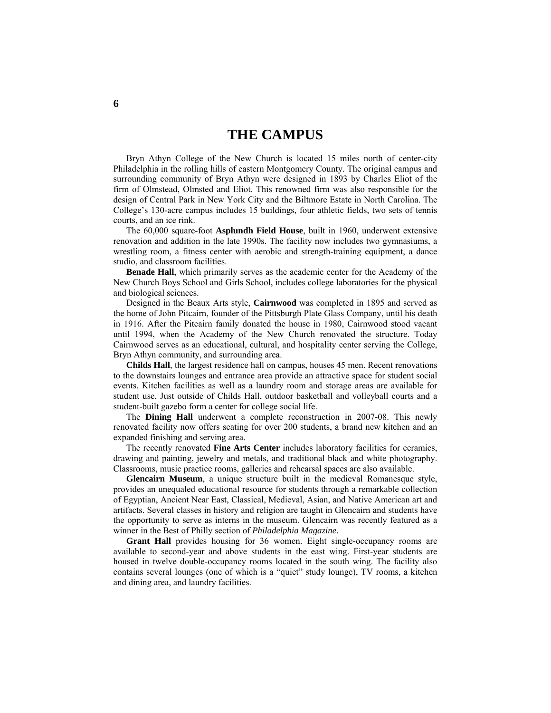# **THE CAMPUS**

 Bryn Athyn College of the New Church is located 15 miles north of center-city Philadelphia in the rolling hills of eastern Montgomery County. The original campus and surrounding community of Bryn Athyn were designed in 1893 by Charles Eliot of the firm of Olmstead, Olmsted and Eliot. This renowned firm was also responsible for the design of Central Park in New York City and the Biltmore Estate in North Carolina. The College's 130-acre campus includes 15 buildings, four athletic fields, two sets of tennis courts, and an ice rink.

 The 60,000 square-foot **Asplundh Field House**, built in 1960, underwent extensive renovation and addition in the late 1990s. The facility now includes two gymnasiums, a wrestling room, a fitness center with aerobic and strength-training equipment, a dance studio, and classroom facilities.

**Benade Hall**, which primarily serves as the academic center for the Academy of the New Church Boys School and Girls School, includes college laboratories for the physical and biological sciences.

 Designed in the Beaux Arts style, **Cairnwood** was completed in 1895 and served as the home of John Pitcairn, founder of the Pittsburgh Plate Glass Company, until his death in 1916. After the Pitcairn family donated the house in 1980, Cairnwood stood vacant until 1994, when the Academy of the New Church renovated the structure. Today Cairnwood serves as an educational, cultural, and hospitality center serving the College, Bryn Athyn community, and surrounding area.

**Childs Hall**, the largest residence hall on campus, houses 45 men. Recent renovations to the downstairs lounges and entrance area provide an attractive space for student social events. Kitchen facilities as well as a laundry room and storage areas are available for student use. Just outside of Childs Hall, outdoor basketball and volleyball courts and a student-built gazebo form a center for college social life.

 The **Dining Hall** underwent a complete reconstruction in 2007-08. This newly renovated facility now offers seating for over 200 students, a brand new kitchen and an expanded finishing and serving area.

 The recently renovated **Fine Arts Center** includes laboratory facilities for ceramics, drawing and painting, jewelry and metals, and traditional black and white photography. Classrooms, music practice rooms, galleries and rehearsal spaces are also available.

**Glencairn Museum**, a unique structure built in the medieval Romanesque style, provides an unequaled educational resource for students through a remarkable collection of Egyptian, Ancient Near East, Classical, Medieval, Asian, and Native American art and artifacts. Several classes in history and religion are taught in Glencairn and students have the opportunity to serve as interns in the museum. Glencairn was recently featured as a winner in the Best of Philly section of *Philadelphia Magazine.*

**Grant Hall** provides housing for 36 women. Eight single-occupancy rooms are available to second-year and above students in the east wing. First-year students are housed in twelve double-occupancy rooms located in the south wing. The facility also contains several lounges (one of which is a "quiet" study lounge), TV rooms, a kitchen and dining area, and laundry facilities.

**6**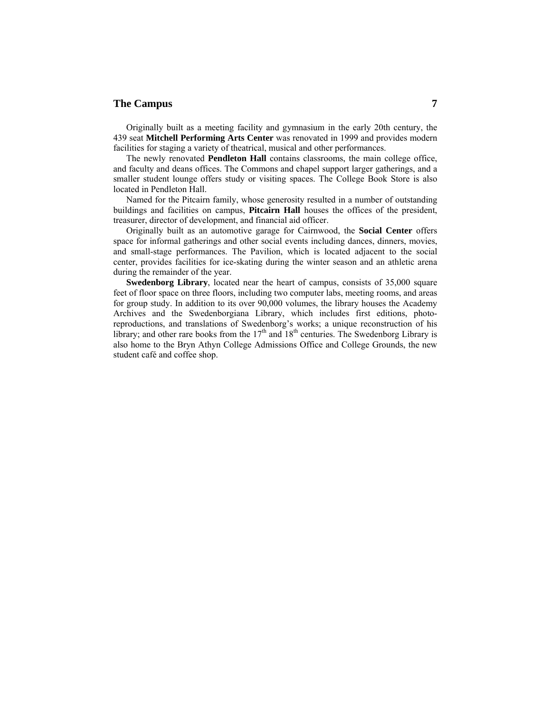# **The Campus 7**

 Originally built as a meeting facility and gymnasium in the early 20th century, the 439 seat **Mitchell Performing Arts Center** was renovated in 1999 and provides modern facilities for staging a variety of theatrical, musical and other performances.

 The newly renovated **Pendleton Hall** contains classrooms, the main college office, and faculty and deans offices. The Commons and chapel support larger gatherings, and a smaller student lounge offers study or visiting spaces. The College Book Store is also located in Pendleton Hall.

 Named for the Pitcairn family, whose generosity resulted in a number of outstanding buildings and facilities on campus, **Pitcairn Hall** houses the offices of the president, treasurer, director of development, and financial aid officer.

 Originally built as an automotive garage for Cairnwood, the **Social Center** offers space for informal gatherings and other social events including dances, dinners, movies, and small-stage performances. The Pavilion, which is located adjacent to the social center, provides facilities for ice-skating during the winter season and an athletic arena during the remainder of the year.

**Swedenborg Library**, located near the heart of campus, consists of 35,000 square feet of floor space on three floors, including two computer labs, meeting rooms, and areas for group study. In addition to its over 90,000 volumes, the library houses the Academy Archives and the Swedenborgiana Library, which includes first editions, photoreproductions, and translations of Swedenborg's works; a unique reconstruction of his library; and other rare books from the  $17<sup>th</sup>$  and  $18<sup>th</sup>$  centuries. The Swedenborg Library is also home to the Bryn Athyn College Admissions Office and College Grounds, the new student café and coffee shop.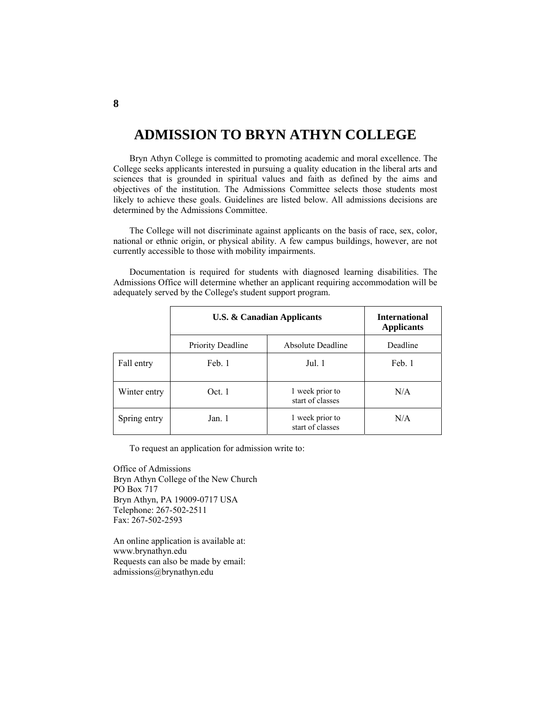# **ADMISSION TO BRYN ATHYN COLLEGE**

 Bryn Athyn College is committed to promoting academic and moral excellence. The College seeks applicants interested in pursuing a quality education in the liberal arts and sciences that is grounded in spiritual values and faith as defined by the aims and objectives of the institution. The Admissions Committee selects those students most likely to achieve these goals. Guidelines are listed below. All admissions decisions are determined by the Admissions Committee.

 The College will not discriminate against applicants on the basis of race, sex, color, national or ethnic origin, or physical ability. A few campus buildings, however, are not currently accessible to those with mobility impairments.

 Documentation is required for students with diagnosed learning disabilities. The Admissions Office will determine whether an applicant requiring accommodation will be adequately served by the College's student support program.

|              | <b>U.S. &amp; Canadian Applicants</b> |                                     | <b>International</b><br><b>Applicants</b> |
|--------------|---------------------------------------|-------------------------------------|-------------------------------------------|
|              | <b>Priority Deadline</b>              | Absolute Deadline                   | Deadline                                  |
| Fall entry   | Feb. 1                                | Jul. 1                              | Feb. 1                                    |
| Winter entry | Oct.1                                 | 1 week prior to<br>start of classes | N/A                                       |
| Spring entry | Jan. 1                                | 1 week prior to<br>start of classes | N/A                                       |

To request an application for admission write to:

Office of Admissions Bryn Athyn College of the New Church PO Box 717 Bryn Athyn, PA 19009-0717 USA Telephone: 267-502-2511 Fax: 267-502-2593

An online application is available at: www.brynathyn.edu Requests can also be made by email: admissions@brynathyn.edu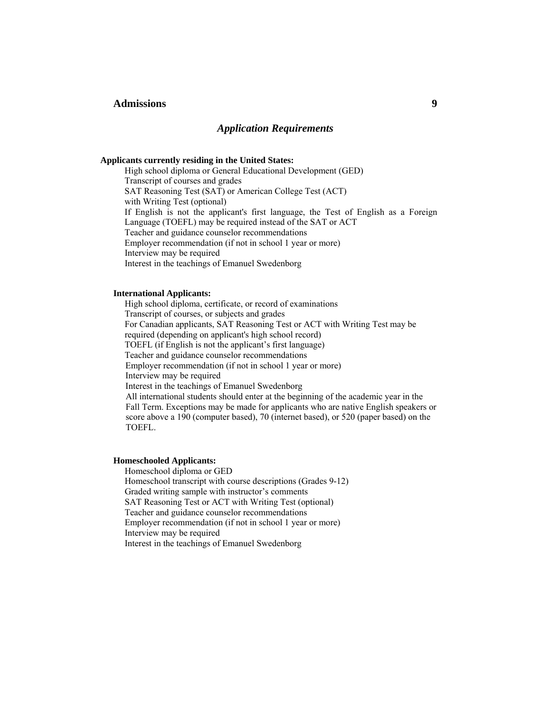# **Admissions 9**

## *Application Requirements*

### **Applicants currently residing in the United States:**

High school diploma or General Educational Development (GED) Transcript of courses and grades SAT Reasoning Test (SAT) or American College Test (ACT) with Writing Test (optional) If English is not the applicant's first language, the Test of English as a Foreign Language (TOEFL) may be required instead of the SAT or ACT Teacher and guidance counselor recommendations Employer recommendation (if not in school 1 year or more) Interview may be required Interest in the teachings of Emanuel Swedenborg

## **International Applicants:**

High school diploma, certificate, or record of examinations Transcript of courses, or subjects and grades For Canadian applicants, SAT Reasoning Test or ACT with Writing Test may be required (depending on applicant's high school record) TOEFL (if English is not the applicant's first language) Teacher and guidance counselor recommendations Employer recommendation (if not in school 1 year or more) Interview may be required Interest in the teachings of Emanuel Swedenborg All international students should enter at the beginning of the academic year in the Fall Term. Exceptions may be made for applicants who are native English speakers or score above a 190 (computer based), 70 (internet based), or 520 (paper based) on the TOEFL.

## **Homeschooled Applicants:**

Homeschool diploma or GED Homeschool transcript with course descriptions (Grades 9-12) Graded writing sample with instructor's comments SAT Reasoning Test or ACT with Writing Test (optional) Teacher and guidance counselor recommendations Employer recommendation (if not in school 1 year or more) Interview may be required Interest in the teachings of Emanuel Swedenborg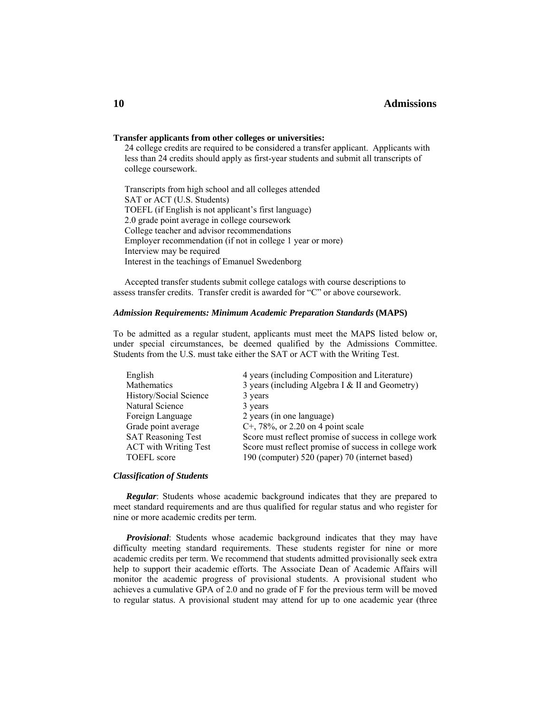# **Admissions**

#### **Transfer applicants from other colleges or universities:**

24 college credits are required to be considered a transfer applicant. Applicants with less than 24 credits should apply as first-year students and submit all transcripts of college coursework.

 Transcripts from high school and all colleges attended SAT or ACT (U.S. Students) TOEFL (if English is not applicant's first language) 2.0 grade point average in college coursework College teacher and advisor recommendations Employer recommendation (if not in college 1 year or more) Interview may be required Interest in the teachings of Emanuel Swedenborg

 Accepted transfer students submit college catalogs with course descriptions to assess transfer credits. Transfer credit is awarded for "C" or above coursework.

#### *Admission Requirements: Minimum Academic Preparation Standards* **(MAPS)**

To be admitted as a regular student, applicants must meet the MAPS listed below or, under special circumstances, be deemed qualified by the Admissions Committee. Students from the U.S. must take either the SAT or ACT with the Writing Test.

| English                      | 4 years (including Composition and Literature)        |
|------------------------------|-------------------------------------------------------|
| Mathematics                  | 3 years (including Algebra I & II and Geometry)       |
| History/Social Science       | 3 years                                               |
| Natural Science              | 3 years                                               |
| Foreign Language             | 2 years (in one language)                             |
| Grade point average          | C <sup>+</sup> , 78\%, or 2.20 on 4 point scale       |
| <b>SAT Reasoning Test</b>    | Score must reflect promise of success in college work |
| <b>ACT</b> with Writing Test | Score must reflect promise of success in college work |
| <b>TOEFL</b> score           | 190 (computer) 520 (paper) 70 (internet based)        |
|                              |                                                       |

#### *Classification of Students*

*Regular*: Students whose academic background indicates that they are prepared to meet standard requirements and are thus qualified for regular status and who register for nine or more academic credits per term.

 *Provisional*: Students whose academic background indicates that they may have difficulty meeting standard requirements. These students register for nine or more academic credits per term. We recommend that students admitted provisionally seek extra help to support their academic efforts. The Associate Dean of Academic Affairs will monitor the academic progress of provisional students. A provisional student who achieves a cumulative GPA of 2.0 and no grade of F for the previous term will be moved to regular status. A provisional student may attend for up to one academic year (three

# **10**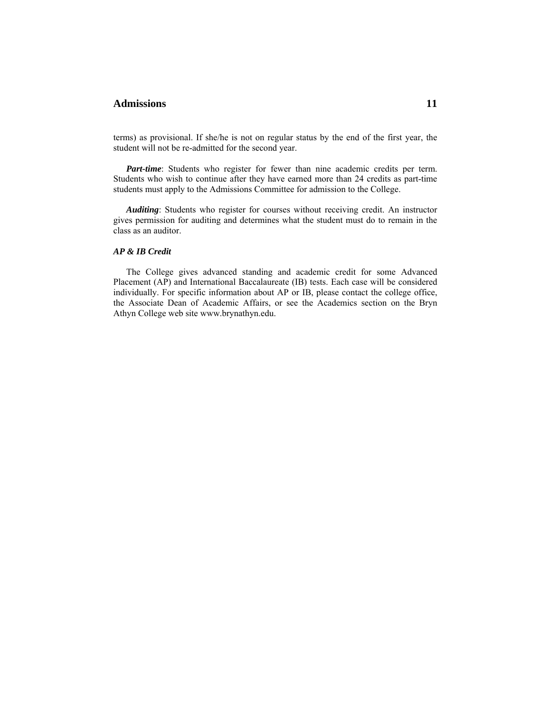# **Admissions 11**

terms) as provisional. If she/he is not on regular status by the end of the first year, the student will not be re-admitted for the second year.

 *Part-time*: Students who register for fewer than nine academic credits per term. Students who wish to continue after they have earned more than 24 credits as part-time students must apply to the Admissions Committee for admission to the College.

 *Auditing*: Students who register for courses without receiving credit. An instructor gives permission for auditing and determines what the student must do to remain in the class as an auditor.

### *AP & IB Credit*

The College gives advanced standing and academic credit for some Advanced Placement (AP) and International Baccalaureate (IB) tests. Each case will be considered individually. For specific information about AP or IB, please contact the college office, the Associate Dean of Academic Affairs, or see the Academics section on the Bryn Athyn College web site www.brynathyn.edu.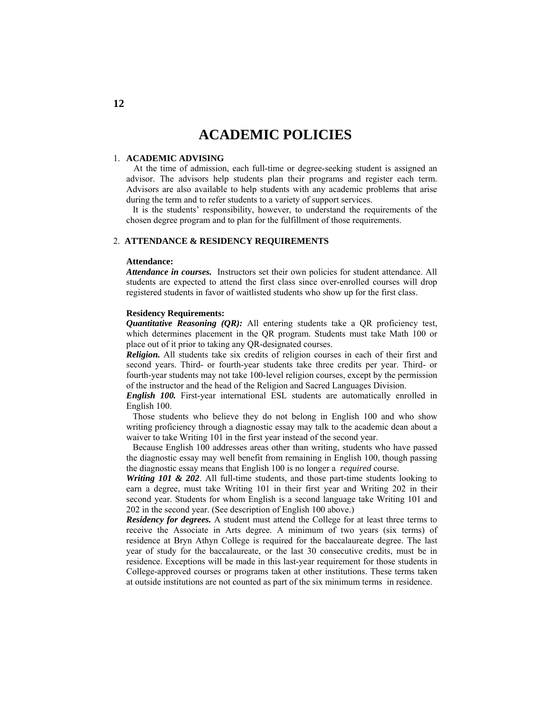# **ACADEMIC POLICIES**

### 1. **ACADEMIC ADVISING**

 At the time of admission, each full-time or degree-seeking student is assigned an advisor. The advisors help students plan their programs and register each term. Advisors are also available to help students with any academic problems that arise during the term and to refer students to a variety of support services.

 It is the students' responsibility, however, to understand the requirements of the chosen degree program and to plan for the fulfillment of those requirements.

## 2. **ATTENDANCE & RESIDENCY REQUIREMENTS**

#### **Attendance:**

*Attendance in courses.* Instructors set their own policies for student attendance. All students are expected to attend the first class since over-enrolled courses will drop registered students in favor of waitlisted students who show up for the first class.

## **Residency Requirements:**

*Quantitative Reasoning (OR):* All entering students take a OR proficiency test, which determines placement in the QR program. Students must take Math 100 or place out of it prior to taking any QR-designated courses.

*Religion.* All students take six credits of religion courses in each of their first and second years. Third- or fourth-year students take three credits per year. Third- or fourth-year students may not take 100-level religion courses, except by the permission of the instructor and the head of the Religion and Sacred Languages Division.

*English 100.* First-year international ESL students are automatically enrolled in English 100.

 Those students who believe they do not belong in English 100 and who show writing proficiency through a diagnostic essay may talk to the academic dean about a waiver to take Writing 101 in the first year instead of the second year.

 Because English 100 addresses areas other than writing, students who have passed the diagnostic essay may well benefit from remaining in English 100, though passing the diagnostic essay means that English 100 is no longer a *required* course.

*Writing 101 & 202*. All full-time students, and those part-time students looking to earn a degree, must take Writing 101 in their first year and Writing 202 in their second year. Students for whom English is a second language take Writing 101 and 202 in the second year. (See description of English 100 above.)

*Residency for degrees.* A student must attend the College for at least three terms to receive the Associate in Arts degree. A minimum of two years (six terms) of residence at Bryn Athyn College is required for the baccalaureate degree. The last year of study for the baccalaureate, or the last 30 consecutive credits, must be in residence. Exceptions will be made in this last-year requirement for those students in College-approved courses or programs taken at other institutions. These terms taken at outside institutions are not counted as part of the six minimum terms in residence.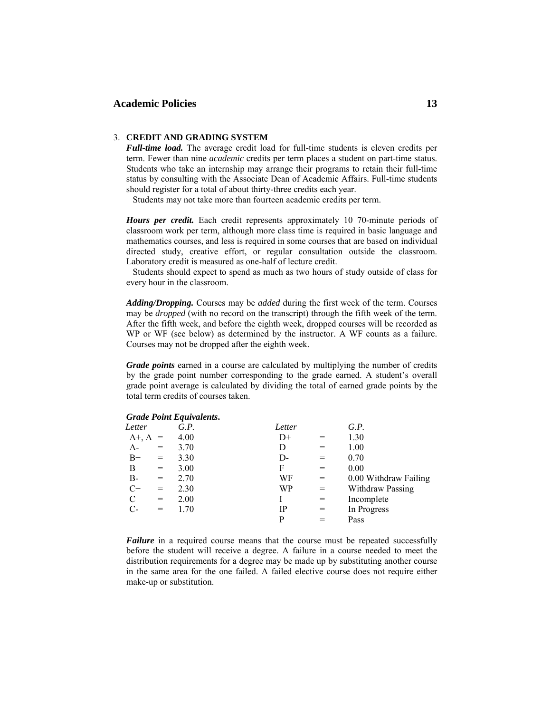# Academic Policies 13

#### 3. **CREDIT AND GRADING SYSTEM**

*Full-time load.* The average credit load for full-time students is eleven credits per term. Fewer than nine *academic* credits per term places a student on part-time status. Students who take an internship may arrange their programs to retain their full-time status by consulting with the Associate Dean of Academic Affairs. Full-time students should register for a total of about thirty-three credits each year.

Students may not take more than fourteen academic credits per term.

*Hours per credit.* Each credit represents approximately 10 70-minute periods of classroom work per term, although more class time is required in basic language and mathematics courses, and less is required in some courses that are based on individual directed study, creative effort, or regular consultation outside the classroom. Laboratory credit is measured as one-half of lecture credit.

 Students should expect to spend as much as two hours of study outside of class for every hour in the classroom.

*Adding/Dropping.* Courses may be *added* during the first week of the term. Courses may be *dropped* (with no record on the transcript) through the fifth week of the term. After the fifth week, and before the eighth week, dropped courses will be recorded as WP or WF (see below) as determined by the instructor. A WF counts as a failure. Courses may not be dropped after the eighth week.

*Grade points* earned in a course are calculated by multiplying the number of credits by the grade point number corresponding to the grade earned. A student's overall grade point average is calculated by dividing the total of earned grade points by the total term credits of courses taken.

|              |     | Graat Folm Equivalents. |        |     |                       |
|--------------|-----|-------------------------|--------|-----|-----------------------|
| Letter       |     | G.P.                    | Letter |     | G.P.                  |
| $A^{+}, A =$ |     | 4.00                    | $D+$   |     | 1.30                  |
| $A-$         | $=$ | 3.70                    | D      |     | 1.00                  |
| $B+$         | $=$ | 3.30                    | D-     |     | 0.70                  |
| B            | $=$ | 3.00                    | F      | $=$ | 0.00                  |
| B-           | $=$ | 2.70                    | WF     | $=$ | 0.00 Withdraw Failing |
| $C+$         | $=$ | 2.30                    | WP     | $=$ | Withdraw Passing      |
| C            | $=$ | 2.00                    |        | $=$ | Incomplete            |
| C-           | $=$ | 1.70                    | IP     | $=$ | In Progress           |
|              |     |                         | P      |     | Pass                  |
|              |     |                         |        |     |                       |

| <b>Grade Point Equivalents</b> |  |  |
|--------------------------------|--|--|

*Failure* in a required course means that the course must be repeated successfully before the student will receive a degree. A failure in a course needed to meet the distribution requirements for a degree may be made up by substituting another course in the same area for the one failed. A failed elective course does not require either make-up or substitution.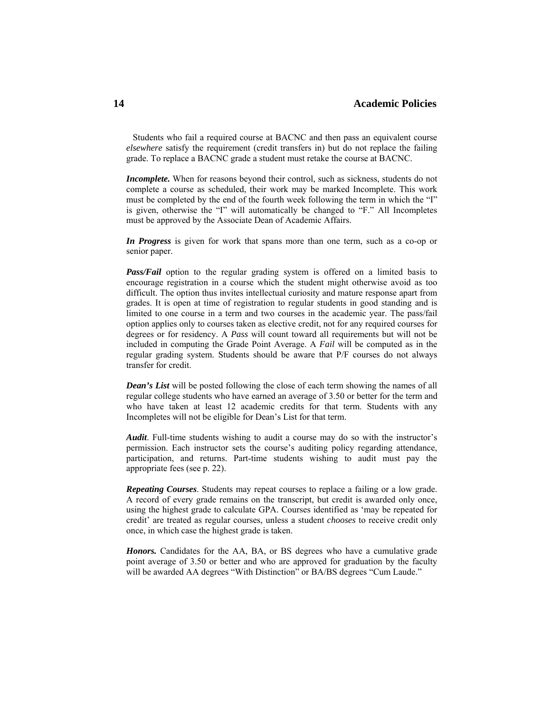Students who fail a required course at BACNC and then pass an equivalent course *elsewhere* satisfy the requirement (credit transfers in) but do not replace the failing grade. To replace a BACNC grade a student must retake the course at BACNC.

*Incomplete.* When for reasons beyond their control, such as sickness, students do not complete a course as scheduled, their work may be marked Incomplete. This work must be completed by the end of the fourth week following the term in which the "I" is given, otherwise the "I" will automatically be changed to "F." All Incompletes must be approved by the Associate Dean of Academic Affairs.

*In Progress* is given for work that spans more than one term, such as a co-op or senior paper.

*Pass/Fail* option to the regular grading system is offered on a limited basis to encourage registration in a course which the student might otherwise avoid as too difficult. The option thus invites intellectual curiosity and mature response apart from grades. It is open at time of registration to regular students in good standing and is limited to one course in a term and two courses in the academic year. The pass/fail option applies only to courses taken as elective credit, not for any required courses for degrees or for residency. A *Pass* will count toward all requirements but will not be included in computing the Grade Point Average. A *Fail* will be computed as in the regular grading system. Students should be aware that P/F courses do not always transfer for credit.

*Dean's List* will be posted following the close of each term showing the names of all regular college students who have earned an average of 3.50 or better for the term and who have taken at least 12 academic credits for that term. Students with any Incompletes will not be eligible for Dean's List for that term.

*Audit*. Full-time students wishing to audit a course may do so with the instructor's permission. Each instructor sets the course's auditing policy regarding attendance, participation, and returns. Part-time students wishing to audit must pay the appropriate fees (see p. 22).

*Repeating Courses*. Students may repeat courses to replace a failing or a low grade. A record of every grade remains on the transcript, but credit is awarded only once, using the highest grade to calculate GPA. Courses identified as 'may be repeated for credit' are treated as regular courses, unless a student *chooses* to receive credit only once, in which case the highest grade is taken.

Honors. Candidates for the AA, BA, or BS degrees who have a cumulative grade point average of 3.50 or better and who are approved for graduation by the faculty will be awarded AA degrees "With Distinction" or BA/BS degrees "Cum Laude."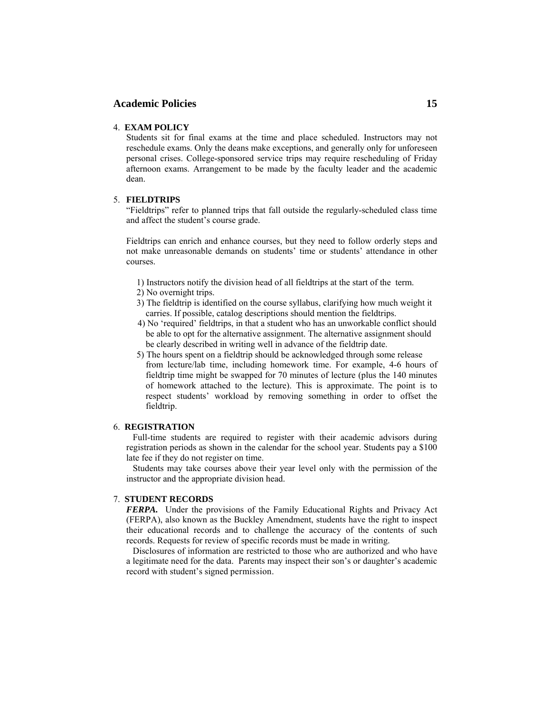## **Academic Policies 15**

## 4. **EXAM POLICY**

Students sit for final exams at the time and place scheduled. Instructors may not reschedule exams. Only the deans make exceptions, and generally only for unforeseen personal crises. College-sponsored service trips may require rescheduling of Friday afternoon exams. Arrangement to be made by the faculty leader and the academic dean.

### 5. **FIELDTRIPS**

"Fieldtrips" refer to planned trips that fall outside the regularly-scheduled class time and affect the student's course grade.

Fieldtrips can enrich and enhance courses, but they need to follow orderly steps and not make unreasonable demands on students' time or students' attendance in other courses.

- 1) Instructors notify the division head of all fieldtrips at the start of the term.
- 2) No overnight trips.
- 3) The fieldtrip is identified on the course syllabus, clarifying how much weight it carries. If possible, catalog descriptions should mention the fieldtrips.
- 4) No 'required' fieldtrips, in that a student who has an unworkable conflict should be able to opt for the alternative assignment. The alternative assignment should be clearly described in writing well in advance of the fieldtrip date.
- 5) The hours spent on a fieldtrip should be acknowledged through some release from lecture/lab time, including homework time. For example, 4-6 hours of fieldtrip time might be swapped for 70 minutes of lecture (plus the 140 minutes of homework attached to the lecture). This is approximate. The point is to respect students' workload by removing something in order to offset the

#### 6. **REGISTRATION**

fieldtrip.

 Full-time students are required to register with their academic advisors during registration periods as shown in the calendar for the school year. Students pay a \$100 late fee if they do not register on time.

 Students may take courses above their year level only with the permission of the instructor and the appropriate division head.

## 7. **STUDENT RECORDS**

*FERPA.* Under the provisions of the Family Educational Rights and Privacy Act (FERPA), also known as the Buckley Amendment, students have the right to inspect their educational records and to challenge the accuracy of the contents of such records. Requests for review of specific records must be made in writing.

 Disclosures of information are restricted to those who are authorized and who have a legitimate need for the data. Parents may inspect their son's or daughter's academic record with student's signed permission.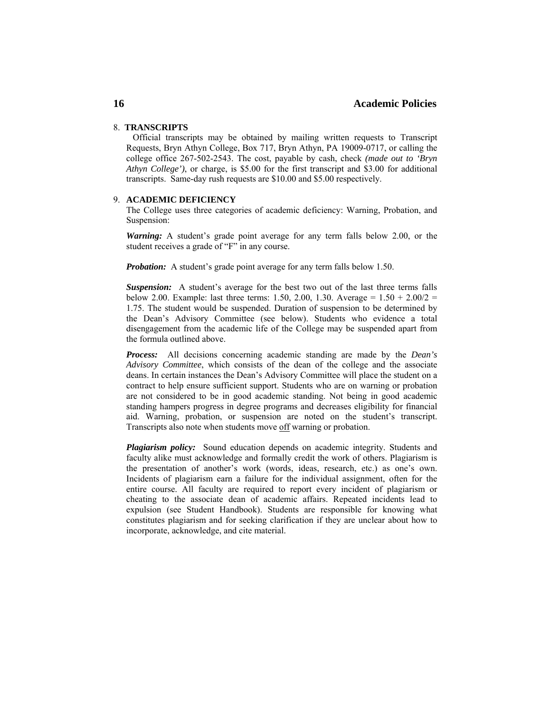## **Academic Policies**

## 8. **TRANSCRIPTS**

 Official transcripts may be obtained by mailing written requests to Transcript Requests, Bryn Athyn College, Box 717, Bryn Athyn, PA 19009-0717, or calling the college office 267-502-2543. The cost, payable by cash, check *(made out to 'Bryn Athyn College')*, or charge, is \$5.00 for the first transcript and \$3.00 for additional transcripts. Same-day rush requests are \$10.00 and \$5.00 respectively.

#### 9. **ACADEMIC DEFICIENCY**

The College uses three categories of academic deficiency: Warning, Probation, and Suspension:

*Warning:* A student's grade point average for any term falls below 2.00, or the student receives a grade of "F" in any course.

*Probation:* A student's grade point average for any term falls below 1.50.

*Suspension:* A student's average for the best two out of the last three terms falls below 2.00. Example: last three terms: 1.50, 2.00, 1.30. Average =  $1.50 + 2.00/2 =$ 1.75. The student would be suspended. Duration of suspension to be determined by the Dean's Advisory Committee (see below). Students who evidence a total disengagement from the academic life of the College may be suspended apart from the formula outlined above.

*Process:* All decisions concerning academic standing are made by the *Dean's Advisory Committee*, which consists of the dean of the college and the associate deans. In certain instances the Dean's Advisory Committee will place the student on a contract to help ensure sufficient support. Students who are on warning or probation are not considered to be in good academic standing. Not being in good academic standing hampers progress in degree programs and decreases eligibility for financial aid. Warning, probation, or suspension are noted on the student's transcript. Transcripts also note when students move off warning or probation.

*Plagiarism policy:* Sound education depends on academic integrity. Students and faculty alike must acknowledge and formally credit the work of others. Plagiarism is the presentation of another's work (words, ideas, research, etc.) as one's own. Incidents of plagiarism earn a failure for the individual assignment, often for the entire course. All faculty are required to report every incident of plagiarism or cheating to the associate dean of academic affairs. Repeated incidents lead to expulsion (see Student Handbook). Students are responsible for knowing what constitutes plagiarism and for seeking clarification if they are unclear about how to incorporate, acknowledge, and cite material.

**16**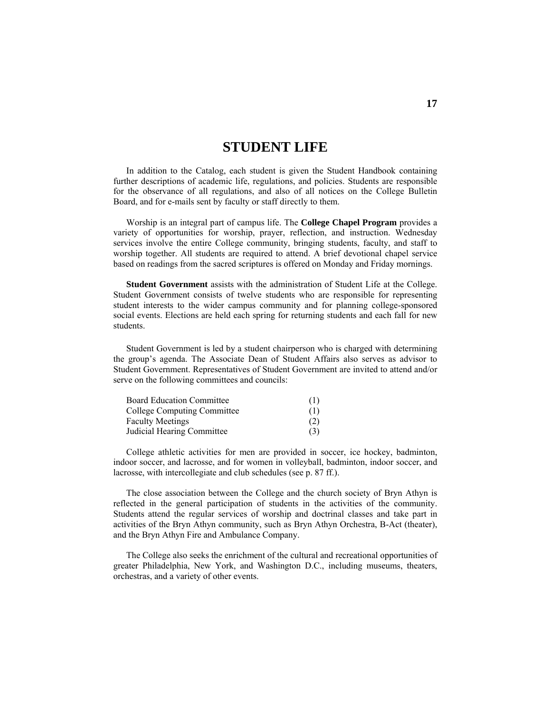# **STUDENT LIFE**

 In addition to the Catalog, each student is given the Student Handbook containing further descriptions of academic life, regulations, and policies. Students are responsible for the observance of all regulations, and also of all notices on the College Bulletin Board, and for e-mails sent by faculty or staff directly to them.

 Worship is an integral part of campus life. The **College Chapel Program** provides a variety of opportunities for worship, prayer, reflection, and instruction. Wednesday services involve the entire College community, bringing students, faculty, and staff to worship together. All students are required to attend. A brief devotional chapel service based on readings from the sacred scriptures is offered on Monday and Friday mornings.

**Student Government** assists with the administration of Student Life at the College. Student Government consists of twelve students who are responsible for representing student interests to the wider campus community and for planning college-sponsored social events. Elections are held each spring for returning students and each fall for new students.

 Student Government is led by a student chairperson who is charged with determining the group's agenda. The Associate Dean of Student Affairs also serves as advisor to Student Government. Representatives of Student Government are invited to attend and/or serve on the following committees and councils:

| <b>Board Education Committee</b> | (1) |
|----------------------------------|-----|
| College Computing Committee      | (1) |
| <b>Faculty Meetings</b>          | (2) |
| Judicial Hearing Committee       | (3) |

 College athletic activities for men are provided in soccer, ice hockey, badminton, indoor soccer, and lacrosse, and for women in volleyball, badminton, indoor soccer, and lacrosse, with intercollegiate and club schedules (see p. 87 ff.).

 The close association between the College and the church society of Bryn Athyn is reflected in the general participation of students in the activities of the community. Students attend the regular services of worship and doctrinal classes and take part in activities of the Bryn Athyn community, such as Bryn Athyn Orchestra, B-Act (theater), and the Bryn Athyn Fire and Ambulance Company.

 The College also seeks the enrichment of the cultural and recreational opportunities of greater Philadelphia, New York, and Washington D.C., including museums, theaters, orchestras, and a variety of other events.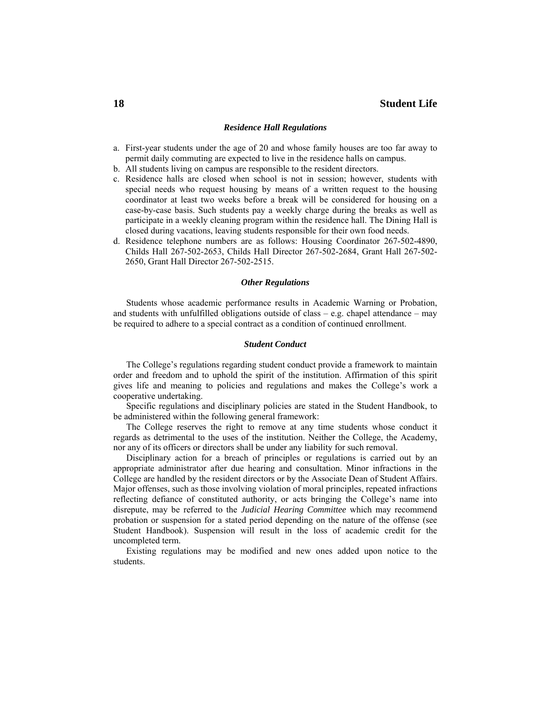#### *Residence Hall Regulations*

- a. First-year students under the age of 20 and whose family houses are too far away to permit daily commuting are expected to live in the residence halls on campus.
- b. All students living on campus are responsible to the resident directors.
- c. Residence halls are closed when school is not in session; however, students with special needs who request housing by means of a written request to the housing coordinator at least two weeks before a break will be considered for housing on a case-by-case basis. Such students pay a weekly charge during the breaks as well as participate in a weekly cleaning program within the residence hall. The Dining Hall is closed during vacations, leaving students responsible for their own food needs.
- d. Residence telephone numbers are as follows: Housing Coordinator 267-502-4890, Childs Hall 267-502-2653, Childs Hall Director 267-502-2684, Grant Hall 267-502- 2650, Grant Hall Director 267-502-2515.

#### *Other Regulations*

 Students whose academic performance results in Academic Warning or Probation, and students with unfulfilled obligations outside of class – e.g. chapel attendance – may be required to adhere to a special contract as a condition of continued enrollment.

#### *Student Conduct*

 The College's regulations regarding student conduct provide a framework to maintain order and freedom and to uphold the spirit of the institution. Affirmation of this spirit gives life and meaning to policies and regulations and makes the College's work a cooperative undertaking.

 Specific regulations and disciplinary policies are stated in the Student Handbook, to be administered within the following general framework:

 The College reserves the right to remove at any time students whose conduct it regards as detrimental to the uses of the institution. Neither the College, the Academy, nor any of its officers or directors shall be under any liability for such removal.

 Disciplinary action for a breach of principles or regulations is carried out by an appropriate administrator after due hearing and consultation. Minor infractions in the College are handled by the resident directors or by the Associate Dean of Student Affairs. Major offenses, such as those involving violation of moral principles, repeated infractions reflecting defiance of constituted authority, or acts bringing the College's name into disrepute, may be referred to the *Judicial Hearing Committee* which may recommend probation or suspension for a stated period depending on the nature of the offense (see Student Handbook). Suspension will result in the loss of academic credit for the uncompleted term.

 Existing regulations may be modified and new ones added upon notice to the students.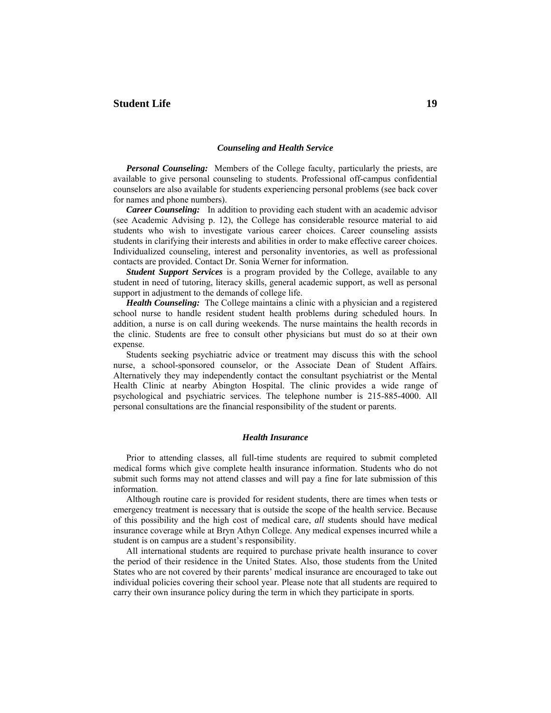# **Student Life 19**

## *Counseling and Health Service*

*Personal Counseling:* Members of the College faculty, particularly the priests, are available to give personal counseling to students. Professional off-campus confidential counselors are also available for students experiencing personal problems (see back cover for names and phone numbers).

*Career Counseling:* In addition to providing each student with an academic advisor (see Academic Advising p. 12), the College has considerable resource material to aid students who wish to investigate various career choices. Career counseling assists students in clarifying their interests and abilities in order to make effective career choices. Individualized counseling, interest and personality inventories, as well as professional contacts are provided. Contact Dr. Sonia Werner for information.

*Student Support Services* is a program provided by the College, available to any student in need of tutoring, literacy skills, general academic support, as well as personal support in adjustment to the demands of college life.

*Health Counseling:* The College maintains a clinic with a physician and a registered school nurse to handle resident student health problems during scheduled hours. In addition, a nurse is on call during weekends. The nurse maintains the health records in the clinic. Students are free to consult other physicians but must do so at their own expense.

 Students seeking psychiatric advice or treatment may discuss this with the school nurse, a school-sponsored counselor, or the Associate Dean of Student Affairs. Alternatively they may independently contact the consultant psychiatrist or the Mental Health Clinic at nearby Abington Hospital. The clinic provides a wide range of psychological and psychiatric services. The telephone number is 215-885-4000. All personal consultations are the financial responsibility of the student or parents.

#### *Health Insurance*

 Prior to attending classes, all full-time students are required to submit completed medical forms which give complete health insurance information. Students who do not submit such forms may not attend classes and will pay a fine for late submission of this information.

 Although routine care is provided for resident students, there are times when tests or emergency treatment is necessary that is outside the scope of the health service. Because of this possibility and the high cost of medical care, *all* students should have medical insurance coverage while at Bryn Athyn College. Any medical expenses incurred while a student is on campus are a student's responsibility.

 All international students are required to purchase private health insurance to cover the period of their residence in the United States. Also, those students from the United States who are not covered by their parents' medical insurance are encouraged to take out individual policies covering their school year. Please note that all students are required to carry their own insurance policy during the term in which they participate in sports.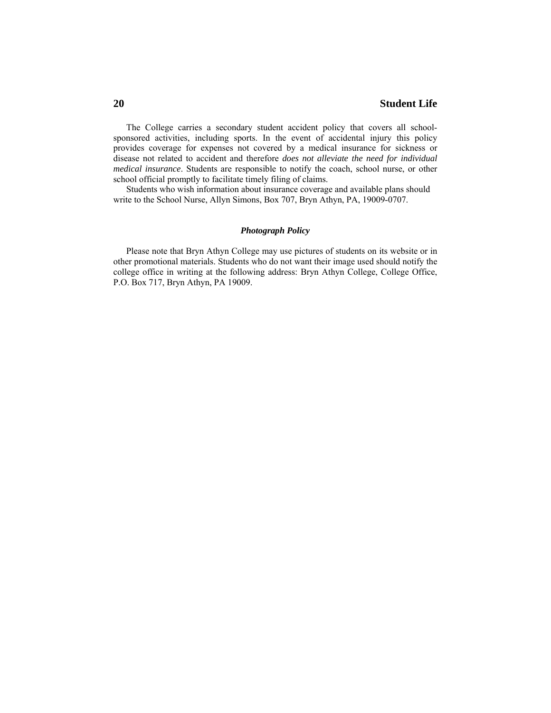The College carries a secondary student accident policy that covers all schoolsponsored activities, including sports. In the event of accidental injury this policy provides coverage for expenses not covered by a medical insurance for sickness or disease not related to accident and therefore *does not alleviate the need for individual medical insurance*. Students are responsible to notify the coach, school nurse, or other school official promptly to facilitate timely filing of claims.

 Students who wish information about insurance coverage and available plans should write to the School Nurse, Allyn Simons, Box 707, Bryn Athyn, PA, 19009-0707.

#### *Photograph Policy*

 Please note that Bryn Athyn College may use pictures of students on its website or in other promotional materials. Students who do not want their image used should notify the college office in writing at the following address: Bryn Athyn College, College Office, P.O. Box 717, Bryn Athyn, PA 19009.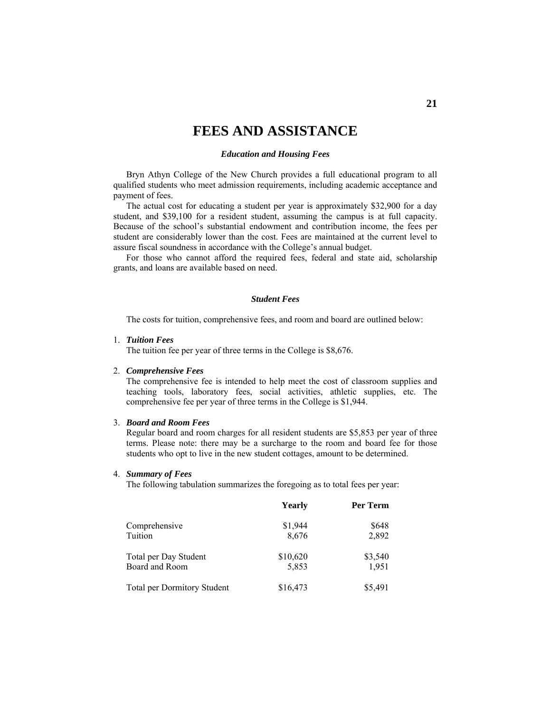# **FEES AND ASSISTANCE**

#### *Education and Housing Fees*

 Bryn Athyn College of the New Church provides a full educational program to all qualified students who meet admission requirements, including academic acceptance and payment of fees.

 The actual cost for educating a student per year is approximately \$32,900 for a day student, and \$39,100 for a resident student, assuming the campus is at full capacity. Because of the school's substantial endowment and contribution income, the fees per student are considerably lower than the cost. Fees are maintained at the current level to assure fiscal soundness in accordance with the College's annual budget.

 For those who cannot afford the required fees, federal and state aid, scholarship grants, and loans are available based on need.

## *Student Fees*

The costs for tuition, comprehensive fees, and room and board are outlined below:

#### 1. *Tuition Fees*

The tuition fee per year of three terms in the College is \$8,676.

### 2. *Comprehensive Fees*

The comprehensive fee is intended to help meet the cost of classroom supplies and teaching tools, laboratory fees, social activities, athletic supplies, etc. The comprehensive fee per year of three terms in the College is \$1,944.

## 3. *Board and Room Fees*

Regular board and room charges for all resident students are \$5,853 per year of three terms. Please note: there may be a surcharge to the room and board fee for those students who opt to live in the new student cottages, amount to be determined.

#### 4. *Summary of Fees*

The following tabulation summarizes the foregoing as to total fees per year:

|                                    | Yearly   | Per Term |
|------------------------------------|----------|----------|
| Comprehensive                      | \$1,944  | \$648    |
| Tuition                            | 8,676    | 2,892    |
| Total per Day Student              | \$10,620 | \$3,540  |
| Board and Room                     | 5,853    | 1,951    |
| <b>Total per Dormitory Student</b> | \$16,473 | \$5,491  |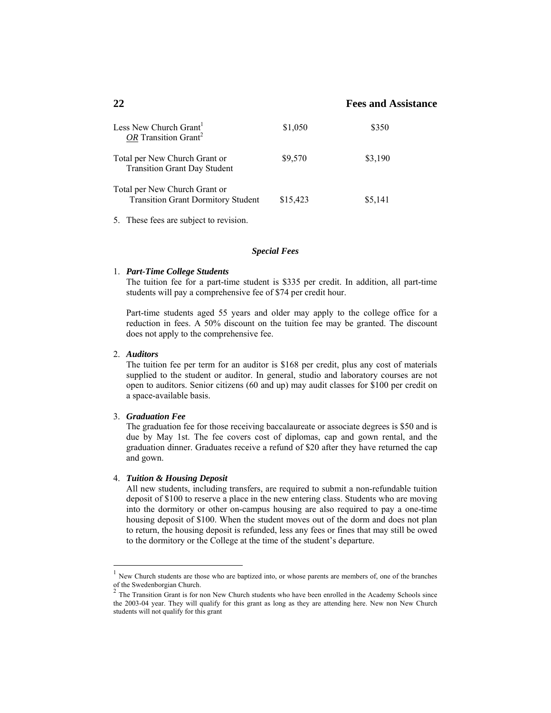| Less New Church Grant <sup>1</sup><br>OR Transition Grant <sup>2</sup>     | \$1,050  | \$350   |
|----------------------------------------------------------------------------|----------|---------|
| Total per New Church Grant or<br><b>Transition Grant Day Student</b>       | \$9,570  | \$3,190 |
| Total per New Church Grant or<br><b>Transition Grant Dormitory Student</b> | \$15,423 | \$5,141 |

5. These fees are subject to revision.

#### *Special Fees*

#### 1. *Part-Time College Students*

The tuition fee for a part-time student is \$335 per credit. In addition, all part-time students will pay a comprehensive fee of \$74 per credit hour.

Part-time students aged 55 years and older may apply to the college office for a reduction in fees. A 50% discount on the tuition fee may be granted. The discount does not apply to the comprehensive fee.

#### 2. *Auditors*

 $\overline{a}$ 

The tuition fee per term for an auditor is \$168 per credit, plus any cost of materials supplied to the student or auditor. In general, studio and laboratory courses are not open to auditors. Senior citizens (60 and up) may audit classes for \$100 per credit on a space-available basis.

## 3. *Graduation Fee*

 The graduation fee for those receiving baccalaureate or associate degrees is \$50 and is due by May 1st. The fee covers cost of diplomas, cap and gown rental, and the graduation dinner. Graduates receive a refund of \$20 after they have returned the cap and gown.

#### 4. *Tuition & Housing Deposit*

All new students, including transfers, are required to submit a non-refundable tuition deposit of \$100 to reserve a place in the new entering class. Students who are moving into the dormitory or other on-campus housing are also required to pay a one-time housing deposit of \$100. When the student moves out of the dorm and does not plan to return, the housing deposit is refunded, less any fees or fines that may still be owed to the dormitory or the College at the time of the student's departure.

 $<sup>1</sup>$  New Church students are those who are baptized into, or whose parents are members of, one of the branches</sup> of the Swedenborgian Church.

<sup>2</sup> The Transition Grant is for non New Church students who have been enrolled in the Academy Schools since the 2003-04 year. They will qualify for this grant as long as they are attending here. New non New Church students will not qualify for this grant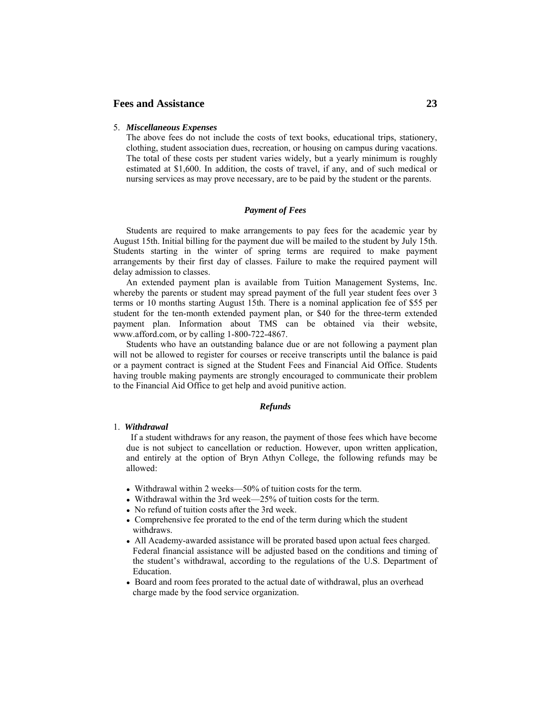#### 5. *Miscellaneous Expenses*

The above fees do not include the costs of text books, educational trips, stationery, clothing, student association dues, recreation, or housing on campus during vacations. The total of these costs per student varies widely, but a yearly minimum is roughly estimated at \$1,600. In addition, the costs of travel, if any, and of such medical or nursing services as may prove necessary, are to be paid by the student or the parents.

### *Payment of Fees*

 Students are required to make arrangements to pay fees for the academic year by August 15th. Initial billing for the payment due will be mailed to the student by July 15th. Students starting in the winter of spring terms are required to make payment arrangements by their first day of classes. Failure to make the required payment will delay admission to classes.

 An extended payment plan is available from Tuition Management Systems, Inc. whereby the parents or student may spread payment of the full year student fees over 3 terms or 10 months starting August 15th. There is a nominal application fee of \$55 per student for the ten-month extended payment plan, or \$40 for the three-term extended payment plan. Information about TMS can be obtained via their website, www.afford.com, or by calling 1-800-722-4867.

 Students who have an outstanding balance due or are not following a payment plan will not be allowed to register for courses or receive transcripts until the balance is paid or a payment contract is signed at the Student Fees and Financial Aid Office. Students having trouble making payments are strongly encouraged to communicate their problem to the Financial Aid Office to get help and avoid punitive action.

#### *Refunds*

#### 1. *Withdrawal*

 If a student withdraws for any reason, the payment of those fees which have become due is not subject to cancellation or reduction. However, upon written application, and entirely at the option of Bryn Athyn College, the following refunds may be allowed:

- Withdrawal within 2 weeks—50% of tuition costs for the term.
- Withdrawal within the 3rd week—25% of tuition costs for the term.
- No refund of tuition costs after the 3rd week.
- Comprehensive fee prorated to the end of the term during which the student withdraws.
- All Academy-awarded assistance will be prorated based upon actual fees charged. Federal financial assistance will be adjusted based on the conditions and timing of the student's withdrawal, according to the regulations of the U.S. Department of **Education**
- Board and room fees prorated to the actual date of withdrawal, plus an overhead charge made by the food service organization.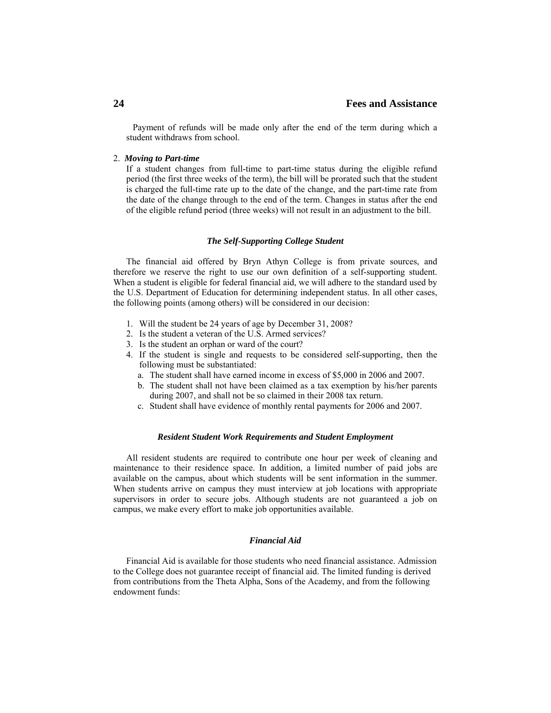Payment of refunds will be made only after the end of the term during which a student withdraws from school.

### 2. *Moving to Part-time*

If a student changes from full-time to part-time status during the eligible refund period (the first three weeks of the term), the bill will be prorated such that the student is charged the full-time rate up to the date of the change, and the part-time rate from the date of the change through to the end of the term. Changes in status after the end of the eligible refund period (three weeks) will not result in an adjustment to the bill.

#### *The Self-Supporting College Student*

 The financial aid offered by Bryn Athyn College is from private sources, and therefore we reserve the right to use our own definition of a self-supporting student. When a student is eligible for federal financial aid, we will adhere to the standard used by the U.S. Department of Education for determining independent status. In all other cases, the following points (among others) will be considered in our decision:

- 1. Will the student be 24 years of age by December 31, 2008?
- 2. Is the student a veteran of the U.S. Armed services?
- 3. Is the student an orphan or ward of the court?
- 4. If the student is single and requests to be considered self-supporting, then the following must be substantiated:
	- a. The student shall have earned income in excess of \$5,000 in 2006 and 2007.
	- b. The student shall not have been claimed as a tax exemption by his/her parents during 2007, and shall not be so claimed in their 2008 tax return.
	- c. Student shall have evidence of monthly rental payments for 2006 and 2007.

#### *Resident Student Work Requirements and Student Employment*

 All resident students are required to contribute one hour per week of cleaning and maintenance to their residence space. In addition, a limited number of paid jobs are available on the campus, about which students will be sent information in the summer. When students arrive on campus they must interview at job locations with appropriate supervisors in order to secure jobs. Although students are not guaranteed a job on campus, we make every effort to make job opportunities available.

## *Financial Aid*

 Financial Aid is available for those students who need financial assistance. Admission to the College does not guarantee receipt of financial aid. The limited funding is derived from contributions from the Theta Alpha, Sons of the Academy, and from the following endowment funds: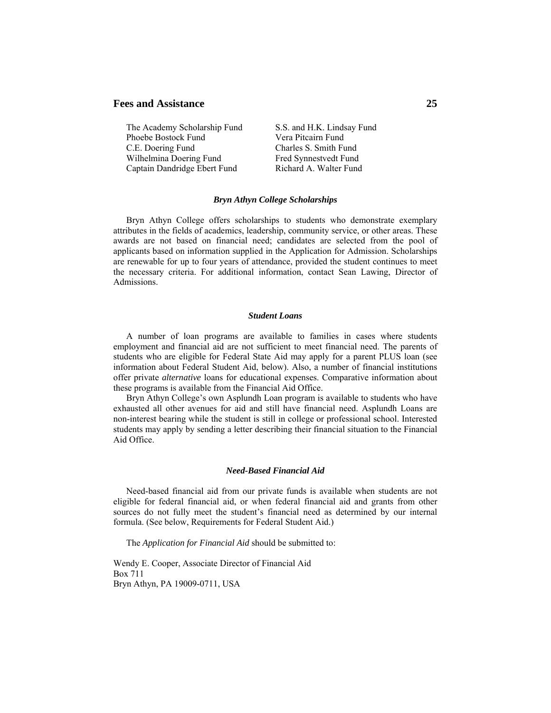The Academy Scholarship Fund S.S. and H.K. Lindsay Fund Phoebe Bostock Fund Vera Pitcairn Fund C.E. Doering Fund Charles S. Smith Fund Wilhelmina Doering Fund Fred Synnestvedt Fund Captain Dandridge Ebert Fund Richard A. Walter Fund

#### *Bryn Athyn College Scholarships*

 Bryn Athyn College offers scholarships to students who demonstrate exemplary attributes in the fields of academics, leadership, community service, or other areas. These awards are not based on financial need; candidates are selected from the pool of applicants based on information supplied in the Application for Admission. Scholarships are renewable for up to four years of attendance, provided the student continues to meet the necessary criteria. For additional information, contact Sean Lawing, Director of Admissions.

#### *Student Loans*

 A number of loan programs are available to families in cases where students employment and financial aid are not sufficient to meet financial need. The parents of students who are eligible for Federal State Aid may apply for a parent PLUS loan (see information about Federal Student Aid, below). Also, a number of financial institutions offer private *alternative* loans for educational expenses. Comparative information about these programs is available from the Financial Aid Office.

 Bryn Athyn College's own Asplundh Loan program is available to students who have exhausted all other avenues for aid and still have financial need. Asplundh Loans are non-interest bearing while the student is still in college or professional school. Interested students may apply by sending a letter describing their financial situation to the Financial Aid Office.

#### *Need-Based Financial Aid*

 Need-based financial aid from our private funds is available when students are not eligible for federal financial aid, or when federal financial aid and grants from other sources do not fully meet the student's financial need as determined by our internal formula. (See below, Requirements for Federal Student Aid.)

The *Application for Financial Aid* should be submitted to:

Wendy E. Cooper, Associate Director of Financial Aid Box 711 Bryn Athyn, PA 19009-0711, USA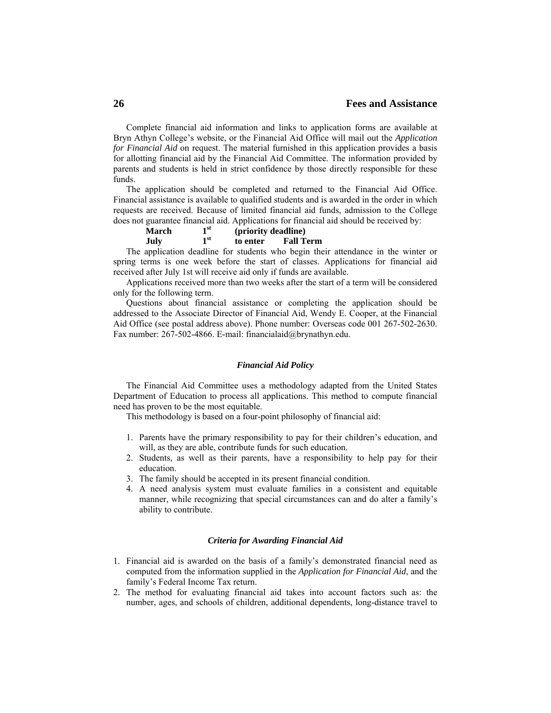Complete financial aid information and links to application forms are available at Bryn Athyn College's website, or the Financial Aid Office will mail out the *Application for Financial Aid* on request. The material furnished in this application provides a basis for allotting financial aid by the Financial Aid Committee. The information provided by parents and students is held in strict confidence by those directly responsible for these funds.

 The application should be completed and returned to the Financial Aid Office. Financial assistance is available to qualified students and is awarded in the order in which requests are received. Because of limited financial aid funds, admission to the College does not guarantee financial aid. Applications for financial aid should be received by:

| March | $\blacksquare$ st | (priority deadline)          |  |  |
|-------|-------------------|------------------------------|--|--|
| July  | 1 <sup>st</sup>   | <b>Fall Term</b><br>to enter |  |  |
|       |                   |                              |  |  |

 The application deadline for students who begin their attendance in the winter or spring terms is one week before the start of classes. Applications for financial aid received after July 1st will receive aid only if funds are available.

 Applications received more than two weeks after the start of a term will be considered only for the following term.

 Questions about financial assistance or completing the application should be addressed to the Associate Director of Financial Aid, Wendy E. Cooper, at the Financial Aid Office (see postal address above). Phone number: Overseas code 001 267-502-2630. Fax number: 267-502-4866. E-mail: financialaid@brynathyn.edu.

#### *Financial Aid Policy*

 The Financial Aid Committee uses a methodology adapted from the United States Department of Education to process all applications. This method to compute financial need has proven to be the most equitable.

This methodology is based on a four-point philosophy of financial aid:

- 1. Parents have the primary responsibility to pay for their children's education, and will, as they are able, contribute funds for such education.
- 2. Students, as well as their parents, have a responsibility to help pay for their education.
- 3. The family should be accepted in its present financial condition.
- 4. A need analysis system must evaluate families in a consistent and equitable manner, while recognizing that special circumstances can and do alter a family's ability to contribute.

#### *Criteria for Awarding Financial Aid*

- 1. Financial aid is awarded on the basis of a family's demonstrated financial need as computed from the information supplied in the *Application for Financial Aid*, and the family's Federal Income Tax return.
- 2. The method for evaluating financial aid takes into account factors such as: the number, ages, and schools of children, additional dependents, long-distance travel to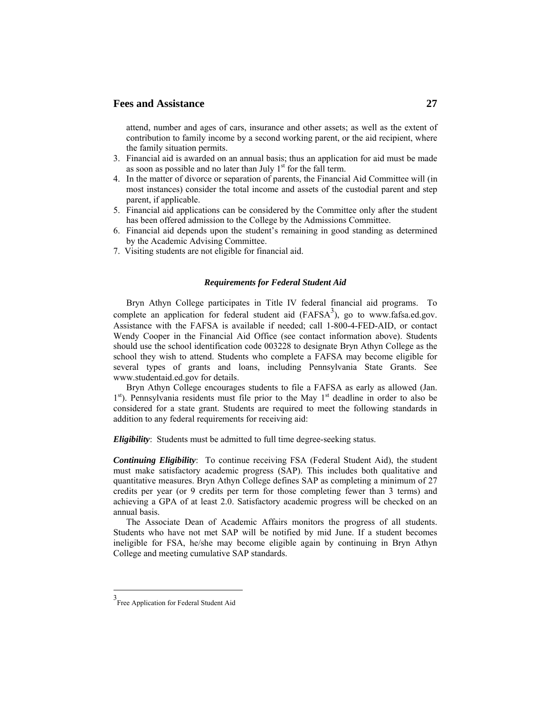attend, number and ages of cars, insurance and other assets; as well as the extent of contribution to family income by a second working parent, or the aid recipient, where the family situation permits.

- 3. Financial aid is awarded on an annual basis; thus an application for aid must be made as soon as possible and no later than July  $1<sup>st</sup>$  for the fall term.
- 4. In the matter of divorce or separation of parents, the Financial Aid Committee will (in most instances) consider the total income and assets of the custodial parent and step parent, if applicable.
- 5. Financial aid applications can be considered by the Committee only after the student has been offered admission to the College by the Admissions Committee.
- 6. Financial aid depends upon the student's remaining in good standing as determined by the Academic Advising Committee.
- 7. Visiting students are not eligible for financial aid.

#### *Requirements for Federal Student Aid*

 Bryn Athyn College participates in Title IV federal financial aid programs. To complete an application for federal student aid  $(FAFSA<sup>3</sup>)$ , go to www.fafsa.ed.gov. Assistance with the FAFSA is available if needed; call 1-800-4-FED-AID, or contact Wendy Cooper in the Financial Aid Office (see contact information above). Students should use the school identification code 003228 to designate Bryn Athyn College as the school they wish to attend. Students who complete a FAFSA may become eligible for several types of grants and loans, including Pennsylvania State Grants. See www.studentaid.ed.gov for details.

 Bryn Athyn College encourages students to file a FAFSA as early as allowed (Jan.  $1<sup>st</sup>$ ). Pennsylvania residents must file prior to the May  $1<sup>st</sup>$  deadline in order to also be considered for a state grant. Students are required to meet the following standards in addition to any federal requirements for receiving aid:

*Eligibility*: Students must be admitted to full time degree-seeking status.

*Continuing Eligibility*: To continue receiving FSA (Federal Student Aid), the student must make satisfactory academic progress (SAP). This includes both qualitative and quantitative measures. Bryn Athyn College defines SAP as completing a minimum of 27 credits per year (or 9 credits per term for those completing fewer than 3 terms) and achieving a GPA of at least 2.0. Satisfactory academic progress will be checked on an annual basis.

 The Associate Dean of Academic Affairs monitors the progress of all students. Students who have not met SAP will be notified by mid June. If a student becomes ineligible for FSA, he/she may become eligible again by continuing in Bryn Athyn College and meeting cumulative SAP standards.

 $\overline{a}$ 

<sup>3</sup> Free Application for Federal Student Aid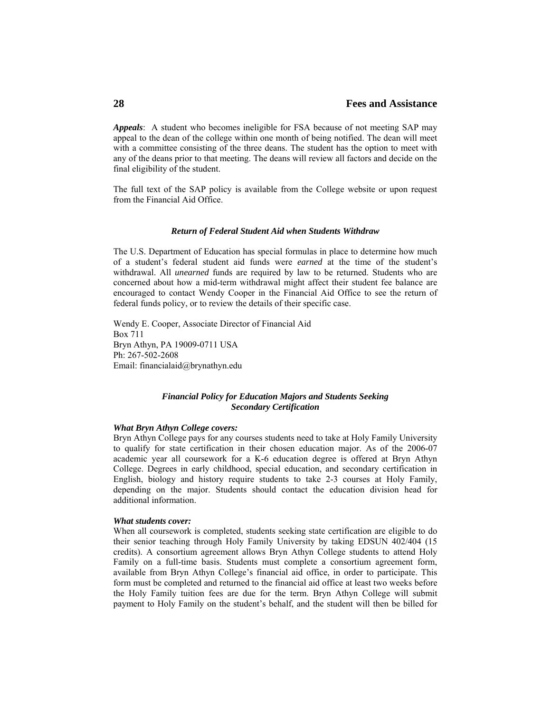*Appeals*: A student who becomes ineligible for FSA because of not meeting SAP may appeal to the dean of the college within one month of being notified. The dean will meet with a committee consisting of the three deans. The student has the option to meet with any of the deans prior to that meeting. The deans will review all factors and decide on the final eligibility of the student.

The full text of the SAP policy is available from the College website or upon request from the Financial Aid Office.

#### *Return of Federal Student Aid when Students Withdraw*

The U.S. Department of Education has special formulas in place to determine how much of a student's federal student aid funds were *earned* at the time of the student's withdrawal. All *unearned* funds are required by law to be returned. Students who are concerned about how a mid-term withdrawal might affect their student fee balance are encouraged to contact Wendy Cooper in the Financial Aid Office to see the return of federal funds policy, or to review the details of their specific case.

Wendy E. Cooper, Associate Director of Financial Aid Box 711 Bryn Athyn, PA 19009-0711 USA Ph: 267-502-2608 Email: financialaid@brynathyn.edu

## *Financial Policy for Education Majors and Students Seeking Secondary Certification*

### *What Bryn Athyn College covers:*

Bryn Athyn College pays for any courses students need to take at Holy Family University to qualify for state certification in their chosen education major. As of the 2006-07 academic year all coursework for a K-6 education degree is offered at Bryn Athyn College. Degrees in early childhood, special education, and secondary certification in English, biology and history require students to take 2-3 courses at Holy Family, depending on the major. Students should contact the education division head for additional information.

#### *What students cover:*

When all coursework is completed, students seeking state certification are eligible to do their senior teaching through Holy Family University by taking EDSUN 402/404 (15 credits). A consortium agreement allows Bryn Athyn College students to attend Holy Family on a full-time basis. Students must complete a consortium agreement form, available from Bryn Athyn College's financial aid office, in order to participate. This form must be completed and returned to the financial aid office at least two weeks before the Holy Family tuition fees are due for the term. Bryn Athyn College will submit payment to Holy Family on the student's behalf, and the student will then be billed for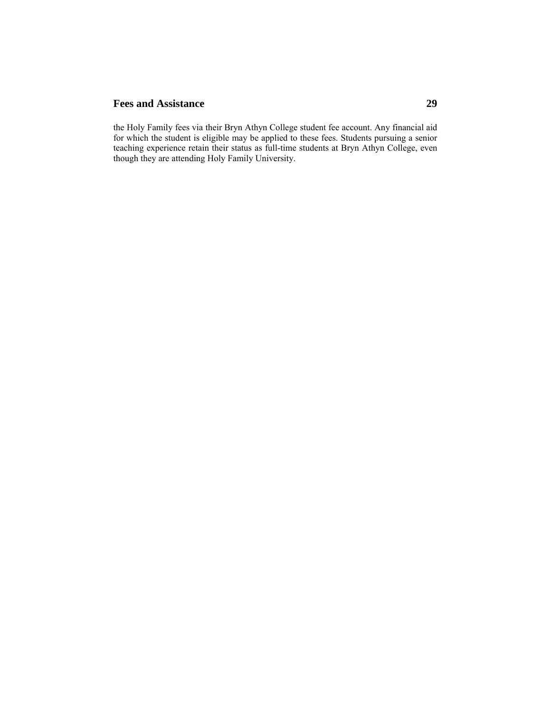the Holy Family fees via their Bryn Athyn College student fee account. Any financial aid for which the student is eligible may be applied to these fees. Students pursuing a senior teaching experience retain their status as full-time students at Bryn Athyn College, even though they are attending Holy Family University.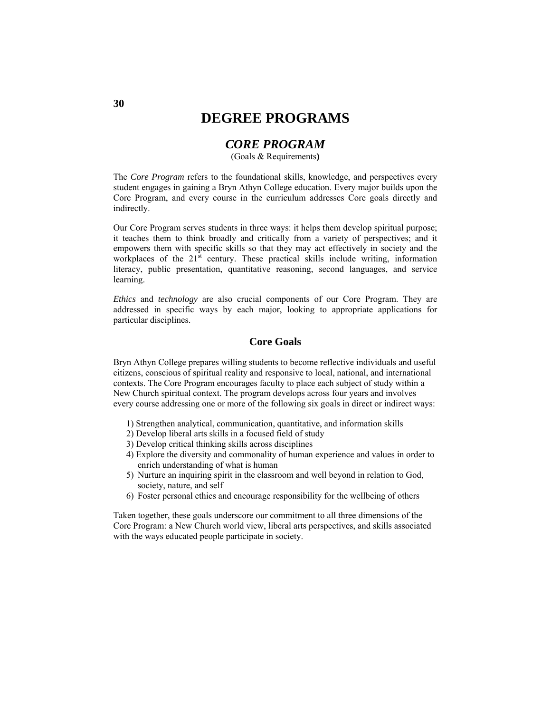# **DEGREE PROGRAMS**

# *CORE PROGRAM*

(Goals & Requirements**)** 

The *Core Program* refers to the foundational skills, knowledge, and perspectives every student engages in gaining a Bryn Athyn College education. Every major builds upon the Core Program, and every course in the curriculum addresses Core goals directly and indirectly.

Our Core Program serves students in three ways: it helps them develop spiritual purpose; it teaches them to think broadly and critically from a variety of perspectives; and it empowers them with specific skills so that they may act effectively in society and the workplaces of the  $21<sup>st</sup>$  century. These practical skills include writing, information literacy, public presentation, quantitative reasoning, second languages, and service learning.

*Ethics* and *technology* are also crucial components of our Core Program. They are addressed in specific ways by each major, looking to appropriate applications for particular disciplines.

## **Core Goals**

Bryn Athyn College prepares willing students to become reflective individuals and useful citizens, conscious of spiritual reality and responsive to local, national, and international contexts. The Core Program encourages faculty to place each subject of study within a New Church spiritual context. The program develops across four years and involves every course addressing one or more of the following six goals in direct or indirect ways:

- 1) Strengthen analytical, communication, quantitative, and information skills
- 2) Develop liberal arts skills in a focused field of study
- 3) Develop critical thinking skills across disciplines
- 4) Explore the diversity and commonality of human experience and values in order to enrich understanding of what is human
- 5) Nurture an inquiring spirit in the classroom and well beyond in relation to God, society, nature, and self
- 6) Foster personal ethics and encourage responsibility for the wellbeing of others

Taken together, these goals underscore our commitment to all three dimensions of the Core Program: a New Church world view, liberal arts perspectives, and skills associated with the ways educated people participate in society.

**30**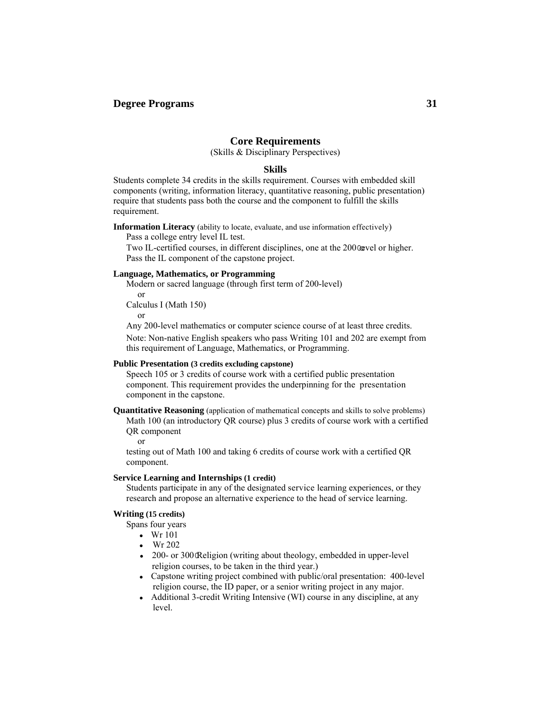## **Core Requirements**

(Skills & Disciplinary Perspectives)

### **Skills**

Students complete 34 credits in the skills requirement. Courses with embedded skill components (writing, information literacy, quantitative reasoning, public presentation) require that students pass both the course and the component to fulfill the skills requirement.

**Information Literacy** (ability to locate, evaluate, and use information effectively)

Pass a college entry level IL test.

Two IL-certified courses, in different disciplines, one at the 2000 well or higher. Pass the IL component of the capstone project.

## **Language, Mathematics, or Programming**

Modern or sacred language (through first term of 200-level) or

Calculus I (Math 150)

or

Any 200-level mathematics or computer science course of at least three credits.

Note: Non-native English speakers who pass Writing 101 and 202 are exempt from this requirement of Language, Mathematics, or Programming.

#### **Public Presentation (3 credits excluding capstone)**

Speech 105 or 3 credits of course work with a certified public presentation component. This requirement provides the underpinning for the presentation component in the capstone.

**Quantitative Reasoning** (application of mathematical concepts and skills to solve problems) Math 100 (an introductory QR course) plus 3 credits of course work with a certified QR component

or

testing out of Math 100 and taking 6 credits of course work with a certified QR component.

#### **Service Learning and Internships (1 credit)**

Students participate in any of the designated service learning experiences, or they research and propose an alternative experience to the head of service learning.

## **Writing (15 credits)**

Spans four years

- Wr 101
- Wr 202
- 200- or 300 Religion (writing about theology, embedded in upper-level religion courses, to be taken in the third year.)
- Capstone writing project combined with public/oral presentation: 400-level religion course, the ID paper, or a senior writing project in any major.
- Additional 3-credit Writing Intensive (WI) course in any discipline, at any level.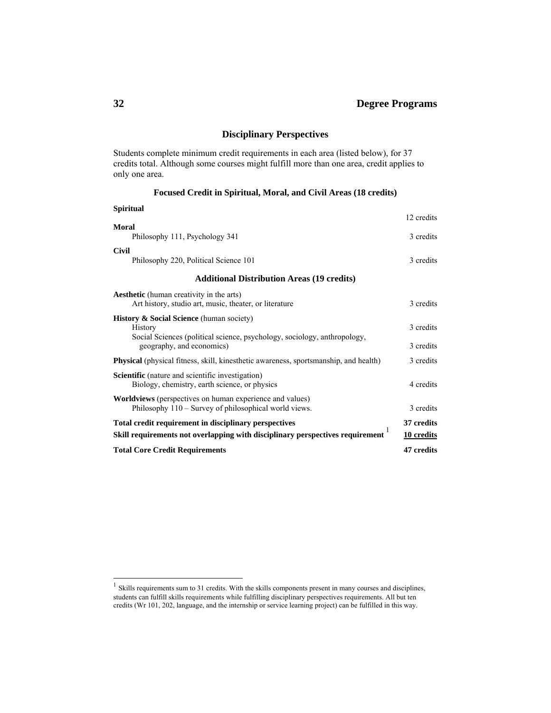# **Disciplinary Perspectives**

Students complete minimum credit requirements in each area (listed below), for 37 credits total. Although some courses might fulfill more than one area, credit applies to only one area.

## **Focused Credit in Spiritual, Moral, and Civil Areas (18 credits)**

| <b>Spiritual</b>                                                                            |            |
|---------------------------------------------------------------------------------------------|------------|
|                                                                                             | 12 credits |
| Moral                                                                                       |            |
| Philosophy 111, Psychology 341                                                              | 3 credits  |
| <b>Civil</b>                                                                                |            |
| Philosophy 220, Political Science 101                                                       | 3 credits  |
| <b>Additional Distribution Areas (19 credits)</b>                                           |            |
| <b>Aesthetic</b> (human creativity in the arts)                                             |            |
| Art history, studio art, music, theater, or literature                                      | 3 credits  |
| <b>History &amp; Social Science</b> (human society)                                         |            |
| <b>History</b>                                                                              | 3 credits  |
| Social Sciences (political science, psychology, sociology, anthropology,                    |            |
| geography, and economics)                                                                   | 3 credits  |
| <b>Physical</b> (physical fitness, skill, kinesthetic awareness, sportsmanship, and health) | 3 credits  |
| <b>Scientific</b> (nature and scientific investigation)                                     |            |
| Biology, chemistry, earth science, or physics                                               | 4 credits  |
| <b>Worldviews</b> (perspectives on human experience and values)                             |            |
| Philosophy 110 – Survey of philosophical world views.                                       | 3 credits  |
| Total credit requirement in disciplinary perspectives                                       | 37 credits |
| Skill requirements not overlapping with disciplinary perspectives requirement               | 10 credits |
| <b>Total Core Credit Requirements</b>                                                       | 47 credits |

 $\overline{a}$ 

 $<sup>1</sup>$  Skills requirements sum to 31 credits. With the skills components present in many courses and disciplines,</sup> students can fulfill skills requirements while fulfilling disciplinary perspectives requirements. All but ten credits (Wr 101, 202, language, and the internship or service learning project) can be fulfilled in this way.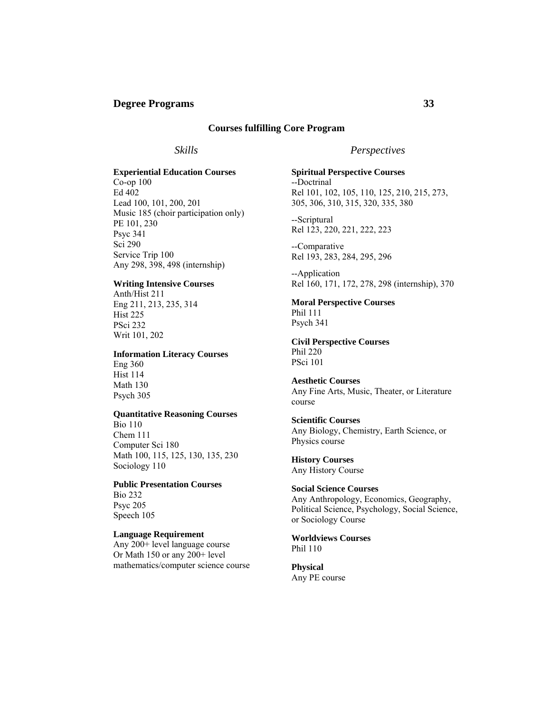## **Courses fulfilling Core Program**

## *Skills*

# **Experiential Education Courses**

Co-op 100 Ed 402 Lead 100, 101, 200, 201 Music 185 (choir participation only) PE 101, 230 Psyc 341 Sci 290 Service Trip 100 Any 298, 398, 498 (internship)

## **Writing Intensive Courses**

Anth/Hist 211 Eng 211, 213, 235, 314 Hist 225 PSci 232 Writ 101, 202

#### **Information Literacy Courses**

Eng 360 Hist 114 Math 130 Psych 305

#### **Quantitative Reasoning Courses**

Bio 110 Chem 111 Computer Sci 180 Math 100, 115, 125, 130, 135, 230 Sociology 110

# **Public Presentation Courses**

Bio 232 Psyc 205 Speech 105

## **Language Requirement**

Any 200+ level language course Or Math 150 or any 200+ level mathematics/computer science course

## *Perspectives*

## **Spiritual Perspective Courses**  --Doctrinal Rel 101, 102, 105, 110, 125, 210, 215, 273, 305, 306, 310, 315, 320, 335, 380

--Scriptural Rel 123, 220, 221, 222, 223

--Comparative Rel 193, 283, 284, 295, 296

--Application Rel 160, 171, 172, 278, 298 (internship), 370

## **Moral Perspective Courses**

Phil 111 Psych 341

#### **Civil Perspective Courses**  Phil 220 PSci 101

**Aesthetic Courses**  Any Fine Arts, Music, Theater, or Literature course

## **Scientific Courses**

Any Biology, Chemistry, Earth Science, or Physics course

**History Courses**  Any History Course

## **Social Science Courses**

Any Anthropology, Economics, Geography, Political Science, Psychology, Social Science, or Sociology Course

#### **Worldviews Courses**  Phil 110

**Physical**  Any PE course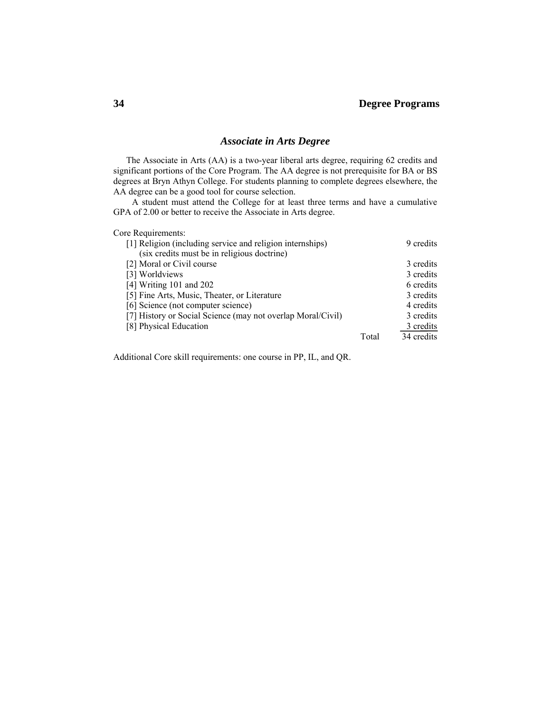## *Associate in Arts Degree*

The Associate in Arts (AA) is a two-year liberal arts degree, requiring 62 credits and significant portions of the Core Program. The AA degree is not prerequisite for BA or BS degrees at Bryn Athyn College. For students planning to complete degrees elsewhere, the AA degree can be a good tool for course selection.

 A student must attend the College for at least three terms and have a cumulative GPA of 2.00 or better to receive the Associate in Arts degree.

Core Requirements:

| [1] Religion (including service and religion internships)   |       | 9 credits  |
|-------------------------------------------------------------|-------|------------|
| (six credits must be in religious doctrine)                 |       |            |
| [2] Moral or Civil course                                   |       | 3 credits  |
| [3] Worldviews                                              |       | 3 credits  |
| [4] Writing $101$ and $202$                                 |       | 6 credits  |
| [5] Fine Arts, Music, Theater, or Literature                |       | 3 credits  |
| [6] Science (not computer science)                          |       | 4 credits  |
| [7] History or Social Science (may not overlap Moral/Civil) |       | 3 credits  |
| [8] Physical Education                                      |       | 3 credits  |
|                                                             | Total | 34 credits |

Additional Core skill requirements: one course in PP, IL, and QR.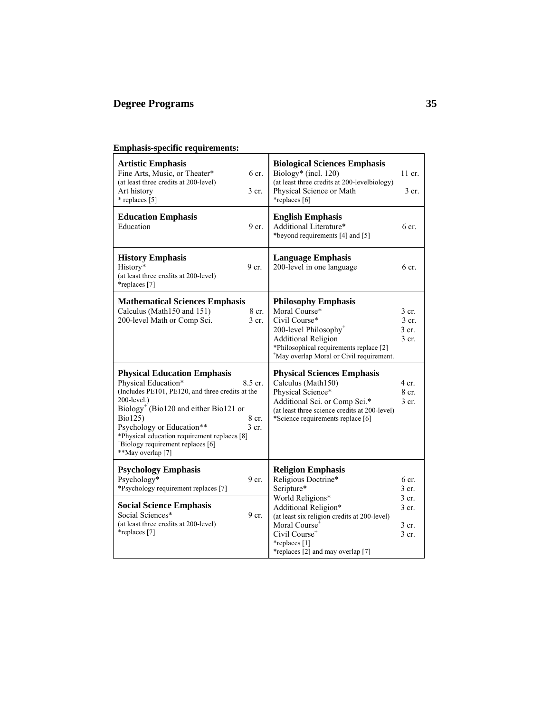# **Emphasis-specific requirements:**

| <b>Artistic Emphasis</b><br>6 cr.<br>Fine Arts, Music, or Theater*<br>(at least three credits at 200-level)<br>Art history<br>$3$ cr.<br>* replaces [5]                                                                                                                                                                                                               | <b>Biological Sciences Emphasis</b><br>Biology* (incl. 120)<br>(at least three credits at 200-levelbiology)<br>Physical Science or Math<br>*replaces [6]                                                               | $11$ cr.<br>3 cr.                             |
|-----------------------------------------------------------------------------------------------------------------------------------------------------------------------------------------------------------------------------------------------------------------------------------------------------------------------------------------------------------------------|------------------------------------------------------------------------------------------------------------------------------------------------------------------------------------------------------------------------|-----------------------------------------------|
| <b>Education Emphasis</b><br>Education<br>9 cr.                                                                                                                                                                                                                                                                                                                       | <b>English Emphasis</b><br>Additional Literature*<br>*beyond requirements [4] and [5]                                                                                                                                  | $6$ cr.                                       |
| <b>History Emphasis</b><br>History*<br>9 <sub>cr.</sub><br>(at least three credits at 200-level)<br>*replaces [7]                                                                                                                                                                                                                                                     | <b>Language Emphasis</b><br>200-level in one language                                                                                                                                                                  | $6$ cr.                                       |
| <b>Mathematical Sciences Emphasis</b><br>Calculus (Math150 and 151)<br>8 cr.<br>200-level Math or Comp Sci.<br>$3$ cr.                                                                                                                                                                                                                                                | <b>Philosophy Emphasis</b><br>Moral Course*<br>Civil Course*<br>200-level Philosophy <sup>+</sup><br><b>Additional Religion</b><br>*Philosophical requirements replace [2]<br>*May overlap Moral or Civil requirement. | $3$ cr.<br>$3$ cr.<br>3 cr.<br>$3$ cr.        |
| <b>Physical Education Emphasis</b><br>Physical Education*<br>8.5 cr.<br>(Includes PE101, PE120, and three credits at the<br>$200$ -level.)<br>Biology <sup>+</sup> (Bio120 and either Bio121 or<br>Bio125)<br>8 cr.<br>Psychology or Education**<br>$3$ cr.<br>*Physical education requirement replaces [8]<br>"Biology requirement replaces [6]<br>**May overlap [7] | <b>Physical Sciences Emphasis</b><br>Calculus (Math150)<br>Physical Science*<br>Additional Sci. or Comp Sci.*<br>(at least three science credits at 200-level)<br>*Science requirements replace [6]                    | $4 \text{ cr}$<br>8 <sub>cr.</sub><br>$3$ cr. |
| <b>Psychology Emphasis</b><br>Psychology*<br>9 cr.<br>*Psychology requirement replaces [7]                                                                                                                                                                                                                                                                            | <b>Religion Emphasis</b><br>Religious Doctrine*<br>Scripture*                                                                                                                                                          | 6 cr.<br>$3$ cr.                              |
| <b>Social Science Emphasis</b><br>Social Sciences*<br>9 cr.<br>(at least three credits at 200-level)<br>*replaces [7]                                                                                                                                                                                                                                                 | World Religions*<br>Additional Religion*<br>(at least six religion credits at 200-level)<br>Moral Course <sup>+</sup><br>Civil Course <sup>+</sup><br>*replaces [1]<br>*replaces [2] and may overlap [7]               | $3$ cr.<br>$3$ cr.<br>$3$ cr.<br>3 cr.        |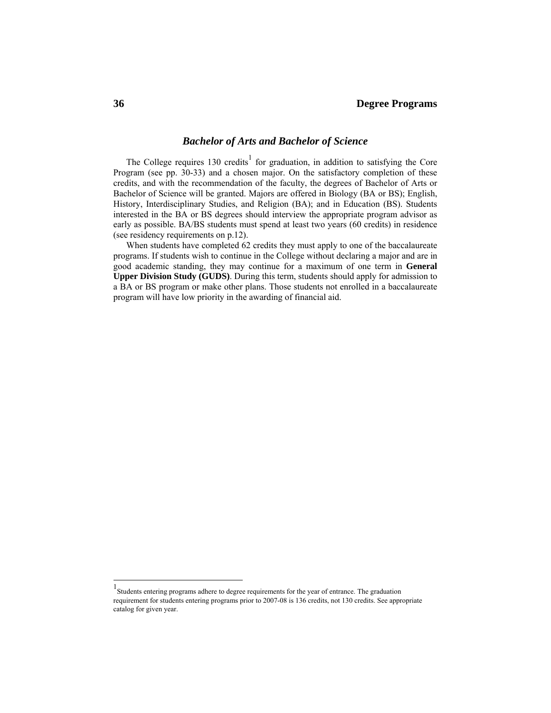### *Bachelor of Arts and Bachelor of Science*

The College requires  $130$  credits<sup>1</sup> for graduation, in addition to satisfying the Core Program (see pp. 30-33) and a chosen major. On the satisfactory completion of these credits, and with the recommendation of the faculty, the degrees of Bachelor of Arts or Bachelor of Science will be granted. Majors are offered in Biology (BA or BS); English, History, Interdisciplinary Studies, and Religion (BA); and in Education (BS). Students interested in the BA or BS degrees should interview the appropriate program advisor as early as possible. BA/BS students must spend at least two years (60 credits) in residence (see residency requirements on p.12).

 When students have completed 62 credits they must apply to one of the baccalaureate programs. If students wish to continue in the College without declaring a major and are in good academic standing, they may continue for a maximum of one term in **General Upper Division Study (GUDS)**. During this term, students should apply for admission to a BA or BS program or make other plans. Those students not enrolled in a baccalaureate program will have low priority in the awarding of financial aid.

 $\overline{a}$ 

<sup>1</sup> Students entering programs adhere to degree requirements for the year of entrance. The graduation requirement for students entering programs prior to 2007-08 is 136 credits, not 130 credits. See appropriate catalog for given year.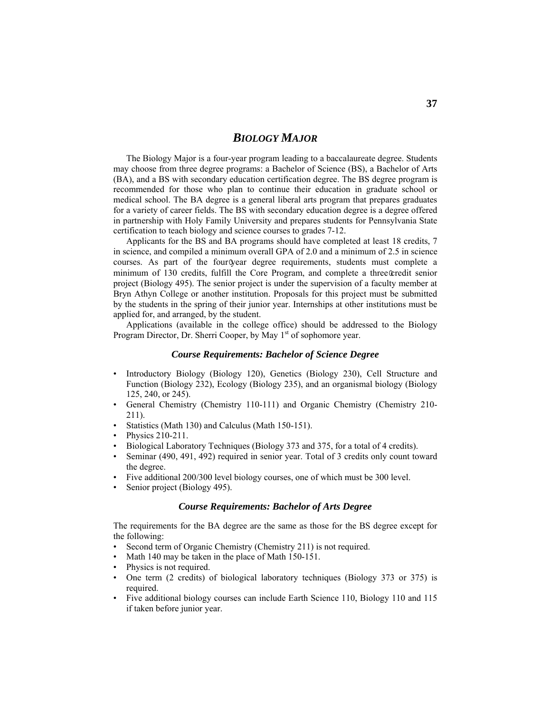# *BIOLOGY MAJOR*

The Biology Major is a four-year program leading to a baccalaureate degree. Students may choose from three degree programs: a Bachelor of Science (BS), a Bachelor of Arts (BA), and a BS with secondary education certification degree. The BS degree program is recommended for those who plan to continue their education in graduate school or medical school. The BA degree is a general liberal arts program that prepares graduates for a variety of career fields. The BS with secondary education degree is a degree offered in partnership with Holy Family University and prepares students for Pennsylvania State certification to teach biology and science courses to grades 7-12.

 Applicants for the BS and BA programs should have completed at least 18 credits, 7 in science, and compiled a minimum overall GPA of 2.0 and a minimum of 2.5 in science courses. As part of the four-year degree requirements, students must complete a minimum of 130 credits, fulfill the Core Program, and complete a three@redit senior project (Biology 495). The senior project is under the supervision of a faculty member at Bryn Athyn College or another institution. Proposals for this project must be submitted by the students in the spring of their junior year. Internships at other institutions must be applied for, and arranged, by the student.

 Applications (available in the college office) should be addressed to the Biology Program Director, Dr. Sherri Cooper, by May  $1<sup>st</sup>$  of sophomore year.

#### *Course Requirements: Bachelor of Science Degree*

- Introductory Biology (Biology 120), Genetics (Biology 230), Cell Structure and Function (Biology 232), Ecology (Biology 235), and an organismal biology (Biology 125, 240, or 245).
- General Chemistry (Chemistry 110-111) and Organic Chemistry (Chemistry 210- 211).
- Statistics (Math 130) and Calculus (Math 150-151).
- Physics 210-211.
- Biological Laboratory Techniques (Biology 373 and 375, for a total of 4 credits).
- Seminar (490, 491, 492) required in senior year. Total of 3 credits only count toward the degree.
- Five additional 200/300 level biology courses, one of which must be 300 level.
- Senior project (Biology 495).

#### *Course Requirements: Bachelor of Arts Degree*

The requirements for the BA degree are the same as those for the BS degree except for the following:

- Second term of Organic Chemistry (Chemistry 211) is not required.
- Math 140 may be taken in the place of Math 150-151.
- Physics is not required.
- One term (2 credits) of biological laboratory techniques (Biology 373 or 375) is required.
- Five additional biology courses can include Earth Science 110, Biology 110 and 115 if taken before junior year.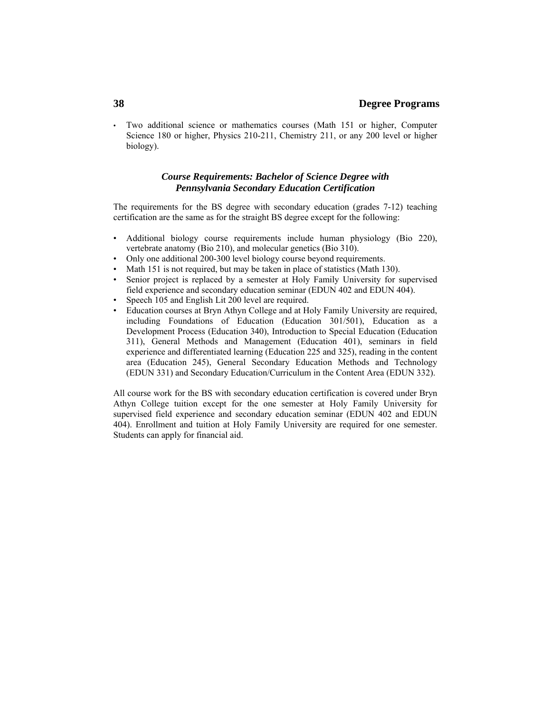## **38 Degree Programs**

• Two additional science or mathematics courses (Math 151 or higher, Computer Science 180 or higher, Physics 210-211, Chemistry 211, or any 200 level or higher biology).

### *Course Requirements: Bachelor of Science Degree with Pennsylvania Secondary Education Certification*

The requirements for the BS degree with secondary education (grades 7-12) teaching certification are the same as for the straight BS degree except for the following:

- Additional biology course requirements include human physiology (Bio 220), vertebrate anatomy (Bio 210), and molecular genetics (Bio 310).
- Only one additional 200-300 level biology course beyond requirements.
- Math 151 is not required, but may be taken in place of statistics (Math 130).
- Senior project is replaced by a semester at Holy Family University for supervised field experience and secondary education seminar (EDUN 402 and EDUN 404).
- Speech 105 and English Lit 200 level are required.
- Education courses at Bryn Athyn College and at Holy Family University are required, including Foundations of Education (Education 301/501), Education as a Development Process (Education 340), Introduction to Special Education (Education 311), General Methods and Management (Education 401), seminars in field experience and differentiated learning (Education 225 and 325), reading in the content area (Education 245), General Secondary Education Methods and Technology (EDUN 331) and Secondary Education/Curriculum in the Content Area (EDUN 332).

All course work for the BS with secondary education certification is covered under Bryn Athyn College tuition except for the one semester at Holy Family University for supervised field experience and secondary education seminar (EDUN 402 and EDUN 404). Enrollment and tuition at Holy Family University are required for one semester. Students can apply for financial aid.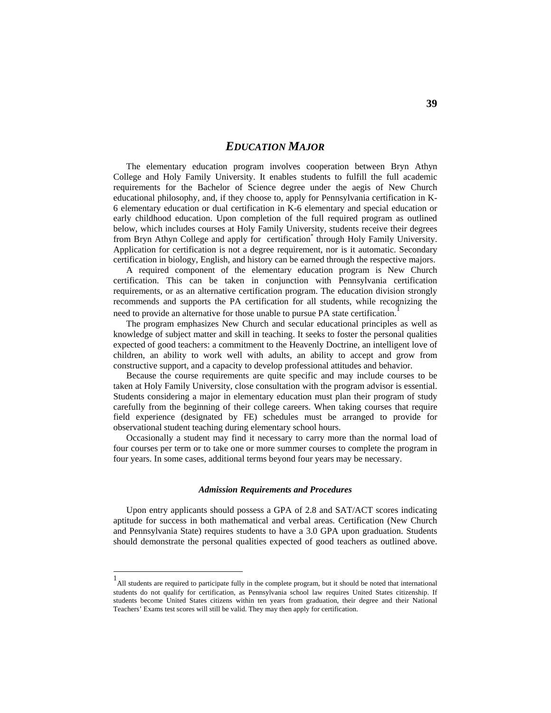# *EDUCATION MAJOR*

The elementary education program involves cooperation between Bryn Athyn College and Holy Family University. It enables students to fulfill the full academic requirements for the Bachelor of Science degree under the aegis of New Church educational philosophy, and, if they choose to, apply for Pennsylvania certification in K-6 elementary education or dual certification in K-6 elementary and special education or early childhood education. Upon completion of the full required program as outlined below, which includes courses at Holy Family University, students receive their degrees from Bryn Athyn College and apply for certification<sup>\*</sup> through Holy Family University. Application for certification is not a degree requirement, nor is it automatic. Secondary certification in biology, English, and history can be earned through the respective majors.

 A required component of the elementary education program is New Church certification. This can be taken in conjunction with Pennsylvania certification requirements, or as an alternative certification program. The education division strongly recommends and supports the PA certification for all students, while recognizing the need to provide an alternative for those unable to pursue PA state certification.

The program emphasizes New Church and secular educational principles as well as knowledge of subject matter and skill in teaching. It seeks to foster the personal qualities expected of good teachers: a commitment to the Heavenly Doctrine, an intelligent love of children, an ability to work well with adults, an ability to accept and grow from constructive support, and a capacity to develop professional attitudes and behavior.

 Because the course requirements are quite specific and may include courses to be taken at Holy Family University, close consultation with the program advisor is essential. Students considering a major in elementary education must plan their program of study carefully from the beginning of their college careers. When taking courses that require field experience (designated by FE) schedules must be arranged to provide for observational student teaching during elementary school hours.

 Occasionally a student may find it necessary to carry more than the normal load of four courses per term or to take one or more summer courses to complete the program in four years. In some cases, additional terms beyond four years may be necessary.

#### *Admission Requirements and Procedures*

 Upon entry applicants should possess a GPA of 2.8 and SAT/ACT scores indicating aptitude for success in both mathematical and verbal areas. Certification (New Church and Pennsylvania State) requires students to have a 3.0 GPA upon graduation. Students should demonstrate the personal qualities expected of good teachers as outlined above.

-

<sup>1</sup> All students are required to participate fully in the complete program, but it should be noted that international students do not qualify for certification, as Pennsylvania school law requires United States citizenship. If students become United States citizens within ten years from graduation, their degree and their National Teachers' Exams test scores will still be valid. They may then apply for certification.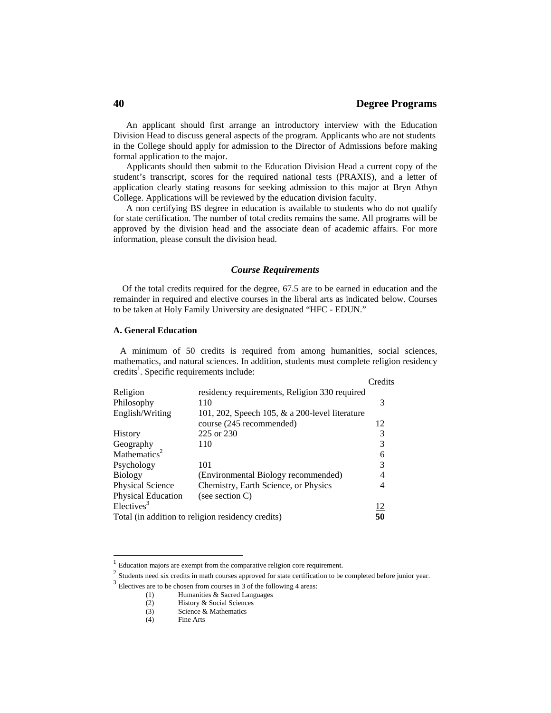### **40 Degree Programs**

 An applicant should first arrange an introductory interview with the Education Division Head to discuss general aspects of the program. Applicants who are not students in the College should apply for admission to the Director of Admissions before making formal application to the major.

 Applicants should then submit to the Education Division Head a current copy of the student's transcript, scores for the required national tests (PRAXIS), and a letter of application clearly stating reasons for seeking admission to this major at Bryn Athyn College. Applications will be reviewed by the education division faculty.

 A non certifying BS degree in education is available to students who do not qualify for state certification. The number of total credits remains the same. All programs will be approved by the division head and the associate dean of academic affairs. For more information, please consult the division head.

#### *Course Requirements*

 Of the total credits required for the degree, 67.5 are to be earned in education and the remainder in required and elective courses in the liberal arts as indicated below. Courses to be taken at Holy Family University are designated "HFC - EDUN."

#### **A. General Education**

 A minimum of 50 credits is required from among humanities, social sciences, mathematics, and natural sciences. In addition, students must complete religion residency credits<sup>1</sup>. Specific requirements include:

|                          |                                                   | Credits         |
|--------------------------|---------------------------------------------------|-----------------|
| Religion                 | residency requirements, Religion 330 required     |                 |
| Philosophy               | 110                                               | 3               |
| English/Writing          | 101, 202, Speech 105, $\&$ a 200-level literature |                 |
|                          | course (245 recommended)                          | 12              |
| History                  | 225 or 230                                        |                 |
| Geography                | 110                                               |                 |
| Mathematics <sup>2</sup> |                                                   | 6               |
| Psychology               | 101                                               | 3               |
| <b>Biology</b>           | (Environmental Biology recommended)               |                 |
| <b>Physical Science</b>  | Chemistry, Earth Science, or Physics              |                 |
| Physical Education       | (see section $C$ )                                |                 |
| Electives <sup>3</sup>   |                                                   | $\frac{12}{50}$ |
|                          | Total (in addition to religion residency credits) |                 |

 $\overline{a}$ 

 $1<sup>1</sup>$  Education majors are exempt from the comparative religion core requirement.

<sup>&</sup>lt;sup>2</sup> Students need six credits in math courses approved for state certification to be completed before junior year.

 $3$  Electives are to be chosen from courses in 3 of the following 4 areas:

<sup>(1)</sup> Humanities & Sacred Languages

<sup>(2)</sup> History & Social Sciences

<sup>(3)</sup> Science & Mathematics

<sup>(4)</sup> Fine Arts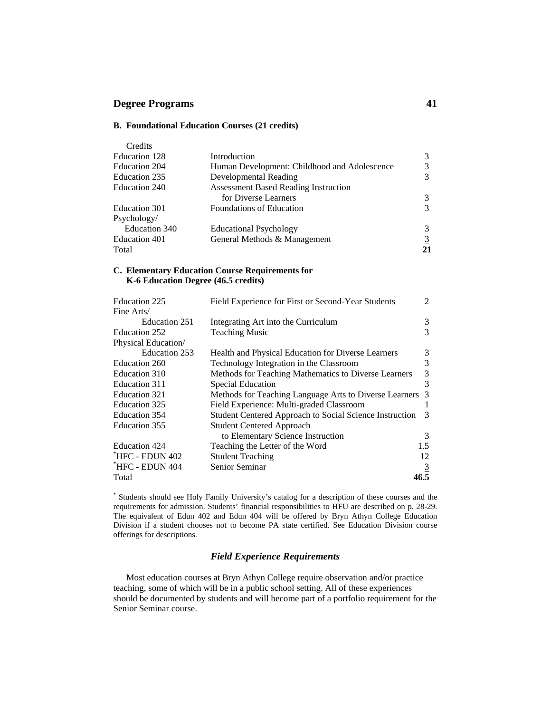### **Degree Programs 41**

#### **B. Foundational Education Courses (21 credits)**

| Credits       |                                              |                |
|---------------|----------------------------------------------|----------------|
| Education 128 | Introduction                                 | 3              |
| Education 204 | Human Development: Childhood and Adolescence | 3              |
| Education 235 | Developmental Reading                        | 3              |
| Education 240 | <b>Assessment Based Reading Instruction</b>  |                |
|               | for Diverse Learners                         | 3              |
| Education 301 | <b>Foundations of Education</b>              | 3              |
| Psychology/   |                                              |                |
| Education 340 | <b>Educational Psychology</b>                | 3              |
| Education 401 | General Methods & Management                 | $\overline{3}$ |
| Total         |                                              | 21             |

#### **C. Elementary Education Course Requirements for K-6 Education Degree (46.5 credits)**

| Education 225       | Field Experience for First or Second-Year Students      | $\mathfrak{D}$ |
|---------------------|---------------------------------------------------------|----------------|
| Fine Arts/          |                                                         |                |
| Education 251       | Integrating Art into the Curriculum                     | 3              |
| Education 252       | <b>Teaching Music</b>                                   | 3              |
| Physical Education/ |                                                         |                |
| Education 253       | Health and Physical Education for Diverse Learners      | 3              |
| Education 260       | Technology Integration in the Classroom                 | 3              |
| Education 310       | Methods for Teaching Mathematics to Diverse Learners    | 3              |
| Education 311       | Special Education                                       | 3              |
| Education 321       | Methods for Teaching Language Arts to Diverse Learners  | 3              |
| Education 325       | Field Experience: Multi-graded Classroom                |                |
| Education 354       | Student Centered Approach to Social Science Instruction | 3              |
| Education 355       | <b>Student Centered Approach</b>                        |                |
|                     | to Elementary Science Instruction                       | 3              |
| Education 424       | Teaching the Letter of the Word                         | 1.5            |
| THFC - EDUN 402     | <b>Student Teaching</b>                                 | 12             |
| HFC - EDUN 404      | Senior Seminar                                          |                |
| Total               |                                                         | 46.5           |

\* Students should see Holy Family University's catalog for a description of these courses and the requirements for admission. Students' financial responsibilities to HFU are described on p. 28-29. The equivalent of Edun 402 and Edun 404 will be offered by Bryn Athyn College Education Division if a student chooses not to become PA state certified. See Education Division course offerings for descriptions.

#### *Field Experience Requirements*

 Most education courses at Bryn Athyn College require observation and/or practice teaching, some of which will be in a public school setting. All of these experiences should be documented by students and will become part of a portfolio requirement for the Senior Seminar course.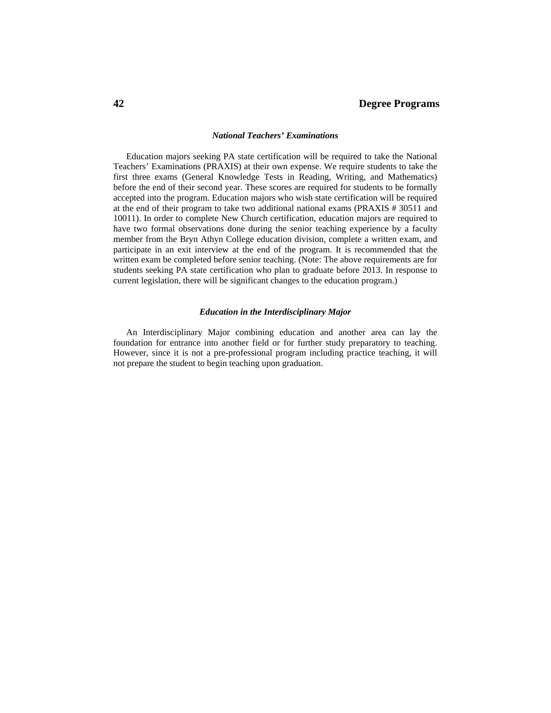#### *National Teachers' Examinations*

 Education majors seeking PA state certification will be required to take the National Teachers' Examinations (PRAXIS) at their own expense. We require students to take the first three exams (General Knowledge Tests in Reading, Writing, and Mathematics) before the end of their second year. These scores are required for students to be formally accepted into the program. Education majors who wish state certification will be required at the end of their program to take two additional national exams (PRAXIS # 30511 and 10011). In order to complete New Church certification, education majors are required to have two formal observations done during the senior teaching experience by a faculty member from the Bryn Athyn College education division, complete a written exam, and participate in an exit interview at the end of the program. It is recommended that the written exam be completed before senior teaching. (Note: The above requirements are for students seeking PA state certification who plan to graduate before 2013. In response to current legislation, there will be significant changes to the education program.)

#### *Education in the Interdisciplinary Major*

 An Interdisciplinary Major combining education and another area can lay the foundation for entrance into another field or for further study preparatory to teaching. However, since it is not a pre-professional program including practice teaching, it will not prepare the student to begin teaching upon graduation.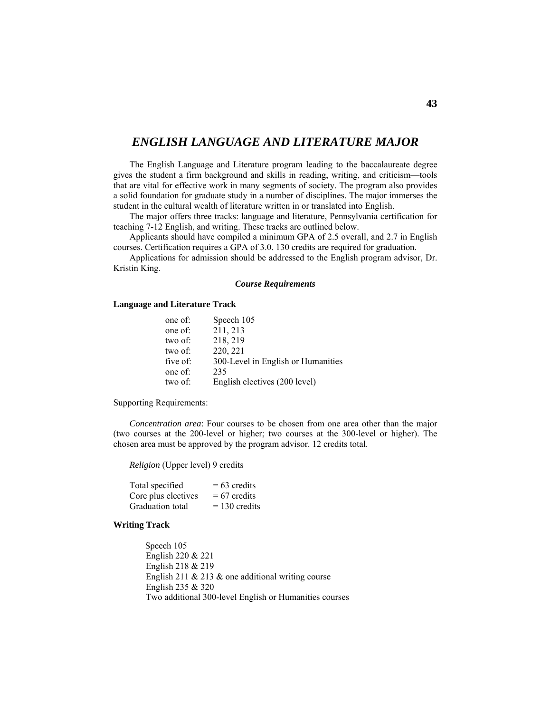# *ENGLISH LANGUAGE AND LITERATURE MAJOR*

 The English Language and Literature program leading to the baccalaureate degree gives the student a firm background and skills in reading, writing, and criticism—tools that are vital for effective work in many segments of society. The program also provides a solid foundation for graduate study in a number of disciplines. The major immerses the student in the cultural wealth of literature written in or translated into English.

 The major offers three tracks: language and literature, Pennsylvania certification for teaching 7-12 English, and writing. These tracks are outlined below.

 Applicants should have compiled a minimum GPA of 2.5 overall, and 2.7 in English courses. Certification requires a GPA of 3.0. 130 credits are required for graduation.

 Applications for admission should be addressed to the English program advisor, Dr. Kristin King.

#### *Course Requirements*

#### **Language and Literature Track**

| one of:  | Speech 105                         |
|----------|------------------------------------|
| one of:  | 211, 213                           |
| two of:  | 218, 219                           |
| two of:  | 220, 221                           |
| five of: | 300-Level in English or Humanities |
| one of:  | 235                                |
| two of:  | English electives (200 level)      |

Supporting Requirements:

*Concentration area*: Four courses to be chosen from one area other than the major (two courses at the 200-level or higher; two courses at the 300-level or higher). The chosen area must be approved by the program advisor. 12 credits total.

*Religion* (Upper level) 9 credits

| Total specified     | $= 63$ credits  |
|---------------------|-----------------|
| Core plus electives | $= 67$ credits  |
| Graduation total    | $= 130$ credits |

#### **Writing Track**

 Speech 105 English 220 & 221 English 218 & 219 English 211  $& 213 &$  one additional writing course English 235 & 320 Two additional 300-level English or Humanities courses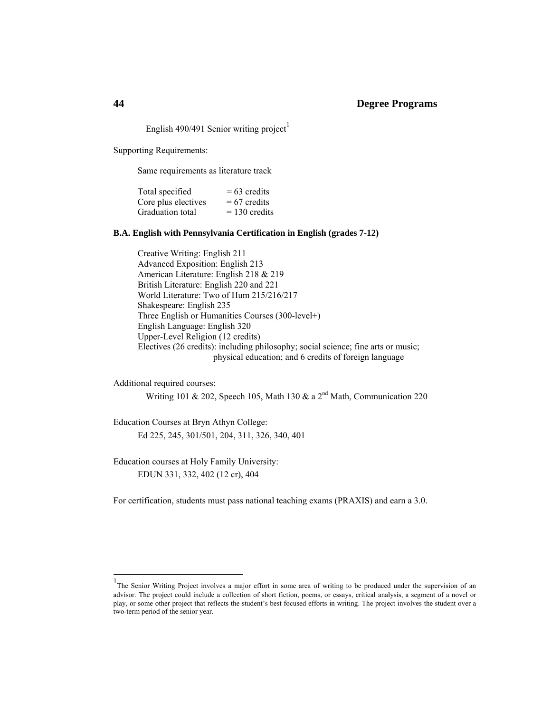## **44 Degree Programs**

English 490/491 Senior writing project<sup>1</sup>

Supporting Requirements:

Same requirements as literature track

| Total specified     | $= 63$ credits  |
|---------------------|-----------------|
| Core plus electives | $= 67$ credits  |
| Graduation total    | $= 130$ credits |

#### **B.A. English with Pennsylvania Certification in English (grades 7-12)**

 Creative Writing: English 211 Advanced Exposition: English 213 American Literature: English 218 & 219 British Literature: English 220 and 221 World Literature: Two of Hum 215/216/217 Shakespeare: English 235 Three English or Humanities Courses (300-level+) English Language: English 320 Upper-Level Religion (12 credits) Electives (26 credits): including philosophy; social science; fine arts or music; physical education; and 6 credits of foreign language

Additional required courses:

-

Writing 101 & 202, Speech 105, Math 130 & a  $2<sup>nd</sup>$  Math, Communication 220

Education Courses at Bryn Athyn College: Ed 225, 245, 301/501, 204, 311, 326, 340, 401

Education courses at Holy Family University: EDUN 331, 332, 402 (12 cr), 404

For certification, students must pass national teaching exams (PRAXIS) and earn a 3.0.

<sup>&</sup>lt;sup>1</sup>The Senior Writing Project involves a major effort in some area of writing to be produced under the supervision of an advisor. The project could include a collection of short fiction, poems, or essays, critical analysis, a segment of a novel or play, or some other project that reflects the student's best focused efforts in writing. The project involves the student over a two-term period of the senior year.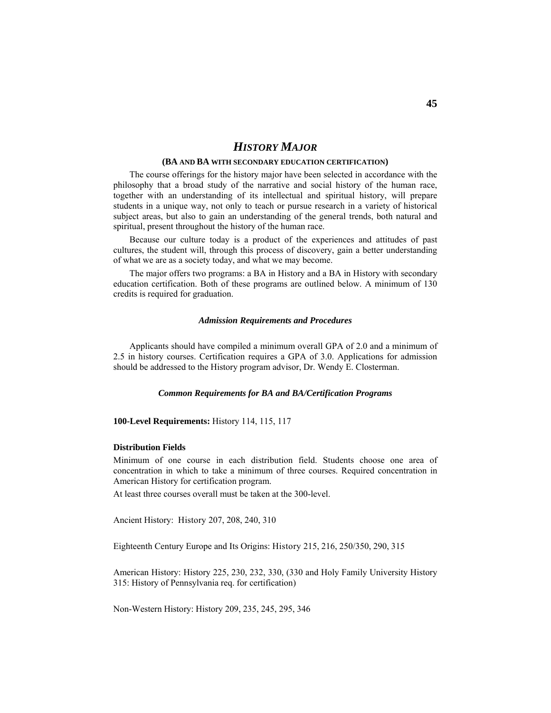# *HISTORY MAJOR*

#### **(BA AND BA WITH SECONDARY EDUCATION CERTIFICATION)**

 The course offerings for the history major have been selected in accordance with the philosophy that a broad study of the narrative and social history of the human race, together with an understanding of its intellectual and spiritual history, will prepare students in a unique way, not only to teach or pursue research in a variety of historical subject areas, but also to gain an understanding of the general trends, both natural and spiritual, present throughout the history of the human race.

 Because our culture today is a product of the experiences and attitudes of past cultures, the student will, through this process of discovery, gain a better understanding of what we are as a society today, and what we may become.

 The major offers two programs: a BA in History and a BA in History with secondary education certification. Both of these programs are outlined below. A minimum of 130 credits is required for graduation.

#### *Admission Requirements and Procedures*

 Applicants should have compiled a minimum overall GPA of 2.0 and a minimum of 2.5 in history courses. Certification requires a GPA of 3.0. Applications for admission should be addressed to the History program advisor, Dr. Wendy E. Closterman.

#### *Common Requirements for BA and BA/Certification Programs*

#### **100-Level Requirements:** History 114, 115, 117

#### **Distribution Fields**

Minimum of one course in each distribution field. Students choose one area of concentration in which to take a minimum of three courses. Required concentration in American History for certification program.

At least three courses overall must be taken at the 300-level.

Ancient History: History 207, 208, 240, 310

Eighteenth Century Europe and Its Origins: History 215, 216, 250/350, 290, 315

American History: History 225, 230, 232, 330, (330 and Holy Family University History 315: History of Pennsylvania req. for certification)

Non-Western History: History 209, 235, 245, 295, 346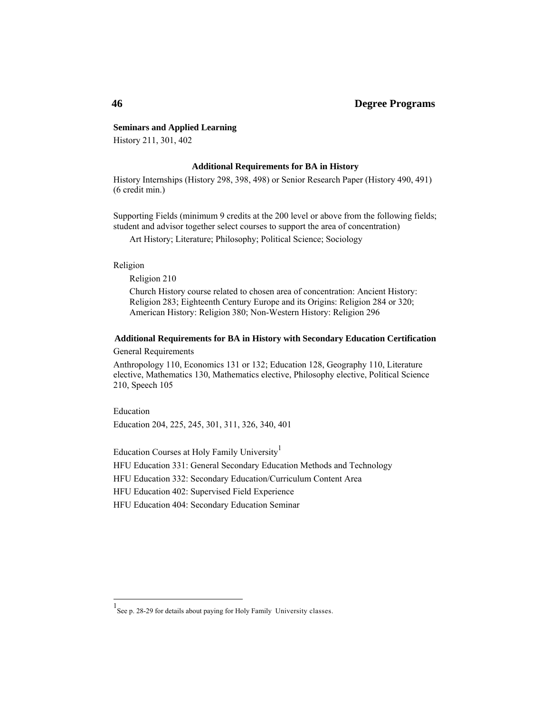## **46 Degree Programs**

#### **Seminars and Applied Learning**

History 211, 301, 402

#### **Additional Requirements for BA in History**

History Internships (History 298, 398, 498) or Senior Research Paper (History 490, 491) (6 credit min.)

Supporting Fields (minimum 9 credits at the 200 level or above from the following fields; student and advisor together select courses to support the area of concentration)

Art History; Literature; Philosophy; Political Science; Sociology

Religion

-

Religion 210

Church History course related to chosen area of concentration: Ancient History: Religion 283; Eighteenth Century Europe and its Origins: Religion 284 or 320; American History: Religion 380; Non-Western History: Religion 296

#### **Additional Requirements for BA in History with Secondary Education Certification**

General Requirements

Anthropology 110, Economics 131 or 132; Education 128, Geography 110, Literature elective, Mathematics 130, Mathematics elective, Philosophy elective, Political Science 210, Speech 105

Education Education 204, 225, 245, 301, 311, 326, 340, 401

Education Courses at Holy Family University<sup>1</sup>

HFU Education 331: General Secondary Education Methods and Technology

HFU Education 332: Secondary Education/Curriculum Content Area

HFU Education 402: Supervised Field Experience

HFU Education 404: Secondary Education Seminar

<sup>1</sup> See p. 28-29 for details about paying for Holy Family University classes.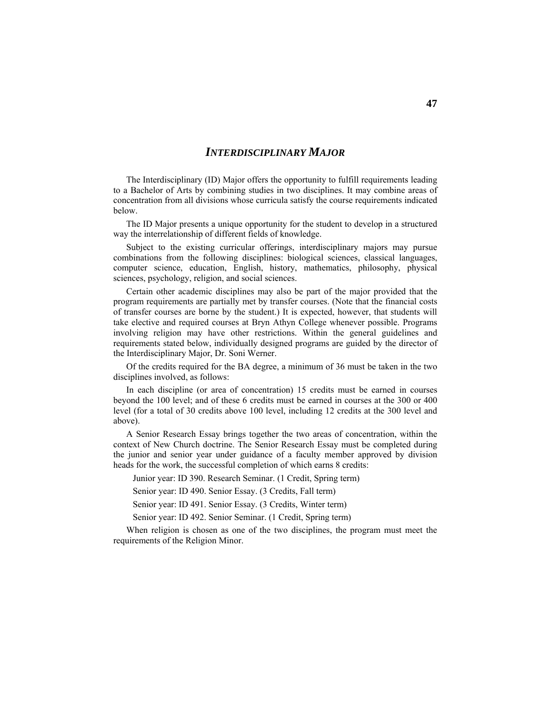# *INTERDISCIPLINARY MAJOR*

 The Interdisciplinary (ID) Major offers the opportunity to fulfill requirements leading to a Bachelor of Arts by combining studies in two disciplines. It may combine areas of concentration from all divisions whose curricula satisfy the course requirements indicated below.

 The ID Major presents a unique opportunity for the student to develop in a structured way the interrelationship of different fields of knowledge.

 Subject to the existing curricular offerings, interdisciplinary majors may pursue combinations from the following disciplines: biological sciences, classical languages, computer science, education, English, history, mathematics, philosophy, physical sciences, psychology, religion, and social sciences.

 Certain other academic disciplines may also be part of the major provided that the program requirements are partially met by transfer courses. (Note that the financial costs of transfer courses are borne by the student.) It is expected, however, that students will take elective and required courses at Bryn Athyn College whenever possible. Programs involving religion may have other restrictions. Within the general guidelines and requirements stated below, individually designed programs are guided by the director of the Interdisciplinary Major, Dr. Soni Werner.

 Of the credits required for the BA degree, a minimum of 36 must be taken in the two disciplines involved, as follows:

 In each discipline (or area of concentration) 15 credits must be earned in courses beyond the 100 level; and of these 6 credits must be earned in courses at the 300 or 400 level (for a total of 30 credits above 100 level, including 12 credits at the 300 level and above).

A Senior Research Essay brings together the two areas of concentration, within the context of New Church doctrine. The Senior Research Essay must be completed during the junior and senior year under guidance of a faculty member approved by division heads for the work, the successful completion of which earns 8 credits:

Junior year: ID 390. Research Seminar. (1 Credit, Spring term)

Senior year: ID 490. Senior Essay. (3 Credits, Fall term)

Senior year: ID 491. Senior Essay. (3 Credits, Winter term)

Senior year: ID 492. Senior Seminar. (1 Credit, Spring term)

 When religion is chosen as one of the two disciplines, the program must meet the requirements of the Religion Minor.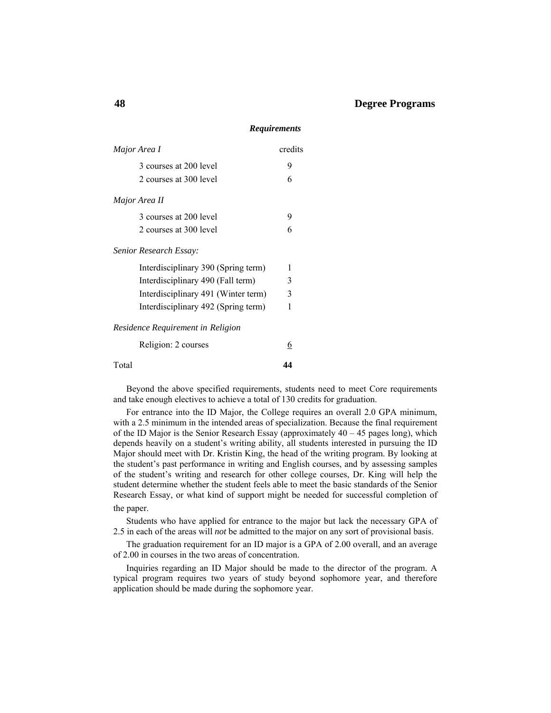# *Major Area I* credits  $3 \text{ courses at } 200 \text{ level}$  9 2 courses at 300 level 6 *Major Area II*  3 courses at 200 level 9 2 courses at 300 level 6 *Senior Research Essay:*  Interdisciplinary 390 (Spring term) 1 Interdisciplinary 490 (Fall term) 3 Interdisciplinary 491 (Winter term) 3 Interdisciplinary 492 (Spring term) 1 *Residence Requirement in Religion* Religion: 2 courses 6 Total **44**

 Beyond the above specified requirements, students need to meet Core requirements and take enough electives to achieve a total of 130 credits for graduation.

 For entrance into the ID Major, the College requires an overall 2.0 GPA minimum, with a 2.5 minimum in the intended areas of specialization. Because the final requirement of the ID Major is the Senior Research Essay (approximately 40 – 45 pages long), which depends heavily on a student's writing ability, all students interested in pursuing the ID Major should meet with Dr. Kristin King, the head of the writing program. By looking at the student's past performance in writing and English courses, and by assessing samples of the student's writing and research for other college courses, Dr. King will help the student determine whether the student feels able to meet the basic standards of the Senior Research Essay, or what kind of support might be needed for successful completion of the paper.

 Students who have applied for entrance to the major but lack the necessary GPA of 2.5 in each of the areas will *not* be admitted to the major on any sort of provisional basis.

 The graduation requirement for an ID major is a GPA of 2.00 overall, and an average of 2.00 in courses in the two areas of concentration.

 Inquiries regarding an ID Major should be made to the director of the program. A typical program requires two years of study beyond sophomore year, and therefore application should be made during the sophomore year.

#### *Requirements*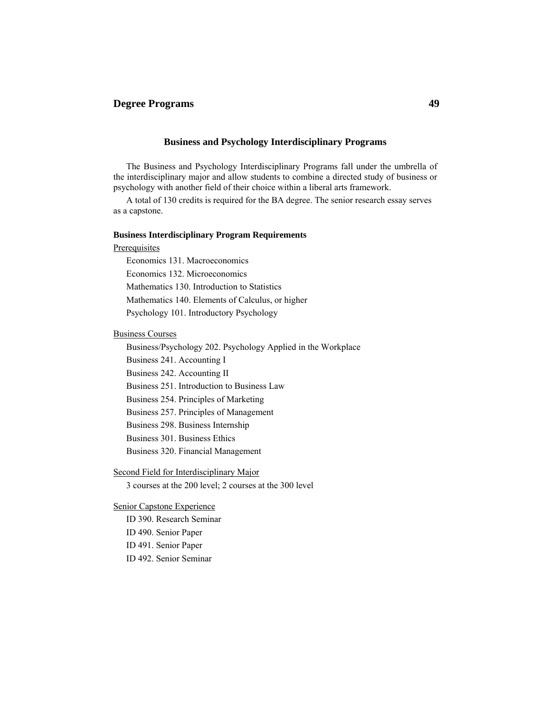## **Degree Programs 49**

#### **Business and Psychology Interdisciplinary Programs**

 The Business and Psychology Interdisciplinary Programs fall under the umbrella of the interdisciplinary major and allow students to combine a directed study of business or psychology with another field of their choice within a liberal arts framework.

 A total of 130 credits is required for the BA degree. The senior research essay serves as a capstone.

#### **Business Interdisciplinary Program Requirements**

#### **Prerequisites**

Economics 131. Macroeconomics

Economics 132. Microeconomics

Mathematics 130. Introduction to Statistics

Mathematics 140. Elements of Calculus, or higher

Psychology 101. Introductory Psychology

#### Business Courses

Business/Psychology 202. Psychology Applied in the Workplace

Business 241. Accounting I

Business 242. Accounting II

Business 251. Introduction to Business Law

Business 254. Principles of Marketing

Business 257. Principles of Management

Business 298. Business Internship

Business 301. Business Ethics

Business 320. Financial Management

Second Field for Interdisciplinary Major

3 courses at the 200 level; 2 courses at the 300 level

#### Senior Capstone Experience

ID 390. Research Seminar ID 490. Senior Paper

ID 491. Senior Paper

ID 492. Senior Seminar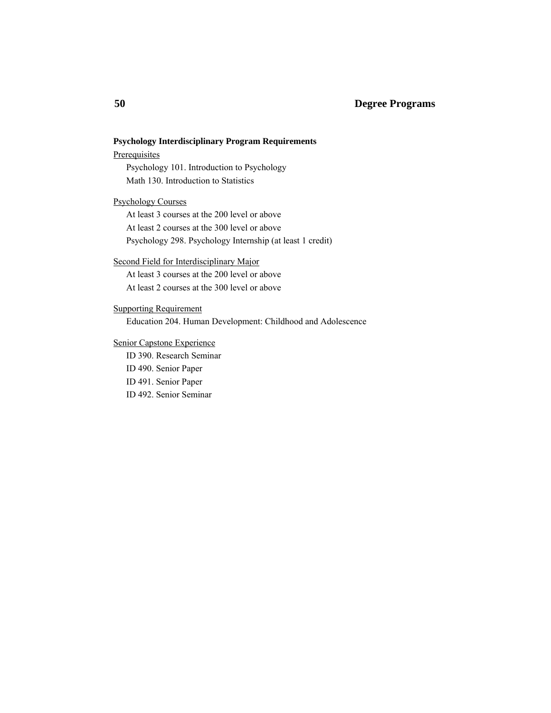## **50 Degree Programs**

# **Psychology Interdisciplinary Program Requirements Prerequisites**  Psychology 101. Introduction to Psychology Math 130. Introduction to Statistics Psychology Courses At least 3 courses at the 200 level or above At least 2 courses at the 300 level or above Psychology 298. Psychology Internship (at least 1 credit) Second Field for Interdisciplinary Major At least 3 courses at the 200 level or above

At least 2 courses at the 300 level or above

### Supporting Requirement

Education 204. Human Development: Childhood and Adolescence

### Senior Capstone Experience

 ID 390. Research Seminar ID 490. Senior Paper ID 491. Senior Paper ID 492. Senior Seminar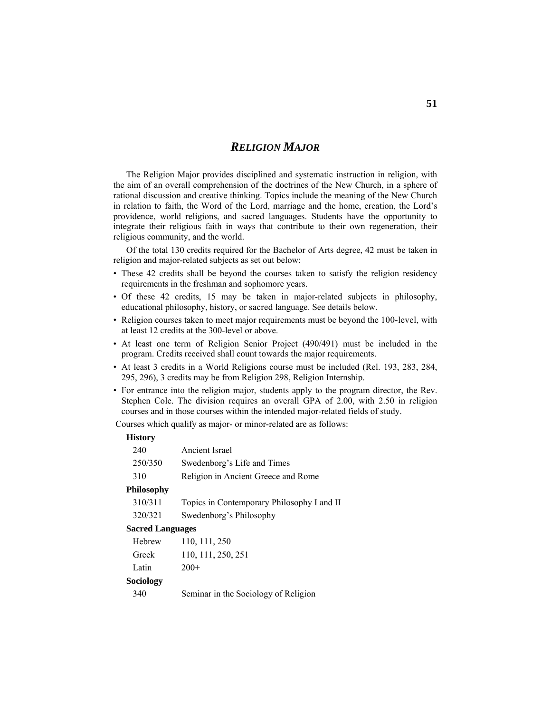# *RELIGION MAJOR*

 The Religion Major provides disciplined and systematic instruction in religion, with the aim of an overall comprehension of the doctrines of the New Church, in a sphere of rational discussion and creative thinking. Topics include the meaning of the New Church in relation to faith, the Word of the Lord, marriage and the home, creation, the Lord's providence, world religions, and sacred languages. Students have the opportunity to integrate their religious faith in ways that contribute to their own regeneration, their religious community, and the world.

 Of the total 130 credits required for the Bachelor of Arts degree, 42 must be taken in religion and major-related subjects as set out below:

- These 42 credits shall be beyond the courses taken to satisfy the religion residency requirements in the freshman and sophomore years.
- Of these 42 credits, 15 may be taken in major-related subjects in philosophy, educational philosophy, history, or sacred language. See details below.
- Religion courses taken to meet major requirements must be beyond the 100-level, with at least 12 credits at the 300-level or above.
- At least one term of Religion Senior Project (490/491) must be included in the program. Credits received shall count towards the major requirements.
- At least 3 credits in a World Religions course must be included (Rel. 193, 283, 284, 295, 296), 3 credits may be from Religion 298, Religion Internship.
- For entrance into the religion major, students apply to the program director, the Rev. Stephen Cole. The division requires an overall GPA of 2.00, with 2.50 in religion courses and in those courses within the intended major-related fields of study.

Courses which qualify as major- or minor-related are as follows:

#### **History**

| 240                     | Ancient Israel                             |
|-------------------------|--------------------------------------------|
| 250/350                 | Swedenborg's Life and Times                |
| 310                     | Religion in Ancient Greece and Rome        |
| <b>Philosophy</b>       |                                            |
| 310/311                 | Topics in Contemporary Philosophy I and II |
| 320/321                 | Swedenborg's Philosophy                    |
| <b>Sacred Languages</b> |                                            |
| Hebrew                  | 110, 111, 250                              |
| Greek                   | 110, 111, 250, 251                         |
| Latin                   | $200+$                                     |
| Sociology               |                                            |

340 Seminar in the Sociology of Religion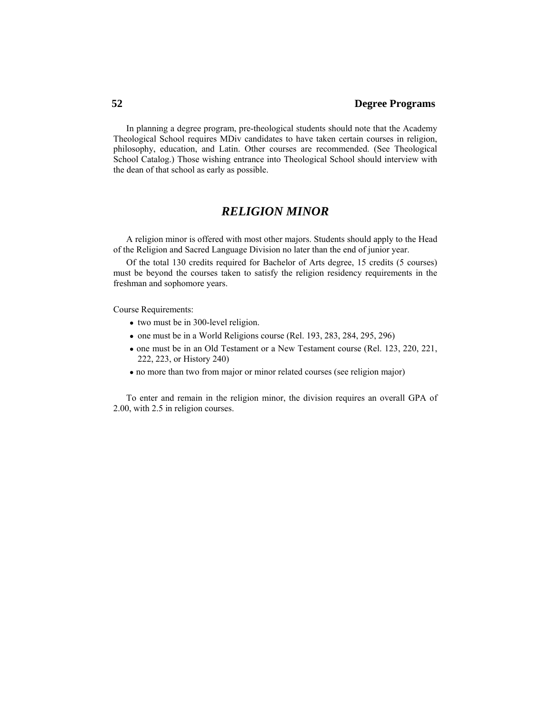In planning a degree program, pre-theological students should note that the Academy Theological School requires MDiv candidates to have taken certain courses in religion, philosophy, education, and Latin. Other courses are recommended. (See Theological School Catalog.) Those wishing entrance into Theological School should interview with the dean of that school as early as possible.

# *RELIGION MINOR*

 A religion minor is offered with most other majors. Students should apply to the Head of the Religion and Sacred Language Division no later than the end of junior year.

 Of the total 130 credits required for Bachelor of Arts degree, 15 credits (5 courses) must be beyond the courses taken to satisfy the religion residency requirements in the freshman and sophomore years.

Course Requirements:

- two must be in 300-level religion.
- one must be in a World Religions course (Rel. 193, 283, 284, 295, 296)
- one must be in an Old Testament or a New Testament course (Rel. 123, 220, 221, 222, 223, or History 240)
- no more than two from major or minor related courses (see religion major)

 To enter and remain in the religion minor, the division requires an overall GPA of 2.00, with 2.5 in religion courses.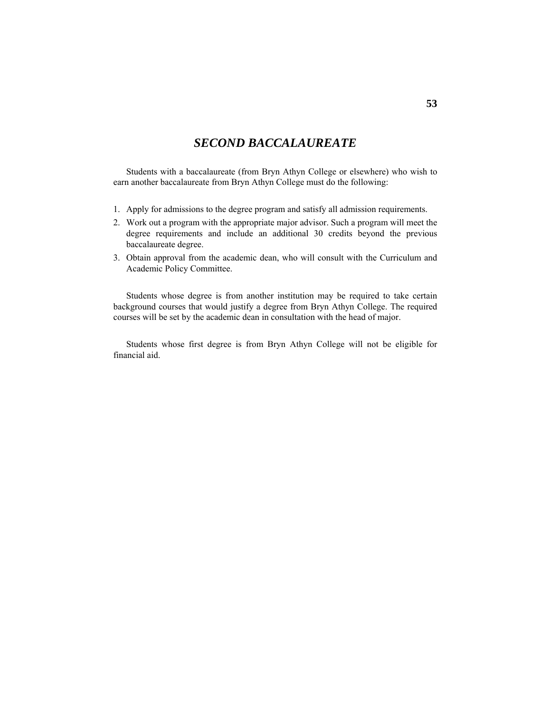# *SECOND BACCALAUREATE*

 Students with a baccalaureate (from Bryn Athyn College or elsewhere) who wish to earn another baccalaureate from Bryn Athyn College must do the following:

- 1. Apply for admissions to the degree program and satisfy all admission requirements.
- 2. Work out a program with the appropriate major advisor. Such a program will meet the degree requirements and include an additional 30 credits beyond the previous baccalaureate degree.
- 3. Obtain approval from the academic dean, who will consult with the Curriculum and Academic Policy Committee.

 Students whose degree is from another institution may be required to take certain background courses that would justify a degree from Bryn Athyn College. The required courses will be set by the academic dean in consultation with the head of major.

 Students whose first degree is from Bryn Athyn College will not be eligible for financial aid.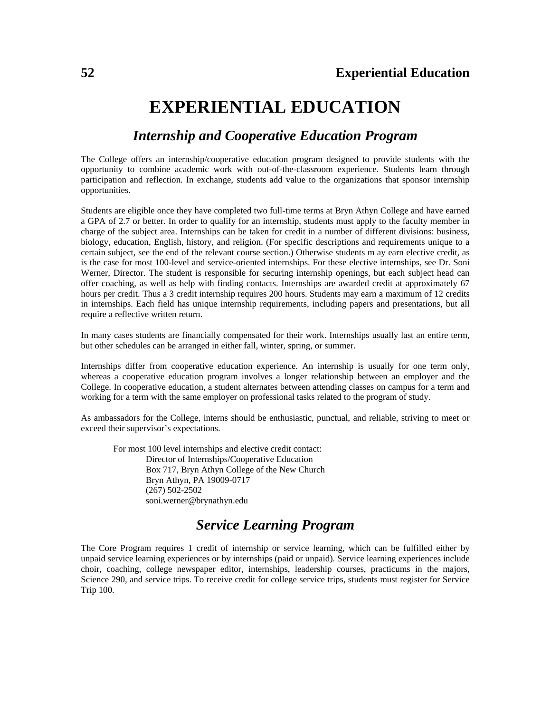# **EXPERIENTIAL EDUCATION**

# *Internship and Cooperative Education Program*

The College offers an internship/cooperative education program designed to provide students with the opportunity to combine academic work with out-of-the-classroom experience. Students learn through participation and reflection. In exchange, students add value to the organizations that sponsor internship opportunities.

Students are eligible once they have completed two full-time terms at Bryn Athyn College and have earned a GPA of 2.7 or better. In order to qualify for an internship, students must apply to the faculty member in charge of the subject area. Internships can be taken for credit in a number of different divisions: business, biology, education, English, history, and religion. (For specific descriptions and requirements unique to a certain subject, see the end of the relevant course section.) Otherwise students m ay earn elective credit, as is the case for most 100-level and service-oriented internships. For these elective internships, see Dr. Soni Werner, Director. The student is responsible for securing internship openings, but each subject head can offer coaching, as well as help with finding contacts. Internships are awarded credit at approximately 67 hours per credit. Thus a 3 credit internship requires 200 hours. Students may earn a maximum of 12 credits in internships. Each field has unique internship requirements, including papers and presentations, but all require a reflective written return.

In many cases students are financially compensated for their work. Internships usually last an entire term, but other schedules can be arranged in either fall, winter, spring, or summer.

Internships differ from cooperative education experience. An internship is usually for one term only, whereas a cooperative education program involves a longer relationship between an employer and the College. In cooperative education, a student alternates between attending classes on campus for a term and working for a term with the same employer on professional tasks related to the program of study.

As ambassadors for the College, interns should be enthusiastic, punctual, and reliable, striving to meet or exceed their supervisor's expectations.

 For most 100 level internships and elective credit contact: Director of Internships/Cooperative Education Box 717, Bryn Athyn College of the New Church Bryn Athyn, PA 19009-0717 (267) 502-2502 soni.werner@brynathyn.edu

# *Service Learning Program*

The Core Program requires 1 credit of internship or service learning, which can be fulfilled either by unpaid service learning experiences or by internships (paid or unpaid). Service learning experiences include choir, coaching, college newspaper editor, internships, leadership courses, practicums in the majors, Science 290, and service trips. To receive credit for college service trips, students must register for Service Trip 100.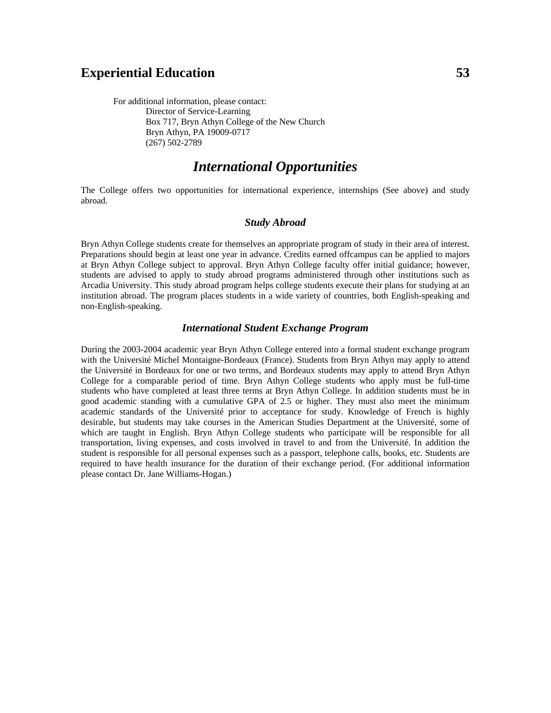# **Experiential Education** 53

 For additional information, please contact: Director of Service-Learning Box 717, Bryn Athyn College of the New Church Bryn Athyn, PA 19009-0717 (267) 502-2789

# *International Opportunities*

The College offers two opportunities for international experience, internships (See above) and study abroad.

#### *Study Abroad*

Bryn Athyn College students create for themselves an appropriate program of study in their area of interest. Preparations should begin at least one year in advance. Credits earned offcampus can be applied to majors at Bryn Athyn College subject to approval. Bryn Athyn College faculty offer initial guidance; however, students are advised to apply to study abroad programs administered through other institutions such as Arcadia University. This study abroad program helps college students execute their plans for studying at an institution abroad. The program places students in a wide variety of countries, both English-speaking and non-English-speaking.

#### *International Student Exchange Program*

During the 2003-2004 academic year Bryn Athyn College entered into a formal student exchange program with the Université Michel Montaigne-Bordeaux (France). Students from Bryn Athyn may apply to attend the Université in Bordeaux for one or two terms, and Bordeaux students may apply to attend Bryn Athyn College for a comparable period of time. Bryn Athyn College students who apply must be full-time students who have completed at least three terms at Bryn Athyn College. In addition students must be in good academic standing with a cumulative GPA of 2.5 or higher. They must also meet the minimum academic standards of the Université prior to acceptance for study. Knowledge of French is highly desirable, but students may take courses in the American Studies Department at the Université, some of which are taught in English. Bryn Athyn College students who participate will be responsible for all transportation, living expenses, and costs involved in travel to and from the Université. In addition the student is responsible for all personal expenses such as a passport, telephone calls, books, etc. Students are required to have health insurance for the duration of their exchange period. (For additional information please contact Dr. Jane Williams-Hogan.)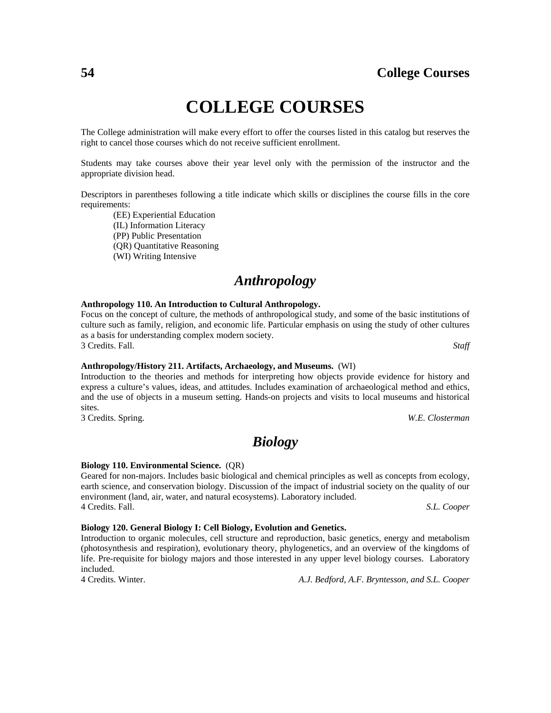# **COLLEGE COURSES**

The College administration will make every effort to offer the courses listed in this catalog but reserves the right to cancel those courses which do not receive sufficient enrollment.

Students may take courses above their year level only with the permission of the instructor and the appropriate division head.

Descriptors in parentheses following a title indicate which skills or disciplines the course fills in the core requirements:

 (EE) Experiential Education (IL) Information Literacy (PP) Public Presentation (QR) Quantitative Reasoning (WI) Writing Intensive

# *Anthropology*

#### **Anthropology 110. An Introduction to Cultural Anthropology.**

Focus on the concept of culture, the methods of anthropological study, and some of the basic institutions of culture such as family, religion, and economic life. Particular emphasis on using the study of other cultures as a basis for understanding complex modern society. 3 Credits. Fall. *Staff*

**Anthropology/History 211. Artifacts, Archaeology, and Museums.** (WI) Introduction to the theories and methods for interpreting how objects provide evidence for history and express a culture's values, ideas, and attitudes. Includes examination of archaeological method and ethics, and the use of objects in a museum setting. Hands-on projects and visits to local museums and historical sites.

3 Credits. Spring. *W.E. Closterman*

# *Biology*

#### **Biology 110. Environmental Science.** (QR)

Geared for non-majors. Includes basic biological and chemical principles as well as concepts from ecology, earth science, and conservation biology. Discussion of the impact of industrial society on the quality of our environment (land, air, water, and natural ecosystems). Laboratory included. 4 Credits. Fall. *S.L. Cooper*

#### **Biology 120. General Biology I: Cell Biology, Evolution and Genetics.**

Introduction to organic molecules, cell structure and reproduction, basic genetics, energy and metabolism (photosynthesis and respiration), evolutionary theory, phylogenetics, and an overview of the kingdoms of life. Pre-requisite for biology majors and those interested in any upper level biology courses. Laboratory included.

4 Credits. Winter. *A.J. Bedford, A.F. Bryntesson, and S.L. Cooper*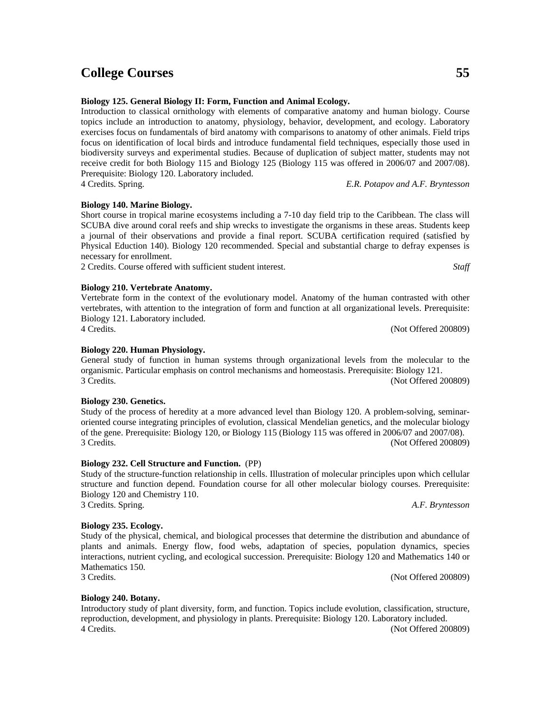**Biology 125. General Biology II: Form, Function and Animal Ecology.**

Introduction to classical ornithology with elements of comparative anatomy and human biology. Course topics include an introduction to anatomy, physiology, behavior, development, and ecology. Laboratory exercises focus on fundamentals of bird anatomy with comparisons to anatomy of other animals. Field trips focus on identification of local birds and introduce fundamental field techniques, especially those used in biodiversity surveys and experimental studies. Because of duplication of subject matter, students may not receive credit for both Biology 115 and Biology 125 (Biology 115 was offered in 2006/07 and 2007/08). Prerequisite: Biology 120. Laboratory included. 4 Credits. Spring. *E.R. Potapov and A.F. Bryntesson*

### **Biology 140. Marine Biology.**

Short course in tropical marine ecosystems including a 7-10 day field trip to the Caribbean. The class will SCUBA dive around coral reefs and ship wrecks to investigate the organisms in these areas. Students keep a journal of their observations and provide a final report. SCUBA certification required (satisfied by Physical Eduction 140). Biology 120 recommended. Special and substantial charge to defray expenses is necessary for enrollment.

2 Credits. Course offered with sufficient student interest. *Staff*

### **Biology 210. Vertebrate Anatomy.**

Vertebrate form in the context of the evolutionary model. Anatomy of the human contrasted with other vertebrates, with attention to the integration of form and function at all organizational levels. Prerequisite: Biology 121. Laboratory included.

### **Biology 220. Human Physiology.**

General study of function in human systems through organizational levels from the molecular to the organismic. Particular emphasis on control mechanisms and homeostasis. Prerequisite: Biology 121. 3 Credits. (Not Offered 200809)

#### **Biology 230. Genetics.**

Study of the process of heredity at a more advanced level than Biology 120. A problem-solving, seminaroriented course integrating principles of evolution, classical Mendelian genetics, and the molecular biology of the gene. Prerequisite: Biology 120, or Biology 115 (Biology 115 was offered in 2006/07 and 2007/08). 3 Credits. (Not Offered 200809)

#### **Biology 232. Cell Structure and Function.** (PP)

Study of the structure-function relationship in cells. Illustration of molecular principles upon which cellular structure and function depend. Foundation course for all other molecular biology courses. Prerequisite: Biology 120 and Chemistry 110. 3 Credits. Spring. *A.F. Bryntesson*

#### **Biology 235. Ecology.**

Study of the physical, chemical, and biological processes that determine the distribution and abundance of plants and animals. Energy flow, food webs, adaptation of species, population dynamics, species interactions, nutrient cycling, and ecological succession. Prerequisite: Biology 120 and Mathematics 140 or Mathematics 150.

3 Credits. (Not Offered 200809)

#### **Biology 240. Botany.**

Introductory study of plant diversity, form, and function. Topics include evolution, classification, structure, reproduction, development, and physiology in plants. Prerequisite: Biology 120. Laboratory included. 4 Credits. (Not Offered 200809)

4 Credits. (Not Offered 200809)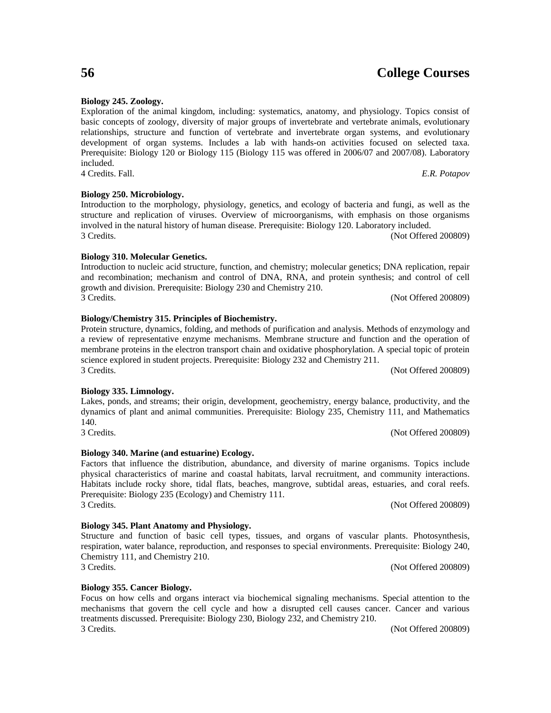**Biology 245. Zoology.**

Exploration of the animal kingdom, including: systematics, anatomy, and physiology. Topics consist of basic concepts of zoology, diversity of major groups of invertebrate and vertebrate animals, evolutionary relationships, structure and function of vertebrate and invertebrate organ systems, and evolutionary development of organ systems. Includes a lab with hands-on activities focused on selected taxa. Prerequisite: Biology 120 or Biology 115 (Biology 115 was offered in 2006/07 and 2007/08). Laboratory included. 4 Credits. Fall. *E.R. Potapov*

**Biology 250. Microbiology.**

Introduction to the morphology, physiology, genetics, and ecology of bacteria and fungi, as well as the structure and replication of viruses. Overview of microorganisms, with emphasis on those organisms involved in the natural history of human disease. Prerequisite: Biology 120. Laboratory included. 3 Credits. (Not Offered 200809)

**Biology 310. Molecular Genetics.**

#### Introduction to nucleic acid structure, function, and chemistry; molecular genetics; DNA replication, repair and recombination; mechanism and control of DNA, RNA, and protein synthesis; and control of cell growth and division. Prerequisite: Biology 230 and Chemistry 210. 3 Credits. (Not Offered 200809)

# **Biology/Chemistry 315. Principles of Biochemistry.**

### Protein structure, dynamics, folding, and methods of purification and analysis. Methods of enzymology and a review of representative enzyme mechanisms. Membrane structure and function and the operation of membrane proteins in the electron transport chain and oxidative phosphorylation. A special topic of protein science explored in student projects. Prerequisite: Biology 232 and Chemistry 211. 3 Credits. (Not Offered 200809)

# **Biology 335. Limnology.**

#### Lakes, ponds, and streams; their origin, development, geochemistry, energy balance, productivity, and the dynamics of plant and animal communities. Prerequisite: Biology 235, Chemistry 111, and Mathematics 140. 3 Credits. (Not Offered 200809)

# **Biology 340. Marine (and estuarine) Ecology.**

#### Factors that influence the distribution, abundance, and diversity of marine organisms. Topics include physical characteristics of marine and coastal habitats, larval recruitment, and community interactions. Habitats include rocky shore, tidal flats, beaches, mangrove, subtidal areas, estuaries, and coral reefs. Prerequisite: Biology 235 (Ecology) and Chemistry 111. 3 Credits. (Not Offered 200809)

# **Biology 345. Plant Anatomy and Physiology.**

#### Structure and function of basic cell types, tissues, and organs of vascular plants. Photosynthesis, respiration, water balance, reproduction, and responses to special environments. Prerequisite: Biology 240, Chemistry 111, and Chemistry 210. 3 Credits. (Not Offered 200809)

# **Biology 355. Cancer Biology.**

Focus on how cells and organs interact via biochemical signaling mechanisms. Special attention to the mechanisms that govern the cell cycle and how a disrupted cell causes cancer. Cancer and various treatments discussed. Prerequisite: Biology 230, Biology 232, and Chemistry 210. 3 Credits. (Not Offered 200809)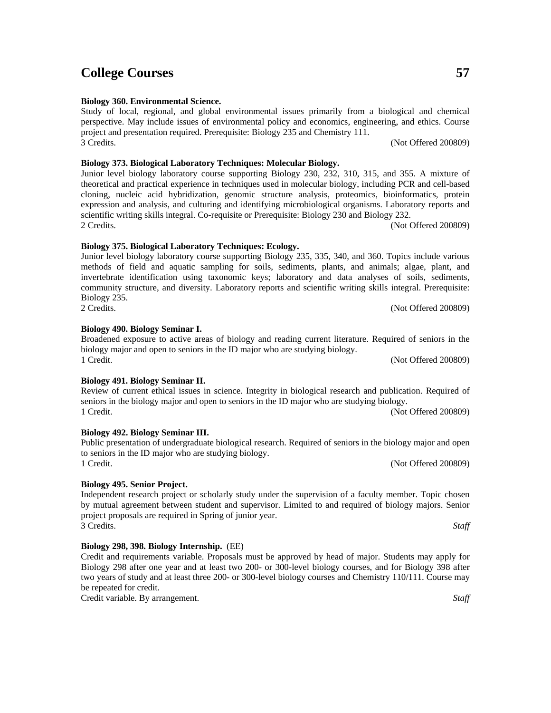#### **Biology 360. Environmental Science.**

Study of local, regional, and global environmental issues primarily from a biological and chemical perspective. May include issues of environmental policy and economics, engineering, and ethics. Course project and presentation required. Prerequisite: Biology 235 and Chemistry 111. 3 Credits. (Not Offered 200809)

### **Biology 373. Biological Laboratory Techniques: Molecular Biology.**

Junior level biology laboratory course supporting Biology 230, 232, 310, 315, and 355. A mixture of theoretical and practical experience in techniques used in molecular biology, including PCR and cell-based cloning, nucleic acid hybridization, genomic structure analysis, proteomics, bioinformatics, protein expression and analysis, and culturing and identifying microbiological organisms. Laboratory reports and scientific writing skills integral. Co-requisite or Prerequisite: Biology 230 and Biology 232. 2 Credits. (Not Offered 200809)

#### **Biology 375. Biological Laboratory Techniques: Ecology.**

Junior level biology laboratory course supporting Biology 235, 335, 340, and 360. Topics include various methods of field and aquatic sampling for soils, sediments, plants, and animals; algae, plant, and invertebrate identification using taxonomic keys; laboratory and data analyses of soils, sediments, community structure, and diversity. Laboratory reports and scientific writing skills integral. Prerequisite: Biology 235. 2 Credits. (Not Offered 200809)

Broadened exposure to active areas of biology and reading current literature. Required of seniors in the

1 Credit. (Not Offered 200809)

seniors in the biology major and open to seniors in the ID major who are studying biology. 1 Credit. (Not Offered 200809)

biology major and open to seniors in the ID major who are studying biology.

# **Biology 492. Biology Seminar III.**

**Biology 490. Biology Seminar I.**

Public presentation of undergraduate biological research. Required of seniors in the biology major and open to seniors in the ID major who are studying biology. 1 Credit. (Not Offered 200809)

# **Biology 495. Senior Project.**

Independent research project or scholarly study under the supervision of a faculty member. Topic chosen by mutual agreement between student and supervisor. Limited to and required of biology majors. Senior project proposals are required in Spring of junior year. 3 Credits. *Staff*

# **Biology 298, 398. Biology Internship.** (EE)

Credit and requirements variable. Proposals must be approved by head of major. Students may apply for Biology 298 after one year and at least two 200- or 300-level biology courses, and for Biology 398 after two years of study and at least three 200- or 300-level biology courses and Chemistry 110/111. Course may be repeated for credit.

Credit variable. By arrangement. *Staff*

**Biology 491. Biology Seminar II.** Review of current ethical issues in science. Integrity in biological research and publication. Required of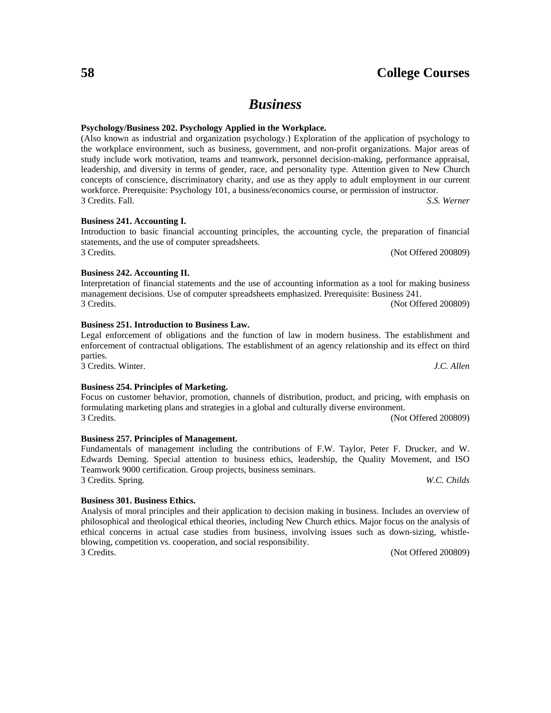# *Business*

#### **Psychology/Business 202. Psychology Applied in the Workplace.**

(Also known as industrial and organization psychology.) Exploration of the application of psychology to the workplace environment, such as business, government, and non-profit organizations. Major areas of study include work motivation, teams and teamwork, personnel decision-making, performance appraisal, leadership, and diversity in terms of gender, race, and personality type. Attention given to New Church concepts of conscience, discriminatory charity, and use as they apply to adult employment in our current workforce. Prerequisite: Psychology 101, a business/economics course, or permission of instructor. 3 Credits. Fall. *S.S. Werner*

Introduction to basic financial accounting principles, the accounting cycle, the preparation of financial

3 Credits. (Not Offered 200809)

#### **Business 241. Accounting I.**

# **Business 242. Accounting II.**

# Interpretation of financial statements and the use of accounting information as a tool for making business management decisions. Use of computer spreadsheets emphasized. Prerequisite: Business 241. 3 Credits. (Not Offered 200809)

#### **Business 251. Introduction to Business Law.**

statements, and the use of computer spreadsheets.

#### Legal enforcement of obligations and the function of law in modern business. The establishment and enforcement of contractual obligations. The establishment of an agency relationship and its effect on third parties. 3 Credits. Winter. *J.C. Allen*

#### **Business 254. Principles of Marketing.**

## Focus on customer behavior, promotion, channels of distribution, product, and pricing, with emphasis on formulating marketing plans and strategies in a global and culturally diverse environment. 3 Credits. (Not Offered 200809)

Edwards Deming. Special attention to business ethics, leadership, the Quality Movement, and ISO

### **Business 257. Principles of Management.**

### Fundamentals of management including the contributions of F.W. Taylor, Peter F. Drucker, and W.

Teamwork 9000 certification. Group projects, business seminars.

# **Business 301. Business Ethics.**

Analysis of moral principles and their application to decision making in business. Includes an overview of philosophical and theological ethical theories, including New Church ethics. Major focus on the analysis of ethical concerns in actual case studies from business, involving issues such as down-sizing, whistleblowing, competition vs. cooperation, and social responsibility. 3 Credits. (Not Offered 200809)

3 Credits. Spring. *W.C. Childs*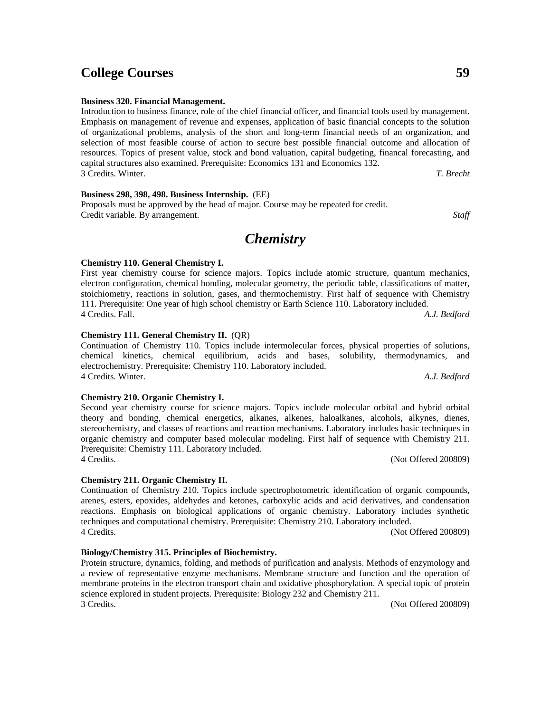#### **Business 320. Financial Management.**

Introduction to business finance, role of the chief financial officer, and financial tools used by management. Emphasis on management of revenue and expenses, application of basic financial concepts to the solution of organizational problems, analysis of the short and long-term financial needs of an organization, and selection of most feasible course of action to secure best possible financial outcome and allocation of resources. Topics of present value, stock and bond valuation, capital budgeting, financal forecasting, and capital structures also examined. Prerequisite: Economics 131 and Economics 132. 3 Credits. Winter. *T. Brecht*

**Business 298, 398, 498. Business Internship.** (EE)

Proposals must be approved by the head of major. Course may be repeated for credit. Credit variable. By arrangement. *Staff*

# *Chemistry*

#### **Chemistry 110. General Chemistry I.**

First year chemistry course for science majors. Topics include atomic structure, quantum mechanics, electron configuration, chemical bonding, molecular geometry, the periodic table, classifications of matter, stoichiometry, reactions in solution, gases, and thermochemistry. First half of sequence with Chemistry 111. Prerequisite: One year of high school chemistry or Earth Science 110. Laboratory included. 4 Credits. Fall. *A.J. Bedford*

#### **Chemistry 111. General Chemistry II.** (QR)

Continuation of Chemistry 110. Topics include intermolecular forces, physical properties of solutions, chemical kinetics, chemical equilibrium, acids and bases, solubility, thermodynamics, and electrochemistry. Prerequisite: Chemistry 110. Laboratory included. 4 Credits. Winter. *A.J. Bedford*

#### **Chemistry 210. Organic Chemistry I.**

Second year chemistry course for science majors. Topics include molecular orbital and hybrid orbital theory and bonding, chemical energetics, alkanes, alkenes, haloalkanes, alcohols, alkynes, dienes, stereochemistry, and classes of reactions and reaction mechanisms. Laboratory includes basic techniques in organic chemistry and computer based molecular modeling. First half of sequence with Chemistry 211. Prerequisite: Chemistry 111. Laboratory included. 4 Credits. (Not Offered 200809)

**Chemistry 211. Organic Chemistry II.**

Continuation of Chemistry 210. Topics include spectrophotometric identification of organic compounds, arenes, esters, epoxides, aldehydes and ketones, carboxylic acids and acid derivatives, and condensation reactions. Emphasis on biological applications of organic chemistry. Laboratory includes synthetic techniques and computational chemistry. Prerequisite: Chemistry 210. Laboratory included. 4 Credits. (Not Offered 200809)

#### **Biology/Chemistry 315. Principles of Biochemistry.**

Protein structure, dynamics, folding, and methods of purification and analysis. Methods of enzymology and a review of representative enzyme mechanisms. Membrane structure and function and the operation of membrane proteins in the electron transport chain and oxidative phosphorylation. A special topic of protein science explored in student projects. Prerequisite: Biology 232 and Chemistry 211. 3 Credits. (Not Offered 200809)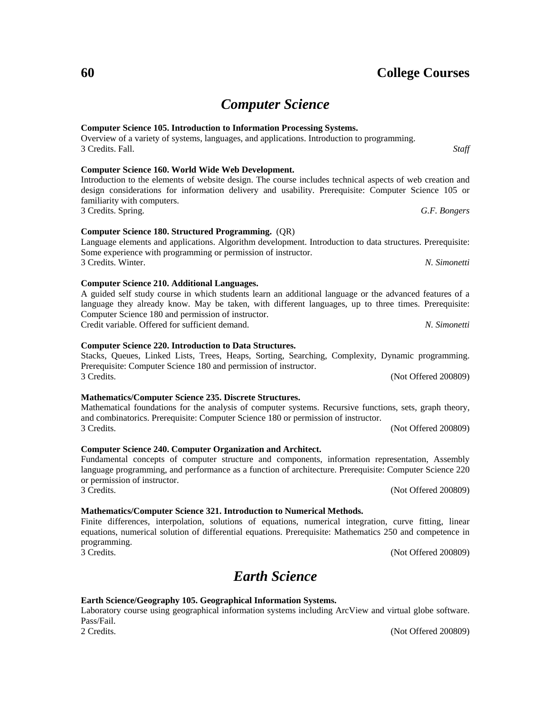# *Computer Science*

### **Computer Science 105. Introduction to Information Processing Systems.** Overview of a variety of systems, languages, and applications. Introduction to programming. 3 Credits. Fall. *Staff*

#### **Computer Science 160. World Wide Web Development.** Introduction to the elements of website design. The course includes technical aspects of web creation and design considerations for information delivery and usability. Prerequisite: Computer Science 105 or familiarity with computers.

3 Credits. Spring. *G.F. Bongers*

**Computer Science 180. Structured Programming.** (QR)

Language elements and applications. Algorithm development. Introduction to data structures. Prerequisite: Some experience with programming or permission of instructor. 3 Credits. Winter. *N. Simonetti*

A guided self study course in which students learn an additional language or the advanced features of a language they already know. May be taken, with different languages, up to three times. Prerequisite: Computer Science 180 and permission of instructor.

Credit variable. Offered for sufficient demand. *N. Simonetti*

**Computer Science 210. Additional Languages.**

### **Computer Science 220. Introduction to Data Structures.**

Stacks, Queues, Linked Lists, Trees, Heaps, Sorting, Searching, Complexity, Dynamic programming. Prerequisite: Computer Science 180 and permission of instructor. 3 Credits. (Not Offered 200809)

### **Mathematics/Computer Science 235. Discrete Structures.**

Mathematical foundations for the analysis of computer systems. Recursive functions, sets, graph theory, and combinatorics. Prerequisite: Computer Science 180 or permission of instructor. 3 Credits. (Not Offered 200809)

#### **Computer Science 240. Computer Organization and Architect.**

#### Fundamental concepts of computer structure and components, information representation, Assembly language programming, and performance as a function of architecture. Prerequisite: Computer Science 220 or permission of instructor. 3 Credits. (Not Offered 200809)

### **Mathematics/Computer Science 321. Introduction to Numerical Methods.**

Finite differences, interpolation, solutions of equations, numerical integration, curve fitting, linear equations, numerical solution of differential equations. Prerequisite: Mathematics 250 and competence in programming. 3 Credits. (Not Offered 200809)

# *Earth Science*

### **Earth Science/Geography 105. Geographical Information Systems.**

Laboratory course using geographical information systems including ArcView and virtual globe software. Pass/Fail.

2 Credits. (Not Offered 200809)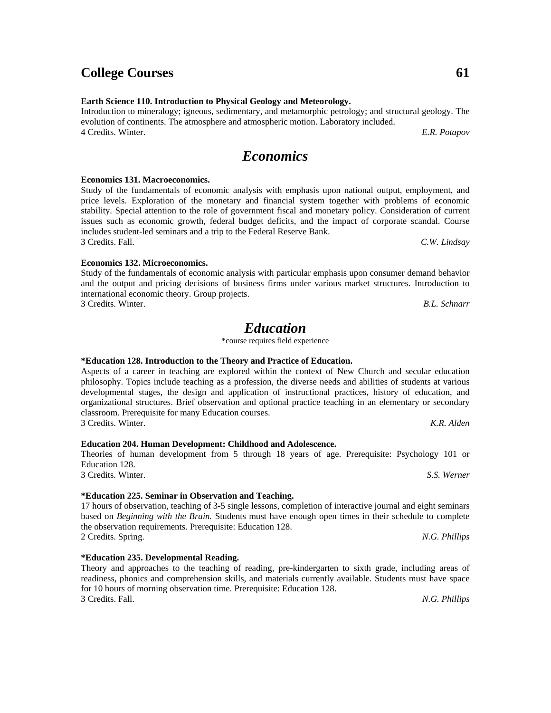**Earth Science 110. Introduction to Physical Geology and Meteorology.**

Introduction to mineralogy; igneous, sedimentary, and metamorphic petrology; and structural geology. The evolution of continents. The atmosphere and atmospheric motion. Laboratory included. 4 Credits. Winter. *E.R. Potapov*

# *Economics*

#### **Economics 131. Macroeconomics.**

Study of the fundamentals of economic analysis with emphasis upon national output, employment, and price levels. Exploration of the monetary and financial system together with problems of economic stability. Special attention to the role of government fiscal and monetary policy. Consideration of current issues such as economic growth, federal budget deficits, and the impact of corporate scandal. Course includes student-led seminars and a trip to the Federal Reserve Bank. 3 Credits. Fall. *C.W. Lindsay*

#### **Economics 132. Microeconomics.**

Study of the fundamentals of economic analysis with particular emphasis upon consumer demand behavior and the output and pricing decisions of business firms under various market structures. Introduction to international economic theory. Group projects.

3 Credits. Winter. *B.L. Schnarr*

# *Education*

\*course requires field experience

# **\*Education 128. Introduction to the Theory and Practice of Education.**

Aspects of a career in teaching are explored within the context of New Church and secular education philosophy. Topics include teaching as a profession, the diverse needs and abilities of students at various developmental stages, the design and application of instructional practices, history of education, and organizational structures. Brief observation and optional practice teaching in an elementary or secondary classroom. Prerequisite for many Education courses. 3 Credits. Winter. *K.R. Alden*

# **Education 204. Human Development: Childhood and Adolescence.**

#### Theories of human development from 5 through 18 years of age. Prerequisite: Psychology 101 or Education 128. 3 Credits. Winter. *S.S. Werner*

# **\*Education 225. Seminar in Observation and Teaching.**

17 hours of observation, teaching of 3-5 single lessons, completion of interactive journal and eight seminars based on *Beginning with the Brain.* Students must have enough open times in their schedule to complete the observation requirements. Prerequisite: Education 128. 2 Credits. Spring. *N.G. Phillips*

# **\*Education 235. Developmental Reading.**

Theory and approaches to the teaching of reading, pre-kindergarten to sixth grade, including areas of readiness, phonics and comprehension skills, and materials currently available. Students must have space for 10 hours of morning observation time. Prerequisite: Education 128. 3 Credits. Fall. *N.G. Phillips*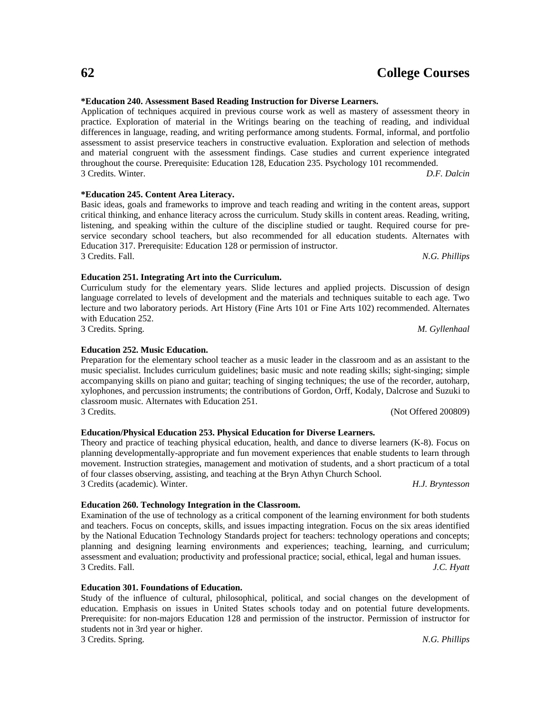#### **\*Education 240. Assessment Based Reading Instruction for Diverse Learners.**

Application of techniques acquired in previous course work as well as mastery of assessment theory in practice. Exploration of material in the Writings bearing on the teaching of reading, and individual differences in language, reading, and writing performance among students. Formal, informal, and portfolio assessment to assist preservice teachers in constructive evaluation. Exploration and selection of methods and material congruent with the assessment findings. Case studies and current experience integrated throughout the course. Prerequisite: Education 128, Education 235. Psychology 101 recommended. 3 Credits. Winter. *D.F. Dalcin*

#### **\*Education 245. Content Area Literacy.**

Basic ideas, goals and frameworks to improve and teach reading and writing in the content areas, support critical thinking, and enhance literacy across the curriculum. Study skills in content areas. Reading, writing, listening, and speaking within the culture of the discipline studied or taught. Required course for preservice secondary school teachers, but also recommended for all education students. Alternates with Education 317. Prerequisite: Education 128 or permission of instructor. 3 Credits. Fall. *N.G. Phillips*

#### **Education 251. Integrating Art into the Curriculum.**

Curriculum study for the elementary years. Slide lectures and applied projects. Discussion of design language correlated to levels of development and the materials and techniques suitable to each age. Two lecture and two laboratory periods. Art History (Fine Arts 101 or Fine Arts 102) recommended. Alternates with Education 252.

3 Credits. Spring. *M. Gyllenhaal*

#### **Education 252. Music Education.**

Preparation for the elementary school teacher as a music leader in the classroom and as an assistant to the music specialist. Includes curriculum guidelines; basic music and note reading skills; sight-singing; simple accompanying skills on piano and guitar; teaching of singing techniques; the use of the recorder, autoharp, xylophones, and percussion instruments; the contributions of Gordon, Orff, Kodaly, Dalcrose and Suzuki to classroom music. Alternates with Education 251. 3 Credits. (Not Offered 200809)

#### **Education/Physical Education 253. Physical Education for Diverse Learners.**

Theory and practice of teaching physical education, health, and dance to diverse learners (K-8). Focus on planning developmentally-appropriate and fun movement experiences that enable students to learn through movement. Instruction strategies, management and motivation of students, and a short practicum of a total of four classes observing, assisting, and teaching at the Bryn Athyn Church School. 3 Credits (academic). Winter. *H.J. Bryntesson*

#### **Education 260. Technology Integration in the Classroom.**

Examination of the use of technology as a critical component of the learning environment for both students and teachers. Focus on concepts, skills, and issues impacting integration. Focus on the six areas identified by the National Education Technology Standards project for teachers: technology operations and concepts; planning and designing learning environments and experiences; teaching, learning, and curriculum; assessment and evaluation; productivity and professional practice; social, ethical, legal and human issues. 3 Credits. Fall. *J.C. Hyatt*

#### **Education 301. Foundations of Education.**

Study of the influence of cultural, philosophical, political, and social changes on the development of education. Emphasis on issues in United States schools today and on potential future developments. Prerequisite: for non-majors Education 128 and permission of the instructor. Permission of instructor for students not in 3rd year or higher.

3 Credits. Spring. *N.G. Phillips*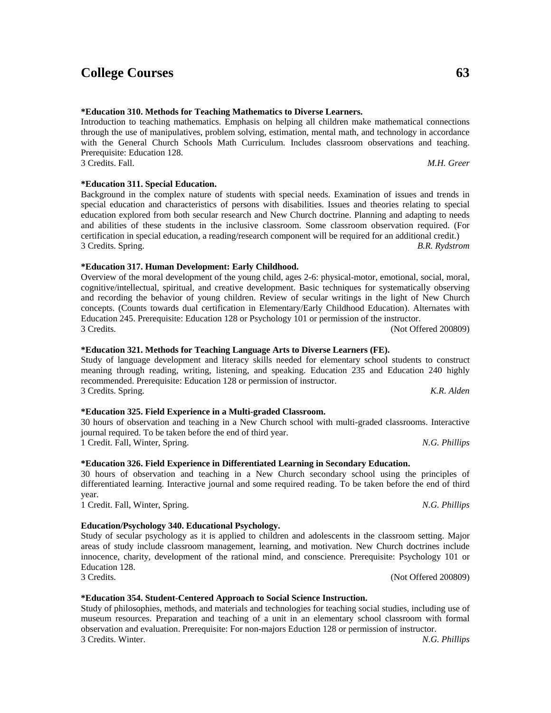### **\*Education 310. Methods for Teaching Mathematics to Diverse Learners.**

Introduction to teaching mathematics. Emphasis on helping all children make mathematical connections through the use of manipulatives, problem solving, estimation, mental math, and technology in accordance with the General Church Schools Math Curriculum. Includes classroom observations and teaching. Prerequisite: Education 128. 3 Credits. Fall. *M.H. Greer*

**\*Education 311. Special Education.**

Background in the complex nature of students with special needs. Examination of issues and trends in special education and characteristics of persons with disabilities. Issues and theories relating to special education explored from both secular research and New Church doctrine. Planning and adapting to needs and abilities of these students in the inclusive classroom. Some classroom observation required. (For certification in special education, a reading/research component will be required for an additional credit.) 3 Credits. Spring. *B.R. Rydstrom*

#### **\*Education 317. Human Development: Early Childhood.**

Overview of the moral development of the young child, ages 2-6: physical-motor, emotional, social, moral, cognitive/intellectual, spiritual, and creative development. Basic techniques for systematically observing and recording the behavior of young children. Review of secular writings in the light of New Church concepts. (Counts towards dual certification in Elementary/Early Childhood Education). Alternates with Education 245. Prerequisite: Education 128 or Psychology 101 or permission of the instructor. 3 Credits. (Not Offered 200809)

#### **\*Education 321. Methods for Teaching Language Arts to Diverse Learners (FE).**

Study of language development and literacy skills needed for elementary school students to construct meaning through reading, writing, listening, and speaking. Education 235 and Education 240 highly recommended. Prerequisite: Education 128 or permission of instructor. 3 Credits. Spring. *K.R. Alden*

**\*Education 325. Field Experience in a Multi-graded Classroom.**

30 hours of observation and teaching in a New Church school with multi-graded classrooms. Interactive journal required. To be taken before the end of third year. 1 Credit. Fall, Winter, Spring. *N.G. Phillips*

#### **\*Education 326. Field Experience in Differentiated Learning in Secondary Education.**

30 hours of observation and teaching in a New Church secondary school using the principles of differentiated learning. Interactive journal and some required reading. To be taken before the end of third year.

1 Credit. Fall, Winter, Spring. *N.G. Phillips*

### **Education/Psychology 340. Educational Psychology.**

#### Study of secular psychology as it is applied to children and adolescents in the classroom setting. Major areas of study include classroom management, learning, and motivation. New Church doctrines include innocence, charity, development of the rational mind, and conscience. Prerequisite: Psychology 101 or Education 128. 3 Credits. (Not Offered 200809)

#### **\*Education 354. Student-Centered Approach to Social Science Instruction.**

Study of philosophies, methods, and materials and technologies for teaching social studies, including use of museum resources. Preparation and teaching of a unit in an elementary school classroom with formal observation and evaluation. Prerequisite: For non-majors Eduction 128 or permission of instructor. 3 Credits. Winter. *N.G. Phillips*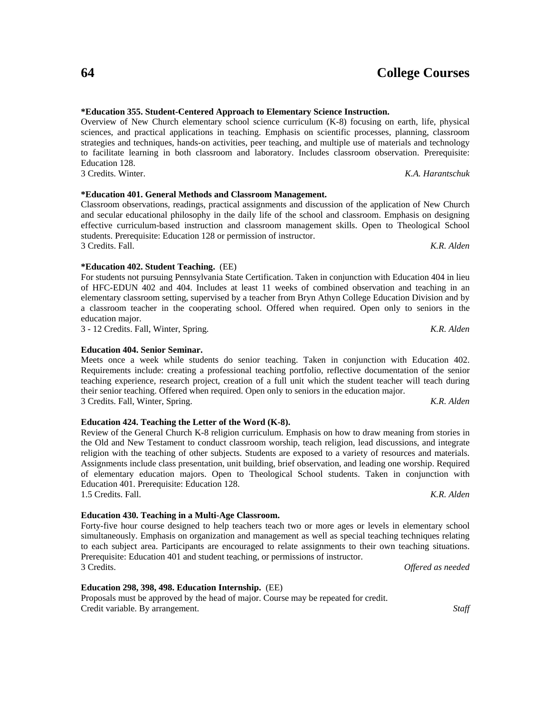### **\*Education 355. Student-Centered Approach to Elementary Science Instruction.**

Overview of New Church elementary school science curriculum (K-8) focusing on earth, life, physical sciences, and practical applications in teaching. Emphasis on scientific processes, planning, classroom strategies and techniques, hands-on activities, peer teaching, and multiple use of materials and technology to facilitate learning in both classroom and laboratory. Includes classroom observation. Prerequisite: Education 128. 3 Credits. Winter. *K.A. Harantschuk*

## **\*Education 401. General Methods and Classroom Management.**

Classroom observations, readings, practical assignments and discussion of the application of New Church and secular educational philosophy in the daily life of the school and classroom. Emphasis on designing effective curriculum-based instruction and classroom management skills. Open to Theological School students. Prerequisite: Education 128 or permission of instructor. 3 Credits. Fall. *K.R. Alden*

**\*Education 402. Student Teaching.** (EE)

For students not pursuing Pennsylvania State Certification. Taken in conjunction with Education 404 in lieu of HFC-EDUN 402 and 404. Includes at least 11 weeks of combined observation and teaching in an elementary classroom setting, supervised by a teacher from Bryn Athyn College Education Division and by a classroom teacher in the cooperating school. Offered when required. Open only to seniors in the education major.

3 - 12 Credits. Fall, Winter, Spring. *K.R. Alden*

## **Education 404. Senior Seminar.**

Meets once a week while students do senior teaching. Taken in conjunction with Education 402. Requirements include: creating a professional teaching portfolio, reflective documentation of the senior teaching experience, research project, creation of a full unit which the student teacher will teach during their senior teaching. Offered when required. Open only to seniors in the education major. 3 Credits. Fall, Winter, Spring. *K.R. Alden*

### **Education 424. Teaching the Letter of the Word (K-8).**

Review of the General Church K-8 religion curriculum. Emphasis on how to draw meaning from stories in the Old and New Testament to conduct classroom worship, teach religion, lead discussions, and integrate religion with the teaching of other subjects. Students are exposed to a variety of resources and materials. Assignments include class presentation, unit building, brief observation, and leading one worship. Required of elementary education majors. Open to Theological School students. Taken in conjunction with Education 401. Prerequisite: Education 128. 1.5 Credits. Fall. *K.R. Alden*

# **Education 430. Teaching in a Multi-Age Classroom.**

Forty-five hour course designed to help teachers teach two or more ages or levels in elementary school simultaneously. Emphasis on organization and management as well as special teaching techniques relating to each subject area. Participants are encouraged to relate assignments to their own teaching situations. Prerequisite: Education 401 and student teaching, or permissions of instructor. 3 Credits. *Offered as needed*

# **Education 298, 398, 498. Education Internship.** (EE)

Proposals must be approved by the head of major. Course may be repeated for credit. Credit variable. By arrangement. *Staff*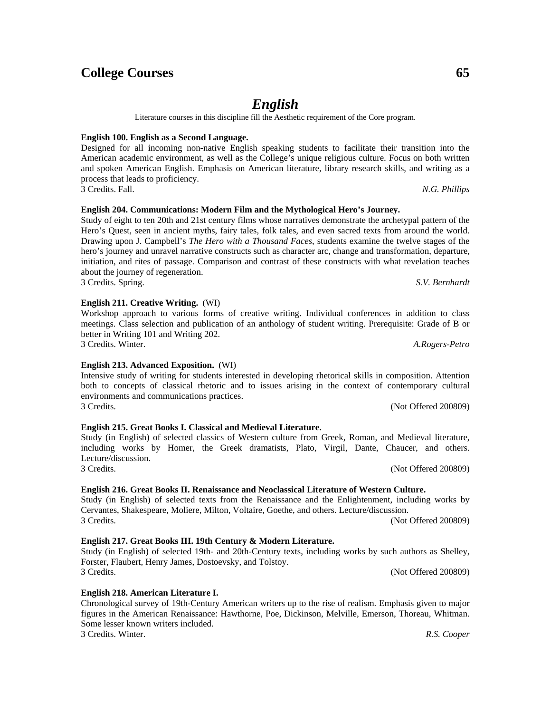*English*

Literature courses in this discipline fill the Aesthetic requirement of the Core program.

#### **English 100. English as a Second Language.**

Designed for all incoming non-native English speaking students to facilitate their transition into the American academic environment, as well as the College's unique religious culture. Focus on both written and spoken American English. Emphasis on American literature, library research skills, and writing as a process that leads to proficiency. 3 Credits. Fall. *N.G. Phillips*

#### **English 204. Communications: Modern Film and the Mythological Hero's Journey.**

Study of eight to ten 20th and 21st century films whose narratives demonstrate the archetypal pattern of the Hero's Quest, seen in ancient myths, fairy tales, folk tales, and even sacred texts from around the world. Drawing upon J. Campbell's *The Hero with a Thousand Faces*, students examine the twelve stages of the hero's journey and unravel narrative constructs such as character arc, change and transformation, departure, initiation, and rites of passage. Comparison and contrast of these constructs with what revelation teaches about the journey of regeneration.

3 Credits. Spring. *S.V. Bernhardt*

#### **English 211. Creative Writing.** (WI)

#### Workshop approach to various forms of creative writing. Individual conferences in addition to class meetings. Class selection and publication of an anthology of student writing. Prerequisite: Grade of B or better in Writing 101 and Writing 202. 3 Credits. Winter. *A.Rogers-Petro*

#### **English 213. Advanced Exposition.** (WI)

#### Intensive study of writing for students interested in developing rhetorical skills in composition. Attention both to concepts of classical rhetoric and to issues arising in the context of contemporary cultural environments and communications practices. 3 Credits. (Not Offered 200809)

#### **English 215. Great Books I. Classical and Medieval Literature.**

#### Study (in English) of selected classics of Western culture from Greek, Roman, and Medieval literature, including works by Homer, the Greek dramatists, Plato, Virgil, Dante, Chaucer, and others. Lecture/discussion. 3 Credits. (Not Offered 200809)

#### **English 216. Great Books II. Renaissance and Neoclassical Literature of Western Culture.**

Study (in English) of selected texts from the Renaissance and the Enlightenment, including works by Cervantes, Shakespeare, Moliere, Milton, Voltaire, Goethe, and others. Lecture/discussion. 3 Credits. (Not Offered 200809)

#### **English 217. Great Books III. 19th Century & Modern Literature.**

Study (in English) of selected 19th- and 20th-Century texts, including works by such authors as Shelley, Forster, Flaubert, Henry James, Dostoevsky, and Tolstoy. 3 Credits. (Not Offered 200809)

**English 218. American Literature I.** Chronological survey of 19th-Century American writers up to the rise of realism. Emphasis given to major figures in the American Renaissance: Hawthorne, Poe, Dickinson, Melville, Emerson, Thoreau, Whitman. Some lesser known writers included. 3 Credits. Winter. *R.S. Cooper*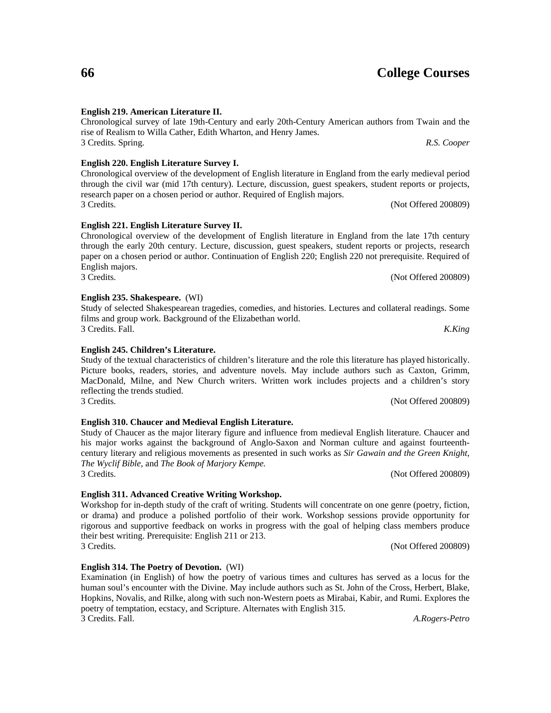# **English 219. American Literature II.**

# Chronological survey of late 19th-Century and early 20th-Century American authors from Twain and the rise of Realism to Willa Cather, Edith Wharton, and Henry James. 3 Credits. Spring. *R.S. Cooper*

**English 220. English Literature Survey I.** Chronological overview of the development of English literature in England from the early medieval period through the civil war (mid 17th century). Lecture, discussion, guest speakers, student reports or projects, research paper on a chosen period or author. Required of English majors.

3 Credits. (Not Offered 200809)

3 Credits. (Not Offered 200809)

Examination (in English) of how the poetry of various times and cultures has served as a locus for the human soul's encounter with the Divine. May include authors such as St. John of the Cross, Herbert, Blake, Hopkins, Novalis, and Rilke, along with such non-Western poets as Mirabai, Kabir, and Rumi. Explores the poetry of temptation, ecstacy, and Scripture. Alternates with English 315. 3 Credits. Fall. *A.Rogers-Petro*

### **English 221. English Literature Survey II.**

Chronological overview of the development of English literature in England from the late 17th century through the early 20th century. Lecture, discussion, guest speakers, student reports or projects, research paper on a chosen period or author. Continuation of English 220; English 220 not prerequisite. Required of English majors.<br>3 Credits. (Not Offered 200809)

### **English 235. Shakespeare.** (WI)

Study of selected Shakespearean tragedies, comedies, and histories. Lectures and collateral readings. Some films and group work. Background of the Elizabethan world. 3 Credits. Fall. *K.King*

**English 245. Children's Literature.** Study of the textual characteristics of children's literature and the role this literature has played historically. Picture books, readers, stories, and adventure novels. May include authors such as Caxton, Grimm, MacDonald, Milne, and New Church writers. Written work includes projects and a children's story reflecting the trends studied.

**English 310. Chaucer and Medieval English Literature.** Study of Chaucer as the major literary figure and influence from medieval English literature. Chaucer and his major works against the background of Anglo-Saxon and Norman culture and against fourteenthcentury literary and religious movements as presented in such works as *Sir Gawain and the Green Knight*, *The Wyclif Bible*, and *The Book of Marjory Kempe.*

3 Credits. (Not Offered 200809)

### **English 311. Advanced Creative Writing Workshop.**

**English 314. The Poetry of Devotion.** (WI)

Workshop for in-depth study of the craft of writing. Students will concentrate on one genre (poetry, fiction, or drama) and produce a polished portfolio of their work. Workshop sessions provide opportunity for rigorous and supportive feedback on works in progress with the goal of helping class members produce their best writing. Prerequisite: English 211 or 213. 3 Credits. (Not Offered 200809)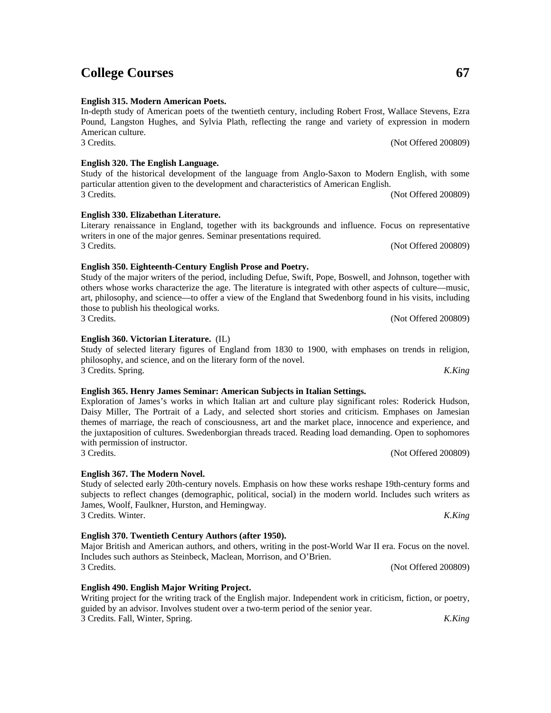3 Credits. (Not Offered 200809)

3 Credits. (Not Offered 200809)

3 Credits. (Not Offered 200809)

Writing project for the writing track of the English major. Independent work in criticism, fiction, or poetry, guided by an advisor. Involves student over a two-term period of the senior year. 3 Credits. Fall, Winter, Spring. *K.King*

#### **English 320. The English Language.**

**English 315. Modern American Poets.**

# **English 330. Elizabethan Literature.**

# 3 Credits. (Not Offered 200809)

writers in one of the major genres. Seminar presentations required.

**English 350. Eighteenth-Century English Prose and Poetry.** Study of the major writers of the period, including Defue, Swift, Pope, Boswell, and Johnson, together with others whose works characterize the age. The literature is integrated with other aspects of culture—music, art, philosophy, and science—to offer a view of the England that Swedenborg found in his visits, including those to publish his theological works. 3 Credits. (Not Offered 200809)

In-depth study of American poets of the twentieth century, including Robert Frost, Wallace Stevens, Ezra Pound, Langston Hughes, and Sylvia Plath, reflecting the range and variety of expression in modern

Study of the historical development of the language from Anglo-Saxon to Modern English, with some

Literary renaissance in England, together with its backgrounds and influence. Focus on representative

particular attention given to the development and characteristics of American English.

**English 360. Victorian Literature.** (IL)

Study of selected literary figures of England from 1830 to 1900, with emphases on trends in religion, philosophy, and science, and on the literary form of the novel. 3 Credits. Spring. *K.King*

#### **English 365. Henry James Seminar: American Subjects in Italian Settings.**

Exploration of James's works in which Italian art and culture play significant roles: Roderick Hudson, Daisy Miller, The Portrait of a Lady, and selected short stories and criticism. Emphases on Jamesian themes of marriage, the reach of consciousness, art and the market place, innocence and experience, and the juxtaposition of cultures. Swedenborgian threads traced. Reading load demanding. Open to sophomores with permission of instructor.

### **English 367. The Modern Novel.**

Study of selected early 20th-century novels. Emphasis on how these works reshape 19th-century forms and subjects to reflect changes (demographic, political, social) in the modern world. Includes such writers as James, Woolf, Faulkner, Hurston, and Hemingway. 3 Credits. Winter. *K.King*

Major British and American authors, and others, writing in the post-World War II era. Focus on the novel.

**English 370. Twentieth Century Authors (after 1950).**

Includes such authors as Steinbeck, Maclean, Morrison, and O'Brien.

**English 490. English Major Writing Project.**

# **College Courses 67**

American culture. 3 Credits. (Not Offered 200809)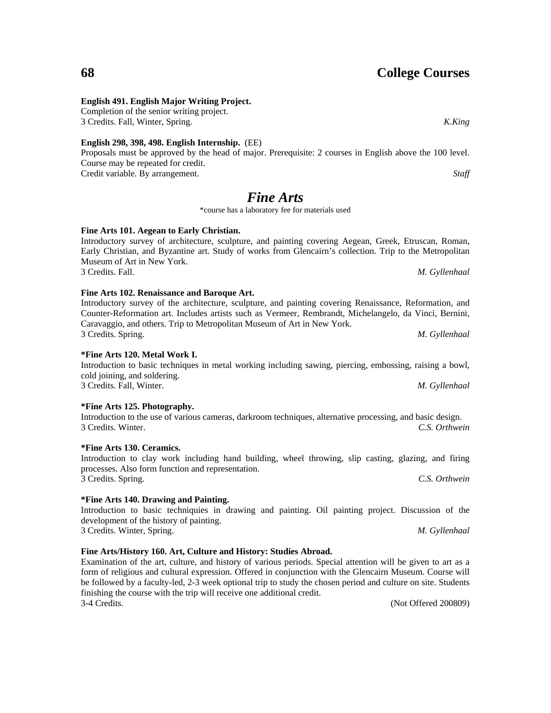## **English 491. English Major Writing Project.**

Completion of the senior writing project. 3 Credits. Fall, Winter, Spring. *K.King*

## **English 298, 398, 498. English Internship.** (EE)

Proposals must be approved by the head of major. Prerequisite: 2 courses in English above the 100 level. Course may be repeated for credit. Credit variable. By arrangement. *Staff*

# *Fine Arts*

\*course has a laboratory fee for materials used

# **Fine Arts 101. Aegean to Early Christian.**

Introductory survey of architecture, sculpture, and painting covering Aegean, Greek, Etruscan, Roman, Early Christian, and Byzantine art. Study of works from Glencairn's collection. Trip to the Metropolitan Museum of Art in New York. 3 Credits. Fall. *M. Gyllenhaal*

**Fine Arts 102. Renaissance and Baroque Art.**

# Introductory survey of the architecture, sculpture, and painting covering Renaissance, Reformation, and Counter-Reformation art. Includes artists such as Vermeer, Rembrandt, Michelangelo, da Vinci, Bernini, Caravaggio, and others. Trip to Metropolitan Museum of Art in New York.

3 Credits. Spring. *M. Gyllenhaal*

### **\*Fine Arts 120. Metal Work I.**

Introduction to basic techniques in metal working including sawing, piercing, embossing, raising a bowl, cold joining, and soldering. 3 Credits. Fall, Winter. *M. Gyllenhaal*

**\*Fine Arts 125. Photography.** Introduction to the use of various cameras, darkroom techniques, alternative processing, and basic design. 3 Credits. Winter. *C.S. Orthwein*

### **\*Fine Arts 130. Ceramics.**

Introduction to clay work including hand building, wheel throwing, slip casting, glazing, and firing processes. Also form function and representation. 3 Credits. Spring. *C.S. Orthwein*

# **\*Fine Arts 140. Drawing and Painting.**

Introduction to basic techniquies in drawing and painting. Oil painting project. Discussion of the development of the history of painting. 3 Credits. Winter, Spring. *M. Gyllenhaal*

# **Fine Arts/History 160. Art, Culture and History: Studies Abroad.**

Examination of the art, culture, and history of various periods. Special attention will be given to art as a form of religious and cultural expression. Offered in conjunction with the Glencairn Museum. Course will be followed by a faculty-led, 2-3 week optional trip to study the chosen period and culture on site. Students finishing the course with the trip will receive one additional credit. 3-4 Credits. (Not Offered 200809)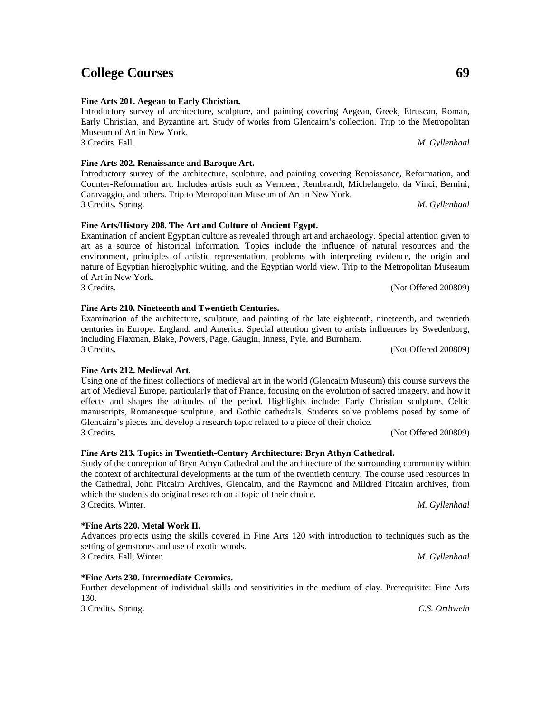3 Credits. Spring. *M. Gyllenhaal*

3 Credits. (Not Offered 200809)

**\*Fine Arts 220. Metal Work II.** Advances projects using the skills covered in Fine Arts 120 with introduction to techniques such as the setting of gemstones and use of exotic woods. 3 Credits. Fall, Winter. *M. Gyllenhaal*

**\*Fine Arts 230. Intermediate Ceramics.**

Further development of individual skills and sensitivities in the medium of clay. Prerequisite: Fine Arts 130.

3 Credits. Spring. *C.S. Orthwein*

3 Credits. (Not Offered 200809)

**Fine Arts 212. Medieval Art.**

Using one of the finest collections of medieval art in the world (Glencairn Museum) this course surveys the art of Medieval Europe, particularly that of France, focusing on the evolution of sacred imagery, and how it effects and shapes the attitudes of the period. Highlights include: Early Christian sculpture, Celtic manuscripts, Romanesque sculpture, and Gothic cathedrals. Students solve problems posed by some of Glencairn's pieces and develop a research topic related to a piece of their choice. 3 Credits. (Not Offered 200809)

Introductory survey of architecture, sculpture, and painting covering Aegean, Greek, Etruscan, Roman, Early Christian, and Byzantine art. Study of works from Glencairn's collection. Trip to the Metropolitan

3 Credits. Fall. *M. Gyllenhaal*

Introductory survey of the architecture, sculpture, and painting covering Renaissance, Reformation, and Counter-Reformation art. Includes artists such as Vermeer, Rembrandt, Michelangelo, da Vinci, Bernini,

Examination of ancient Egyptian culture as revealed through art and archaeology. Special attention given to art as a source of historical information. Topics include the influence of natural resources and the environment, principles of artistic representation, problems with interpreting evidence, the origin and nature of Egyptian hieroglyphic writing, and the Egyptian world view. Trip to the Metropolitan Museaum

**Fine Arts 213. Topics in Twentieth-Century Architecture: Bryn Athyn Cathedral.**

Study of the conception of Bryn Athyn Cathedral and the architecture of the surrounding community within the context of architectural developments at the turn of the twentieth century. The course used resources in the Cathedral, John Pitcairn Archives, Glencairn, and the Raymond and Mildred Pitcairn archives, from which the students do original research on a topic of their choice. 3 Credits. Winter. *M. Gyllenhaal*

Examination of the architecture, sculpture, and painting of the late eighteenth, nineteenth, and twentieth

**Fine Arts 201. Aegean to Early Christian.**

**Fine Arts 202. Renaissance and Baroque Art.**

Caravaggio, and others. Trip to Metropolitan Museum of Art in New York.

**Fine Arts/History 208. The Art and Culture of Ancient Egypt.**

Museum of Art in New York.

centuries in Europe, England, and America. Special attention given to artists influences by Swedenborg, including Flaxman, Blake, Powers, Page, Gaugin, Inness, Pyle, and Burnham.

**Fine Arts 210. Nineteenth and Twentieth Centuries.**

of Art in New York.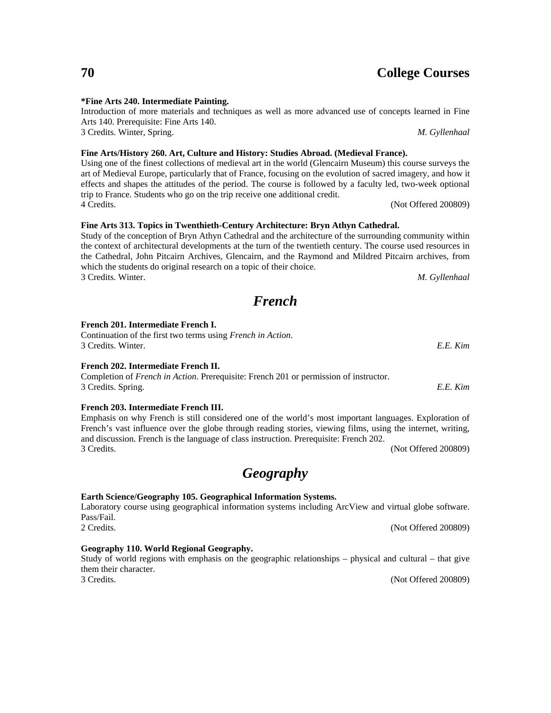#### **\*Fine Arts 240. Intermediate Painting.**

Introduction of more materials and techniques as well as more advanced use of concepts learned in Fine Arts 140. Prerequisite: Fine Arts 140. 3 Credits. Winter, Spring. *M. Gyllenhaal*

**Fine Arts/History 260. Art, Culture and History: Studies Abroad. (Medieval France).**

Using one of the finest collections of medieval art in the world (Glencairn Museum) this course surveys the art of Medieval Europe, particularly that of France, focusing on the evolution of sacred imagery, and how it effects and shapes the attitudes of the period. The course is followed by a faculty led, two-week optional trip to France. Students who go on the trip receive one additional credit. 4 Credits. (Not Offered 200809)

## **Fine Arts 313. Topics in Twenthieth-Century Architecture: Bryn Athyn Cathedral.**

Study of the conception of Bryn Athyn Cathedral and the architecture of the surrounding community within the context of architectural developments at the turn of the twentieth century. The course used resources in the Cathedral, John Pitcairn Archives, Glencairn, and the Raymond and Mildred Pitcairn archives, from which the students do original research on a topic of their choice. 3 Credits. Winter. *M. Gyllenhaal*

*French*

### **French 201. Intermediate French I.**

| Continuation of the first two terms using <i>French in Action</i> . |          |
|---------------------------------------------------------------------|----------|
| 3 Credits. Winter.                                                  | E.E. Kim |

### **French 202. Intermediate French II.**

Completion of *French in Action*. Prerequisite: French 201 or permission of instructor. 3 Credits. Spring. *E.E. Kim*

#### **French 203. Intermediate French III.**

Emphasis on why French is still considered one of the world's most important languages. Exploration of French's vast influence over the globe through reading stories, viewing films, using the internet, writing, and discussion. French is the language of class instruction. Prerequisite: French 202. 3 Credits. (Not Offered 200809)

# *Geography*

### **Earth Science/Geography 105. Geographical Information Systems.**

Laboratory course using geographical information systems including ArcView and virtual globe software. Pass/Fail. 2 Credits. (Not Offered 200809)

#### **Geography 110. World Regional Geography.**

#### Study of world regions with emphasis on the geographic relationships – physical and cultural – that give them their character. 3 Credits. (Not Offered 200809)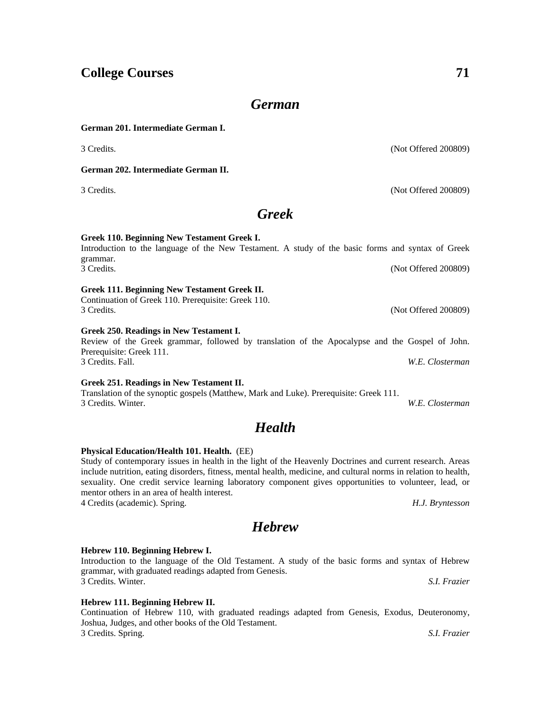## *German*

#### **German 201. Intermediate German I.**

**German 202. Intermediate German II.**

grammar.

## *Greek*

3 Credits. (Not Offered 200809)

#### **Greek 110. Beginning New Testament Greek I.** Introduction to the language of the New Testament. A study of the basic forms and syntax of Greek

## **Greek 111. Beginning New Testament Greek II.**

Continuation of Greek 110. Prerequisite: Greek 110. 3 Credits. (Not Offered 200809)

#### **Greek 250. Readings in New Testament I.**

## Review of the Greek grammar, followed by translation of the Apocalypse and the Gospel of John. Prerequisite: Greek 111. 3 Credits. Fall. *W.E. Closterman*

**Greek 251. Readings in New Testament II.**

Translation of the synoptic gospels (Matthew, Mark and Luke). Prerequisite: Greek 111. 3 Credits. Winter. *W.E. Closterman*

## *Health*

### **Physical Education/Health 101. Health.** (EE)

Study of contemporary issues in health in the light of the Heavenly Doctrines and current research. Areas include nutrition, eating disorders, fitness, mental health, medicine, and cultural norms in relation to health, sexuality. One credit service learning laboratory component gives opportunities to volunteer, lead, or mentor others in an area of health interest.

4 Credits (academic). Spring. *H.J. Bryntesson*

## *Hebrew*

### **Hebrew 110. Beginning Hebrew I.**

Introduction to the language of the Old Testament. A study of the basic forms and syntax of Hebrew grammar, with graduated readings adapted from Genesis. 3 Credits. Winter. *S.I. Frazier*

### **Hebrew 111. Beginning Hebrew II.**

Continuation of Hebrew 110, with graduated readings adapted from Genesis, Exodus, Deuteronomy, Joshua, Judges, and other books of the Old Testament. 3 Credits. Spring. *S.I. Frazier*

3 Credits. (Not Offered 200809)

3 Credits. (Not Offered 200809)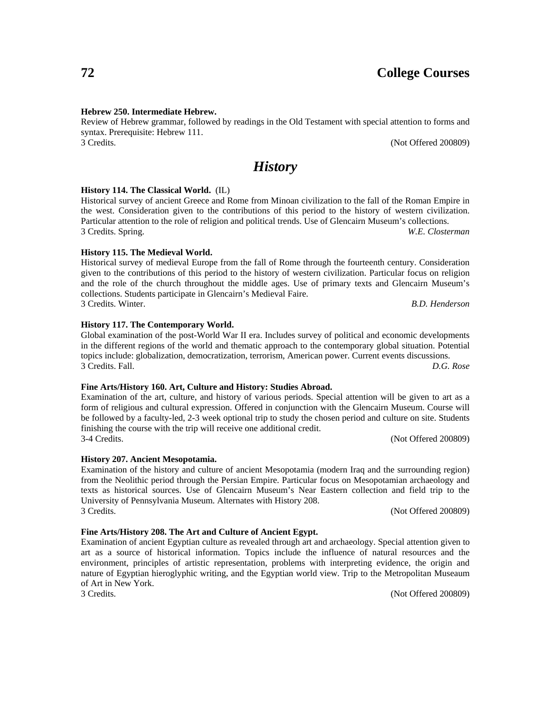#### **Hebrew 250. Intermediate Hebrew.**

Review of Hebrew grammar, followed by readings in the Old Testament with special attention to forms and syntax. Prerequisite: Hebrew 111. 3 Credits. (Not Offered 200809)

## *History*

#### **History 114. The Classical World.** (IL)

Historical survey of ancient Greece and Rome from Minoan civilization to the fall of the Roman Empire in the west. Consideration given to the contributions of this period to the history of western civilization. Particular attention to the role of religion and political trends. Use of Glencairn Museum's collections. 3 Credits. Spring. *W.E. Closterman*

#### **History 115. The Medieval World.**

Historical survey of medieval Europe from the fall of Rome through the fourteenth century. Consideration given to the contributions of this period to the history of western civilization. Particular focus on religion and the role of the church throughout the middle ages. Use of primary texts and Glencairn Museum's collections. Students participate in Glencairn's Medieval Faire. 3 Credits. Winter. *B.D. Henderson*

**History 117. The Contemporary World.**

Global examination of the post-World War II era. Includes survey of political and economic developments in the different regions of the world and thematic approach to the contemporary global situation. Potential topics include: globalization, democratization, terrorism, American power. Current events discussions. 3 Credits. Fall. *D.G. Rose*

#### **Fine Arts/History 160. Art, Culture and History: Studies Abroad.**

Examination of the art, culture, and history of various periods. Special attention will be given to art as a form of religious and cultural expression. Offered in conjunction with the Glencairn Museum. Course will be followed by a faculty-led, 2-3 week optional trip to study the chosen period and culture on site. Students finishing the course with the trip will receive one additional credit. 3-4 Credits. (Not Offered 200809)

**History 207. Ancient Mesopotamia.** Examination of the history and culture of ancient Mesopotamia (modern Iraq and the surrounding region) from the Neolithic period through the Persian Empire. Particular focus on Mesopotamian archaeology and texts as historical sources. Use of Glencairn Museum's Near Eastern collection and field trip to the University of Pennsylvania Museum. Alternates with History 208.

3 Credits. (Not Offered 200809)

#### **Fine Arts/History 208. The Art and Culture of Ancient Egypt.**

Examination of ancient Egyptian culture as revealed through art and archaeology. Special attention given to art as a source of historical information. Topics include the influence of natural resources and the environment, principles of artistic representation, problems with interpreting evidence, the origin and nature of Egyptian hieroglyphic writing, and the Egyptian world view. Trip to the Metropolitan Museaum of Art in New York.

3 Credits. (Not Offered 200809)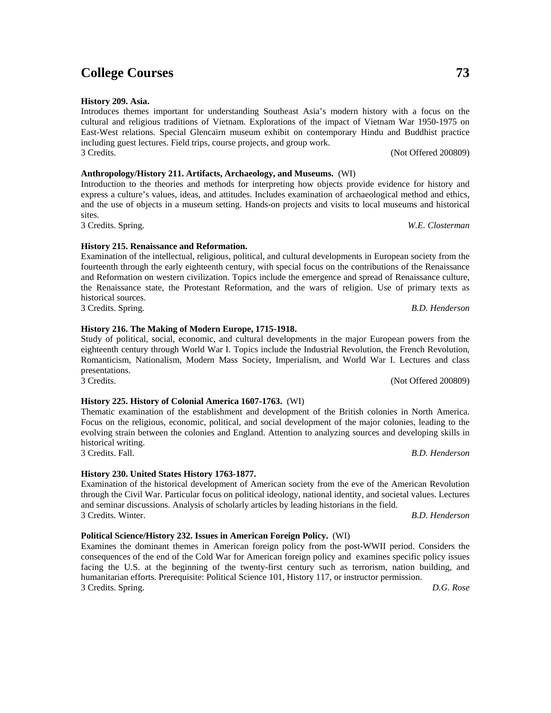Examines the dominant themes in American foreign policy from the post-WWII period. Considers the consequences of the end of the Cold War for American foreign policy and examines specific policy issues facing the U.S. at the beginning of the twenty-first century such as terrorism, nation building, and humanitarian efforts. Prerequisite: Political Science 101, History 117, or instructor permission. 3 Credits. Spring. *D.G. Rose*

Introduction to the theories and methods for interpreting how objects provide evidence for history and express a culture's values, ideas, and attitudes. Includes examination of archaeological method and ethics, and the use of objects in a museum setting. Hands-on projects and visits to local museums and historical sites. 3 Credits. Spring. *W.E. Closterman*

Introduces themes important for understanding Southeast Asia's modern history with a focus on the cultural and religious traditions of Vietnam. Explorations of the impact of Vietnam War 1950-1975 on East-West relations. Special Glencairn museum exhibit on contemporary Hindu and Buddhist practice

3 Credits. (Not Offered 200809)

**History 209. Asia.**

#### **History 215. Renaissance and Reformation.**

Examination of the intellectual, religious, political, and cultural developments in European society from the fourteenth through the early eighteenth century, with special focus on the contributions of the Renaissance and Reformation on western civilization. Topics include the emergence and spread of Renaissance culture, the Renaissance state, the Protestant Reformation, and the wars of religion. Use of primary texts as historical sources. 3 Credits. Spring. *B.D. Henderson*

#### **History 216. The Making of Modern Europe, 1715-1918.**

Study of political, social, economic, and cultural developments in the major European powers from the eighteenth century through World War I. Topics include the Industrial Revolution, the French Revolution, Romanticism, Nationalism, Modern Mass Society, Imperialism, and World War I. Lectures and class presentations. 3 Credits. (Not Offered 200809)

### **History 225. History of Colonial America 1607-1763.** (WI)

Thematic examination of the establishment and development of the British colonies in North America. Focus on the religious, economic, political, and social development of the major colonies, leading to the evolving strain between the colonies and England. Attention to analyzing sources and developing skills in historical writing. 3 Credits. Fall. *B.D. Henderson*

**History 230. United States History 1763-1877.**

Examination of the historical development of American society from the eve of the American Revolution through the Civil War. Particular focus on political ideology, national identity, and societal values. Lectures and seminar discussions. Analysis of scholarly articles by leading historians in the field. 3 Credits. Winter. *B.D. Henderson*

**Political Science/History 232. Issues in American Foreign Policy.** (WI)

including guest lectures. Field trips, course projects, and group work.

**Anthropology/History 211. Artifacts, Archaeology, and Museums.** (WI)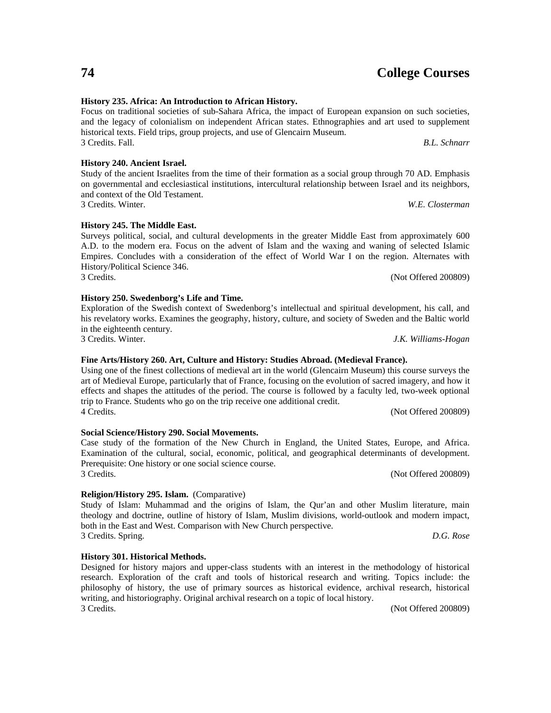### **History 235. Africa: An Introduction to African History.**

Focus on traditional societies of sub-Sahara Africa, the impact of European expansion on such societies, and the legacy of colonialism on independent African states. Ethnographies and art used to supplement historical texts. Field trips, group projects, and use of Glencairn Museum. 3 Credits. Fall. *B.L. Schnarr*

**History 240. Ancient Israel.**

Study of the ancient Israelites from the time of their formation as a social group through 70 AD. Emphasis on governmental and ecclesiastical institutions, intercultural relationship between Israel and its neighbors, and context of the Old Testament. 3 Credits. Winter. *W.E. Closterman*

**History 245. The Middle East.**

Surveys political, social, and cultural developments in the greater Middle East from approximately 600 A.D. to the modern era. Focus on the advent of Islam and the waxing and waning of selected Islamic Empires. Concludes with a consideration of the effect of World War I on the region. Alternates with History/Political Science 346. 3 Credits. (Not Offered 200809)

#### **History 250. Swedenborg's Life and Time.**

Exploration of the Swedish context of Swedenborg's intellectual and spiritual development, his call, and his revelatory works. Examines the geography, history, culture, and society of Sweden and the Baltic world in the eighteenth century. 3 Credits. Winter. *J.K. Williams-Hogan*

#### **Fine Arts/History 260. Art, Culture and History: Studies Abroad. (Medieval France).**

Using one of the finest collections of medieval art in the world (Glencairn Museum) this course surveys the art of Medieval Europe, particularly that of France, focusing on the evolution of sacred imagery, and how it effects and shapes the attitudes of the period. The course is followed by a faculty led, two-week optional trip to France. Students who go on the trip receive one additional credit. 4 Credits. (Not Offered 200809)

**Social Science/History 290. Social Movements.**

Case study of the formation of the New Church in England, the United States, Europe, and Africa. Examination of the cultural, social, economic, political, and geographical determinants of development. Prerequisite: One history or one social science course. 3 Credits. (Not Offered 200809)

#### **Religion/History 295. Islam.** (Comparative)

Study of Islam: Muhammad and the origins of Islam, the Qur'an and other Muslim literature, main theology and doctrine, outline of history of Islam, Muslim divisions, world-outlook and modern impact, both in the East and West. Comparison with New Church perspective. 3 Credits. Spring. *D.G. Rose*

**History 301. Historical Methods.** Designed for history majors and upper-class students with an interest in the methodology of historical research. Exploration of the craft and tools of historical research and writing. Topics include: the philosophy of history, the use of primary sources as historical evidence, archival research, historical writing, and historiography. Original archival research on a topic of local history. 3 Credits. (Not Offered 200809)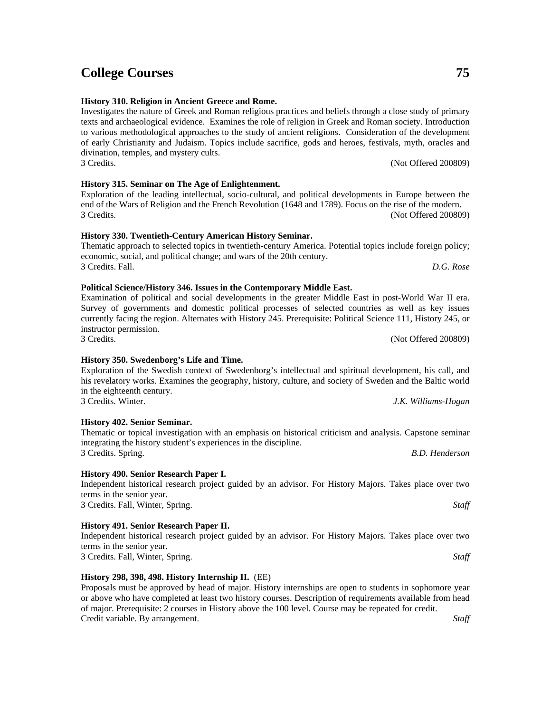3 Credits. (Not Offered 200809)

3 Credits. (Not Offered 200809)

#### **History 298, 398, 498. History Internship II.** (EE)

Proposals must be approved by head of major. History internships are open to students in sophomore year or above who have completed at least two history courses. Description of requirements available from head of major. Prerequisite: 2 courses in History above the 100 level. Course may be repeated for credit. Credit variable. By arrangement. *Staff*

## **College Courses 75**

#### **History 310. Religion in Ancient Greece and Rome.**

Investigates the nature of Greek and Roman religious practices and beliefs through a close study of primary texts and archaeological evidence. Examines the role of religion in Greek and Roman society. Introduction to various methodological approaches to the study of ancient religions. Consideration of the development of early Christianity and Judaism. Topics include sacrifice, gods and heroes, festivals, myth, oracles and divination, temples, and mystery cults. 3 Credits. (Not Offered 200809)

Exploration of the leading intellectual, socio-cultural, and political developments in Europe between the end of the Wars of Religion and the French Revolution (1648 and 1789). Focus on the rise of the modern.

**History 315. Seminar on The Age of Enlightenment.**

# **History 330. Twentieth-Century American History Seminar.**

Thematic approach to selected topics in twentieth-century America. Potential topics include foreign policy; economic, social, and political change; and wars of the 20th century. 3 Credits. Fall. *D.G. Rose*

**Political Science/History 346. Issues in the Contemporary Middle East.**

Examination of political and social developments in the greater Middle East in post-World War II era. Survey of governments and domestic political processes of selected countries as well as key issues currently facing the region. Alternates with History 245. Prerequisite: Political Science 111, History 245, or instructor permission.

#### **History 350. Swedenborg's Life and Time.**

Exploration of the Swedish context of Swedenborg's intellectual and spiritual development, his call, and his revelatory works. Examines the geography, history, culture, and society of Sweden and the Baltic world in the eighteenth century. 3 Credits. Winter. *J.K. Williams-Hogan*

Thematic or topical investigation with an emphasis on historical criticism and analysis. Capstone seminar

#### **History 402. Senior Seminar.**

#### integrating the history student's experiences in the discipline. 3 Credits. Spring. *B.D. Henderson*

#### **History 490. Senior Research Paper I.**

#### Independent historical research project guided by an advisor. For History Majors. Takes place over two terms in the senior year. 3 Credits. Fall, Winter, Spring. *Staff*

**History 491. Senior Research Paper II.** Independent historical research project guided by an advisor. For History Majors. Takes place over two

terms in the senior year.

3 Credits. Fall, Winter, Spring. *Staff*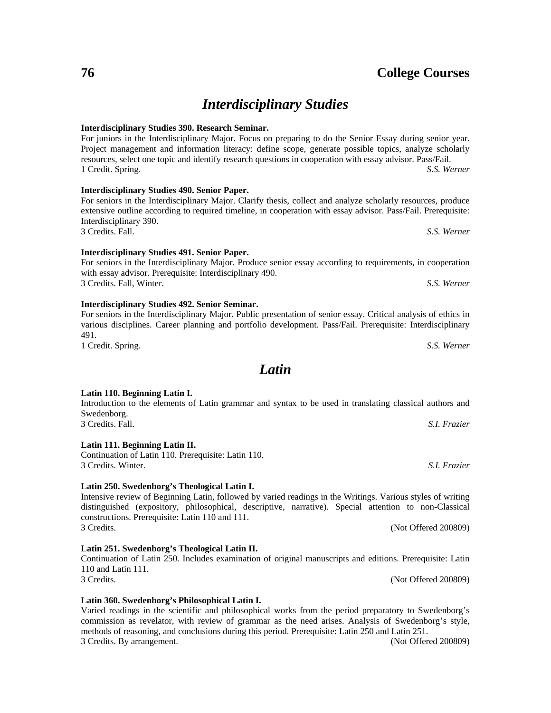## *Interdisciplinary Studies*

#### **Interdisciplinary Studies 390. Research Seminar.**

#### For juniors in the Interdisciplinary Major. Focus on preparing to do the Senior Essay during senior year. Project management and information literacy: define scope, generate possible topics, analyze scholarly resources, select one topic and identify research questions in cooperation with essay advisor. Pass/Fail. 1 Credit. Spring. *S.S. Werner*

**Interdisciplinary Studies 490. Senior Paper.**

#### For seniors in the Interdisciplinary Major. Clarify thesis, collect and analyze scholarly resources, produce extensive outline according to required timeline, in cooperation with essay advisor. Pass/Fail. Prerequisite: Interdisciplinary 390. 3 Credits. Fall. *S.S. Werner*

**Interdisciplinary Studies 491. Senior Paper.** For seniors in the Interdisciplinary Major. Produce senior essay according to requirements, in cooperation with essay advisor. Prerequisite: Interdisciplinary 490.

3 Credits. Fall, Winter. *S.S. Werner*

#### **Interdisciplinary Studies 492. Senior Seminar.**

#### For seniors in the Interdisciplinary Major. Public presentation of senior essay. Critical analysis of ethics in various disciplines. Career planning and portfolio development. Pass/Fail. Prerequisite: Interdisciplinary 491. 1 Credit. Spring. *S.S. Werner*

110 and Latin 111.

## *Latin*

#### **Latin 110. Beginning Latin I.**

#### Introduction to the elements of Latin grammar and syntax to be used in translating classical authors and Swedenborg. 3 Credits. Fall. *S.I. Frazier*

#### **Latin 111. Beginning Latin II.**

Continuation of Latin 110. Prerequisite: Latin 110. 3 Credits. Winter. *S.I. Frazier*

#### **Latin 250. Swedenborg's Theological Latin I.**

#### Intensive review of Beginning Latin, followed by varied readings in the Writings. Various styles of writing distinguished (expository, philosophical, descriptive, narrative). Special attention to non-Classical constructions. Prerequisite: Latin 110 and 111. 3 Credits. (Not Offered 200809)

#### **Latin 251. Swedenborg's Theological Latin II.**

# **Latin 360. Swedenborg's Philosophical Latin I.**

Varied readings in the scientific and philosophical works from the period preparatory to Swedenborg's commission as revelator, with review of grammar as the need arises. Analysis of Swedenborg's style, methods of reasoning, and conclusions during this period. Prerequisite: Latin 250 and Latin 251. 3 Credits. By arrangement. (Not Offered 200809)

Continuation of Latin 250. Includes examination of original manuscripts and editions. Prerequisite: Latin

3 Credits. (Not Offered 200809)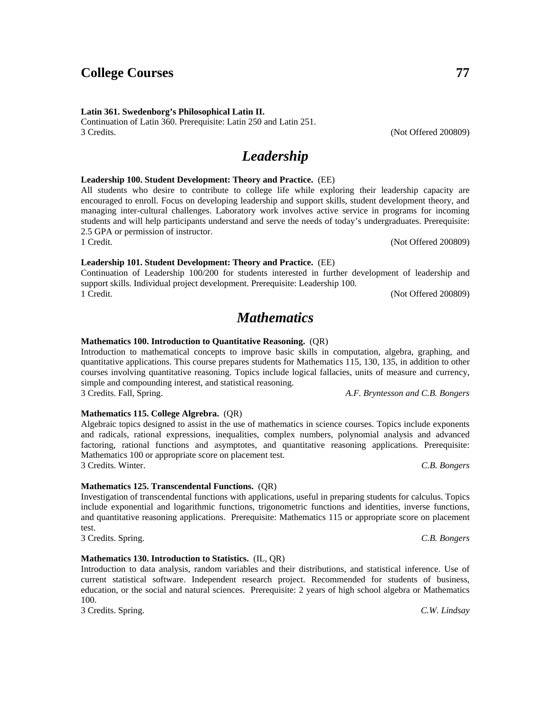1 Credit. (Not Offered 200809)

1 Credit. (Not Offered 200809)

**Mathematics 100. Introduction to Quantitative Reasoning.** (QR)

**Leadership 100. Student Development: Theory and Practice.** (EE)

**Leadership 101. Student Development: Theory and Practice.** (EE)

support skills. Individual project development. Prerequisite: Leadership 100.

Introduction to mathematical concepts to improve basic skills in computation, algebra, graphing, and quantitative applications. This course prepares students for Mathematics 115, 130, 135, in addition to other courses involving quantitative reasoning. Topics include logical fallacies, units of measure and currency, simple and compounding interest, and statistical reasoning. 3 Credits. Fall, Spring. *A.F. Bryntesson and C.B. Bongers*

All students who desire to contribute to college life while exploring their leadership capacity are encouraged to enroll. Focus on developing leadership and support skills, student development theory, and managing inter-cultural challenges. Laboratory work involves active service in programs for incoming students and will help participants understand and serve the needs of today's undergraduates. Prerequisite:

Continuation of Leadership 100/200 for students interested in further development of leadership and

*Mathematics*

**Mathematics 115. College Algrebra.** (QR) Algebraic topics designed to assist in the use of mathematics in science courses. Topics include exponents and radicals, rational expressions, inequalities, complex numbers, polynomial analysis and advanced factoring, rational functions and asymptotes, and quantitative reasoning applications. Prerequisite: Mathematics 100 or appropriate score on placement test.

3 Credits. Winter. *C.B. Bongers*

#### **Mathematics 125. Transcendental Functions.** (QR)

Investigation of transcendental functions with applications, useful in preparing students for calculus. Topics include exponential and logarithmic functions, trigonometric functions and identities, inverse functions, and quantitative reasoning applications. Prerequisite: Mathematics 115 or appropriate score on placement test.

3 Credits. Spring. *C.B. Bongers*

#### **Mathematics 130. Introduction to Statistics.** (IL, QR)

Introduction to data analysis, random variables and their distributions, and statistical inference. Use of current statistical software. Independent research project. Recommended for students of business, education, or the social and natural sciences. Prerequisite: 2 years of high school algebra or Mathematics 100.

3 Credits. Spring. *C.W. Lindsay*

*Leadership*

#### Continuation of Latin 360. Prerequisite: Latin 250 and Latin 251. 3 Credits. (Not Offered 200809)

2.5 GPA or permission of instructor.

**Latin 361. Swedenborg's Philosophical Latin II.**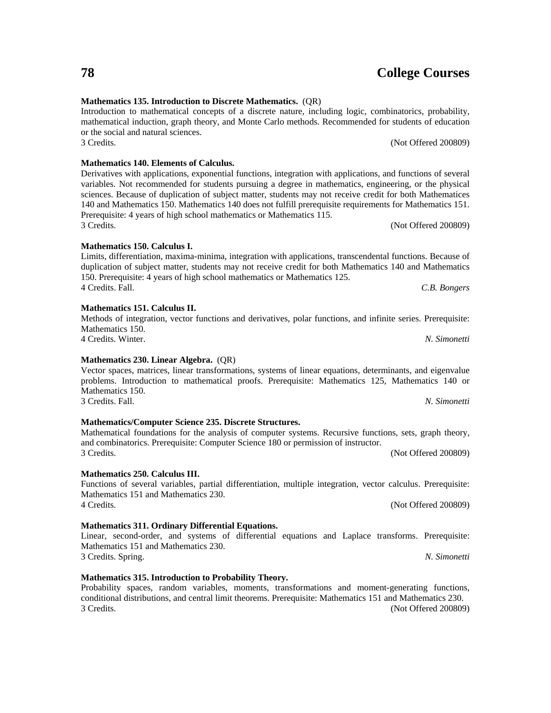## **Mathematics 135. Introduction to Discrete Mathematics.** (QR)

#### Introduction to mathematical concepts of a discrete nature, including logic, combinatorics, probability, mathematical induction, graph theory, and Monte Carlo methods. Recommended for students of education or the social and natural sciences. 3 Credits. (Not Offered 200809)

Derivatives with applications, exponential functions, integration with applications, and functions of several variables. Not recommended for students pursuing a degree in mathematics, engineering, or the physical sciences. Because of duplication of subject matter, students may not receive credit for both Mathematices 140 and Mathematics 150. Mathematics 140 does not fulfill prerequisite requirements for Mathematics 151. Prerequisite: 4 years of high school mathematics or Mathematics 115.

Limits, differentiation, maxima-minima, integration with applications, transcendental functions. Because of duplication of subject matter, students may not receive credit for both Mathematics 140 and Mathematics

Methods of integration, vector functions and derivatives, polar functions, and infinite series. Prerequisite:

3 Credits. (Not Offered 200809)

4 Credits. Fall. *C.B. Bongers*

3 Credits. (Not Offered 200809)

**Mathematics 315. Introduction to Probability Theory.** Probability spaces, random variables, moments, transformations and moment-generating functions,

conditional distributions, and central limit theorems. Prerequisite: Mathematics 151 and Mathematics 230. 3 Credits. (Not Offered 200809)

# **Mathematics 140. Elements of Calculus.**

## **Mathematics 151. Calculus II.**

Mathematics 150.

**Mathematics 150. Calculus I.**

# 4 Credits. Winter. *N. Simonetti*

150. Prerequisite: 4 years of high school mathematics or Mathematics 125.

#### **Mathematics 230. Linear Algebra.** (QR)

#### Vector spaces, matrices, linear transformations, systems of linear equations, determinants, and eigenvalue problems. Introduction to mathematical proofs. Prerequisite: Mathematics 125, Mathematics 140 or Mathematics 150. 3 Credits. Fall. *N. Simonetti*

Mathematical foundations for the analysis of computer systems. Recursive functions, sets, graph theory,

### **Mathematics/Computer Science 235. Discrete Structures.**

# **Mathematics 250. Calculus III.**

Functions of several variables, partial differentiation, multiple integration, vector calculus. Prerequisite: Mathematics 151 and Mathematics 230. 4 Credits. (Not Offered 200809)

and combinatorics. Prerequisite: Computer Science 180 or permission of instructor.

## **Mathematics 311. Ordinary Differential Equations.**

Linear, second-order, and systems of differential equations and Laplace transforms. Prerequisite: Mathematics 151 and Mathematics 230. 3 Credits. Spring. *N. Simonetti*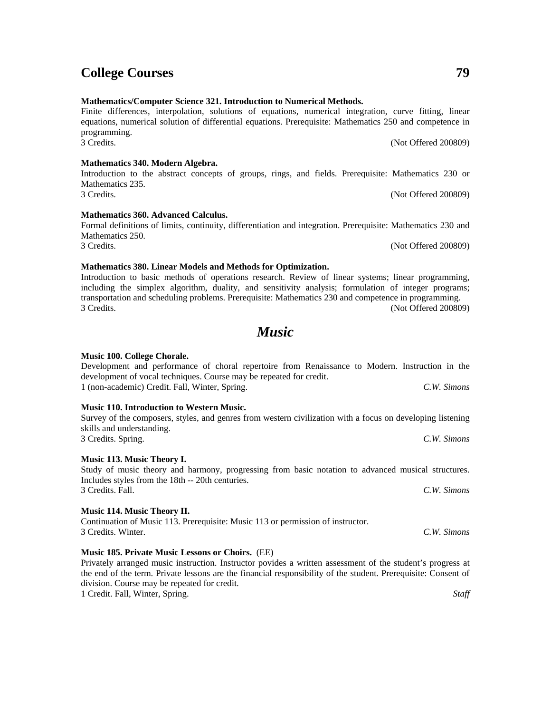**Mathematics/Computer Science 321. Introduction to Numerical Methods.**

Finite differences, interpolation, solutions of equations, numerical integration, curve fitting, linear equations, numerical solution of differential equations. Prerequisite: Mathematics 250 and competence in programming. 3 Credits. (Not Offered 200809)

Introduction to the abstract concepts of groups, rings, and fields. Prerequisite: Mathematics 230 or Mathematics 235. 3 Credits. (Not Offered 200809)

Formal definitions of limits, continuity, differentiation and integration. Prerequisite: Mathematics 230 and Mathematics 250.

#### **Mathematics 380. Linear Models and Methods for Optimization.**

Introduction to basic methods of operations research. Review of linear systems; linear programming, including the simplex algorithm, duality, and sensitivity analysis; formulation of integer programs; transportation and scheduling problems. Prerequisite: Mathematics 230 and competence in programming. 3 Credits. (Not Offered 200809)

## *Music*

#### **Music 100. College Chorale.**

## Development and performance of choral repertoire from Renaissance to Modern. Instruction in the development of vocal techniques. Course may be repeated for credit. 1 (non-academic) Credit. Fall, Winter, Spring. *C.W. Simons*

**Music 110. Introduction to Western Music.** Survey of the composers, styles, and genres from western civilization with a focus on developing listening skills and understanding.

3 Credits. Spring. *C.W. Simons*

#### **Music 113. Music Theory I.**

Study of music theory and harmony, progressing from basic notation to advanced musical structures. Includes styles from the 18th -- 20th centuries. 3 Credits. Fall. *C.W. Simons*

#### **Music 114. Music Theory II.**

Continuation of Music 113. Prerequisite: Music 113 or permission of instructor. 3 Credits. Winter. *C.W. Simons*

#### **Music 185. Private Music Lessons or Choirs.** (EE)

Privately arranged music instruction. Instructor povides a written assessment of the student's progress at the end of the term. Private lessons are the financial responsibility of the student. Prerequisite: Consent of division. Course may be repeated for credit. 1 Credit. Fall, Winter, Spring. *Staff*

3 Credits. (Not Offered 200809)

## **College Courses 79**

**Mathematics 340. Modern Algebra.**

**Mathematics 360. Advanced Calculus.**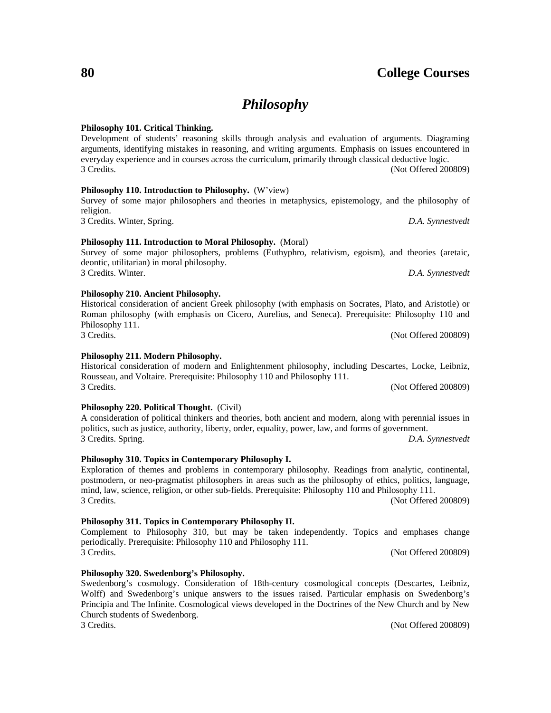## *Philosophy*

#### **Philosophy 101. Critical Thinking.**

Development of students' reasoning skills through analysis and evaluation of arguments. Diagraming arguments, identifying mistakes in reasoning, and writing arguments. Emphasis on issues encountered in everyday experience and in courses across the curriculum, primarily through classical deductive logic. 3 Credits. (Not Offered 200809)

#### **Philosophy 110. Introduction to Philosophy.** (W'view)

Survey of some major philosophers and theories in metaphysics, epistemology, and the philosophy of religion.

3 Credits. Winter, Spring. *D.A. Synnestvedt*

#### **Philosophy 111. Introduction to Moral Philosophy.** (Moral)

Survey of some major philosophers, problems (Euthyphro, relativism, egoism), and theories (aretaic, deontic, utilitarian) in moral philosophy. 3 Credits. Winter. *D.A. Synnestvedt*

#### **Philosophy 210. Ancient Philosophy.**

Historical consideration of ancient Greek philosophy (with emphasis on Socrates, Plato, and Aristotle) or Roman philosophy (with emphasis on Cicero, Aurelius, and Seneca). Prerequisite: Philosophy 110 and Philosophy 111.

#### **Philosophy 211. Modern Philosophy.**

Historical consideration of modern and Enlightenment philosophy, including Descartes, Locke, Leibniz, Rousseau, and Voltaire. Prerequisite: Philosophy 110 and Philosophy 111. 3 Credits. (Not Offered 200809)

#### **Philosophy 220. Political Thought.** (Civil)

| A consideration of political thinkers and theories, both ancient and modern, along with perennial issues in |                  |
|-------------------------------------------------------------------------------------------------------------|------------------|
| politics, such as justice, authority, liberty, order, equality, power, law, and forms of government.        |                  |
| 3 Credits. Spring.                                                                                          | D.A. Synnestyedt |

#### **Philosophy 310. Topics in Contemporary Philosophy I.**

Exploration of themes and problems in contemporary philosophy. Readings from analytic, continental, postmodern, or neo-pragmatist philosophers in areas such as the philosophy of ethics, politics, language, mind, law, science, religion, or other sub-fields. Prerequisite: Philosophy 110 and Philosophy 111. 3 Credits. (Not Offered 200809)

#### **Philosophy 311. Topics in Contemporary Philosophy II.**

Complement to Philosophy 310, but may be taken independently. Topics and emphases change periodically. Prerequisite: Philosophy 110 and Philosophy 111. 3 Credits. (Not Offered 200809)

**Philosophy 320. Swedenborg's Philosophy.**

Swedenborg's cosmology. Consideration of 18th-century cosmological concepts (Descartes, Leibniz, Wolff) and Swedenborg's unique answers to the issues raised. Particular emphasis on Swedenborg's Principia and The Infinite. Cosmological views developed in the Doctrines of the New Church and by New Church students of Swedenborg.

3 Credits. (Not Offered 200809)

3 Credits. (Not Offered 200809)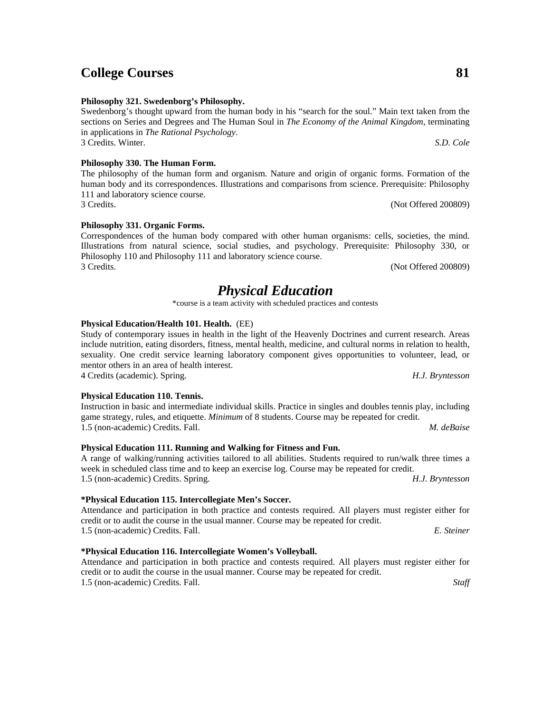3 Credits. (Not Offered 200809)

1.5 (non-academic) Credits. Fall. *M. deBaise*

**\*Physical Education 116. Intercollegiate Women's Volleyball.**

Attendance and participation in both practice and contests required. All players must register either for credit or to audit the course in the usual manner. Course may be repeated for credit. 1.5 (non-academic) Credits. Fall. *Staff*

## **College Courses 81**

#### **Philosophy 321. Swedenborg's Philosophy.**

Swedenborg's thought upward from the human body in his "search for the soul." Main text taken from the sections on Series and Degrees and The Human Soul in *The Economy of the Animal Kingdom*, terminating in applications in *The Rational Psychology*. 3 Credits. Winter. *S.D. Cole*

#### **Philosophy 330. The Human Form.**

The philosophy of the human form and organism. Nature and origin of organic forms. Formation of the human body and its correspondences. Illustrations and comparisons from science. Prerequisite: Philosophy 111 and laboratory science course.

#### **Philosophy 331. Organic Forms.**

Correspondences of the human body compared with other human organisms: cells, societies, the mind. Illustrations from natural science, social studies, and psychology. Prerequisite: Philosophy 330, or Philosophy 110 and Philosophy 111 and laboratory science course. 3 Credits. (Not Offered 200809)

## *Physical Education*

\*course is a team activity with scheduled practices and contests

#### **Physical Education/Health 101. Health.** (EE)

Study of contemporary issues in health in the light of the Heavenly Doctrines and current research. Areas include nutrition, eating disorders, fitness, mental health, medicine, and cultural norms in relation to health, sexuality. One credit service learning laboratory component gives opportunities to volunteer, lead, or mentor others in an area of health interest.

Instruction in basic and intermediate individual skills. Practice in singles and doubles tennis play, including

A range of walking/running activities tailored to all abilities. Students required to run/walk three times a

game strategy, rules, and etiquette. *Minimum* of 8 students. Course may be repeated for credit.

4 Credits (academic). Spring. *H.J. Bryntesson*

#### **Physical Education 110. Tennis.**

## **Physical Education 111. Running and Walking for Fitness and Fun.**

week in scheduled class time and to keep an exercise log. Course may be repeated for credit. 1.5 (non-academic) Credits. Spring. *H.J. Bryntesson*

### **\*Physical Education 115. Intercollegiate Men's Soccer.**

Attendance and participation in both practice and contests required. All players must register either for credit or to audit the course in the usual manner. Course may be repeated for credit. 1.5 (non-academic) Credits. Fall. *E. Steiner*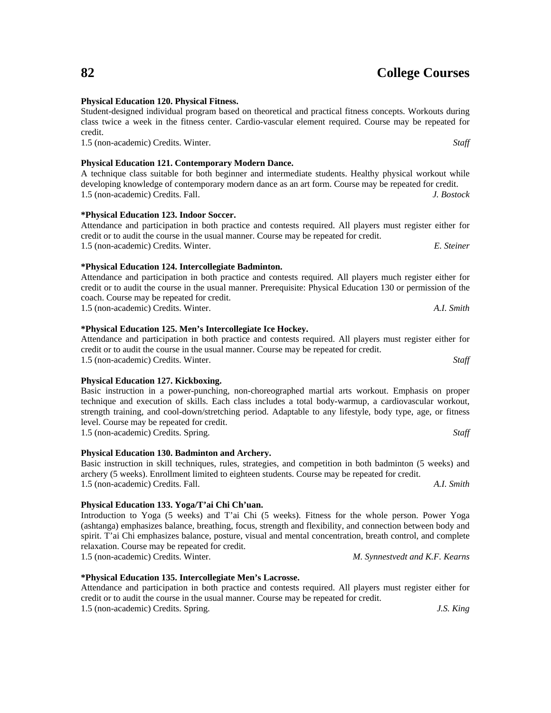#### **Physical Education 120. Physical Fitness.** Student-designed individual program based on theoretical and practical fitness concepts. Workouts during

### **Physical Education 121. Contemporary Modern Dance.**

#### A technique class suitable for both beginner and intermediate students. Healthy physical workout while developing knowledge of contemporary modern dance as an art form. Course may be repeated for credit. 1.5 (non-academic) Credits. Fall. *J. Bostock*

Attendance and participation in both practice and contests required. All players must register either for

class twice a week in the fitness center. Cardio-vascular element required. Course may be repeated for

**\*Physical Education 123. Indoor Soccer.**

#### credit or to audit the course in the usual manner. Course may be repeated for credit. 1.5 (non-academic) Credits. Winter. *E. Steiner*

#### **\*Physical Education 124. Intercollegiate Badminton.**

Attendance and participation in both practice and contests required. All players much register either for credit or to audit the course in the usual manner. Prerequisite: Physical Education 130 or permission of the coach. Course may be repeated for credit. 1.5 (non-academic) Credits. Winter. *A.I. Smith*

#### **\*Physical Education 125. Men's Intercollegiate Ice Hockey.**

#### Attendance and participation in both practice and contests required. All players must register either for credit or to audit the course in the usual manner. Course may be repeated for credit. 1.5 (non-academic) Credits. Winter. *Staff*

#### **Physical Education 127. Kickboxing.**

Basic instruction in a power-punching, non-choreographed martial arts workout. Emphasis on proper technique and execution of skills. Each class includes a total body-warmup, a cardiovascular workout, strength training, and cool-down/stretching period. Adaptable to any lifestyle, body type, age, or fitness level. Course may be repeated for credit.

1.5 (non-academic) Credits. Spring. *Staff*

#### **Physical Education 130. Badminton and Archery.**

Basic instruction in skill techniques, rules, strategies, and competition in both badminton (5 weeks) and archery (5 weeks). Enrollment limited to eighteen students. Course may be repeated for credit. 1.5 (non-academic) Credits. Fall. *A.I. Smith*

#### **Physical Education 133. Yoga/T'ai Chi Ch'uan.**

Introduction to Yoga (5 weeks) and T'ai Chi (5 weeks). Fitness for the whole person. Power Yoga (ashtanga) emphasizes balance, breathing, focus, strength and flexibility, and connection between body and spirit. T'ai Chi emphasizes balance, posture, visual and mental concentration, breath control, and complete relaxation. Course may be repeated for credit. 1.5 (non-academic) Credits. Winter. *M. Synnestvedt and K.F. Kearns*

#### **\*Physical Education 135. Intercollegiate Men's Lacrosse.**

Attendance and participation in both practice and contests required. All players must register either for credit or to audit the course in the usual manner. Course may be repeated for credit.

1.5 (non-academic) Credits. Spring. *J.S. King*

credit.

1.5 (non-academic) Credits. Winter. *Staff*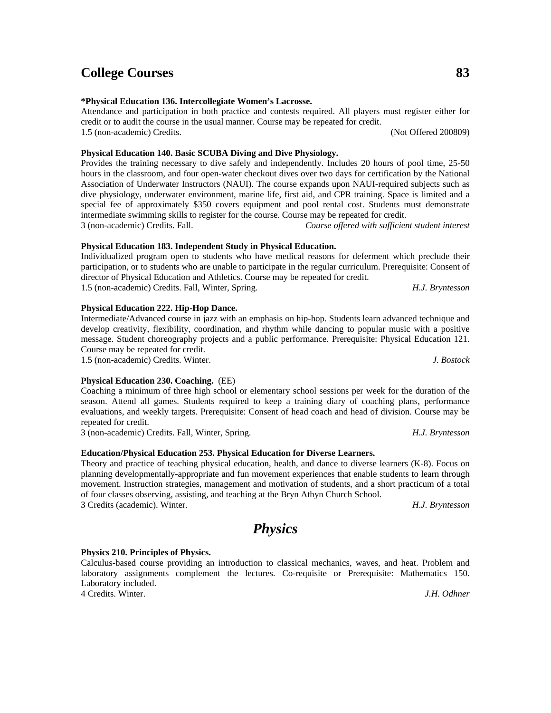**\*Physical Education 136. Intercollegiate Women's Lacrosse.** Attendance and participation in both practice and contests required. All players must register either for credit or to audit the course in the usual manner. Course may be repeated for credit.

1.5 (non-academic) Credits. (Not Offered 200809)

## **Physical Education 140. Basic SCUBA Diving and Dive Physiology.**

Provides the training necessary to dive safely and independently. Includes 20 hours of pool time, 25-50 hours in the classroom, and four open-water checkout dives over two days for certification by the National Association of Underwater Instructors (NAUI). The course expands upon NAUI-required subjects such as dive physiology, underwater environment, marine life, first aid, and CPR training. Space is limited and a special fee of approximately \$350 covers equipment and pool rental cost. Students must demonstrate intermediate swimming skills to register for the course. Course may be repeated for credit. 3 (non-academic) Credits. Fall. *Course offered with sufficient student interest*

### **Physical Education 183. Independent Study in Physical Education.**

Individualized program open to students who have medical reasons for deferment which preclude their participation, or to students who are unable to participate in the regular curriculum. Prerequisite: Consent of director of Physical Education and Athletics. Course may be repeated for credit. 1.5 (non-academic) Credits. Fall, Winter, Spring. *H.J. Bryntesson*

#### **Physical Education 222. Hip-Hop Dance.**

Intermediate/Advanced course in jazz with an emphasis on hip-hop. Students learn advanced technique and develop creativity, flexibility, coordination, and rhythm while dancing to popular music with a positive message. Student choreography projects and a public performance. Prerequisite: Physical Education 121. Course may be repeated for credit.

1.5 (non-academic) Credits. Winter. *J. Bostock*

### **Physical Education 230. Coaching.** (EE)

Coaching a minimum of three high school or elementary school sessions per week for the duration of the season. Attend all games. Students required to keep a training diary of coaching plans, performance evaluations, and weekly targets. Prerequisite: Consent of head coach and head of division. Course may be repeated for credit.

3 (non-academic) Credits. Fall, Winter, Spring. *H.J. Bryntesson*

### **Education/Physical Education 253. Physical Education for Diverse Learners.**

Theory and practice of teaching physical education, health, and dance to diverse learners (K-8). Focus on planning developmentally-appropriate and fun movement experiences that enable students to learn through movement. Instruction strategies, management and motivation of students, and a short practicum of a total of four classes observing, assisting, and teaching at the Bryn Athyn Church School. 3 Credits (academic). Winter. *H.J. Bryntesson*

*Physics*

#### **Physics 210. Principles of Physics.**

Calculus-based course providing an introduction to classical mechanics, waves, and heat. Problem and laboratory assignments complement the lectures. Co-requisite or Prerequisite: Mathematics 150. Laboratory included.

4 Credits. Winter. *J.H. Odhner*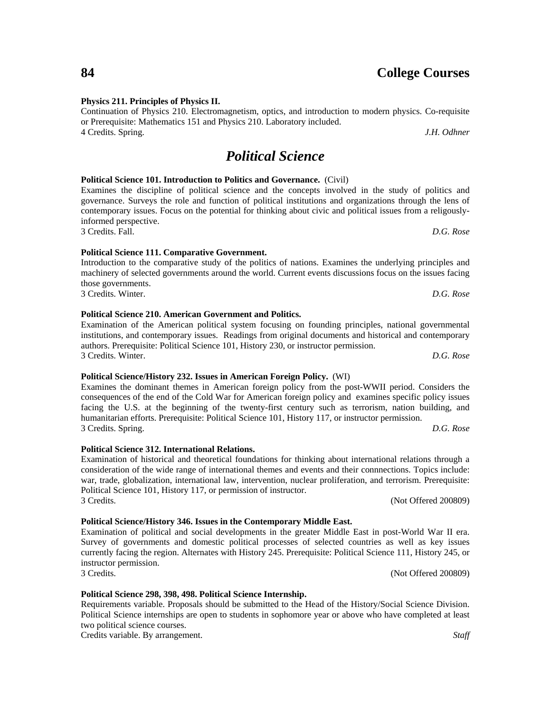#### **Physics 211. Principles of Physics II.**

Continuation of Physics 210. Electromagnetism, optics, and introduction to modern physics. Co-requisite or Prerequisite: Mathematics 151 and Physics 210. Laboratory included. 4 Credits. Spring. *J.H. Odhner*

## *Political Science*

#### **Political Science 101. Introduction to Politics and Governance.** (Civil)

Examines the discipline of political science and the concepts involved in the study of politics and governance. Surveys the role and function of political institutions and organizations through the lens of contemporary issues. Focus on the potential for thinking about civic and political issues from a religouslyinformed perspective. 3 Credits. Fall. *D.G. Rose*

## **Political Science 111. Comparative Government.**

Introduction to the comparative study of the politics of nations. Examines the underlying principles and machinery of selected governments around the world. Current events discussions focus on the issues facing those governments. 3 Credits. Winter. *D.G. Rose*

**Political Science 210. American Government and Politics.** Examination of the American political system focusing on founding principles, national governmental institutions, and contemporary issues. Readings from original documents and historical and contemporary authors. Prerequisite: Political Science 101, History 230, or instructor permission.

**Political Science/History 232. Issues in American Foreign Policy.** (WI)

#### Examines the dominant themes in American foreign policy from the post-WWII period. Considers the consequences of the end of the Cold War for American foreign policy and examines specific policy issues facing the U.S. at the beginning of the twenty-first century such as terrorism, nation building, and humanitarian efforts. Prerequisite: Political Science 101, History 117, or instructor permission. 3 Credits. Spring. *D.G. Rose*

#### **Political Science 312. International Relations.**

#### Examination of historical and theoretical foundations for thinking about international relations through a consideration of the wide range of international themes and events and their connnections. Topics include: war, trade, globalization, international law, intervention, nuclear proliferation, and terrorism. Prerequisite: Political Science 101, History 117, or permission of instructor. 3 Credits. (Not Offered 200809)

#### **Political Science/History 346. Issues in the Contemporary Middle East.**

Examination of political and social developments in the greater Middle East in post-World War II era. Survey of governments and domestic political processes of selected countries as well as key issues currently facing the region. Alternates with History 245. Prerequisite: Political Science 111, History 245, or instructor permission. 3 Credits. (Not Offered 200809)

#### **Political Science 298, 398, 498. Political Science Internship.**

Requirements variable. Proposals should be submitted to the Head of the History/Social Science Division. Political Science internships are open to students in sophomore year or above who have completed at least two political science courses.

Credits variable. By arrangement. *Staff*

3 Credits. Winter. *D.G. Rose*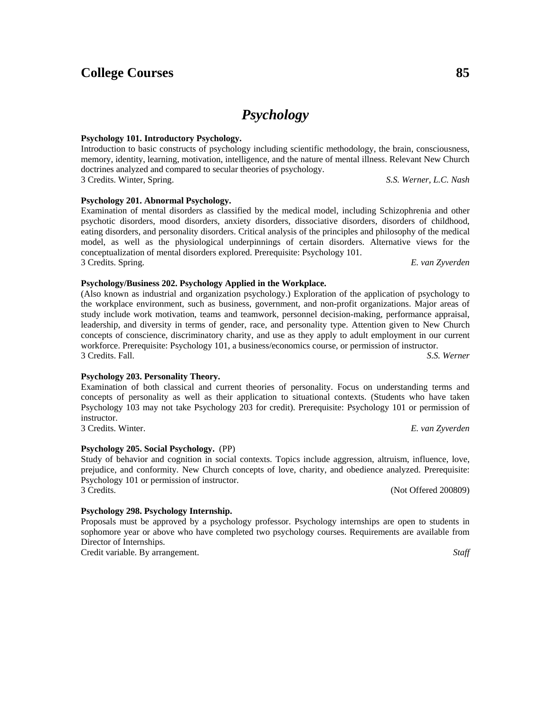# *Psychology*

#### **Psychology 101. Introductory Psychology.**

Introduction to basic constructs of psychology including scientific methodology, the brain, consciousness, memory, identity, learning, motivation, intelligence, and the nature of mental illness. Relevant New Church doctrines analyzed and compared to secular theories of psychology. 3 Credits. Winter, Spring. *S.S. Werner, L.C. Nash*

#### **Psychology 201. Abnormal Psychology.**

**Psychology/Business 202. Psychology Applied in the Workplace.**

Examination of mental disorders as classified by the medical model, including Schizophrenia and other psychotic disorders, mood disorders, anxiety disorders, dissociative disorders, disorders of childhood, eating disorders, and personality disorders. Critical analysis of the principles and philosophy of the medical model, as well as the physiological underpinnings of certain disorders. Alternative views for the conceptualization of mental disorders explored. Prerequisite: Psychology 101. 3 Credits. Spring. *E. van Zyverden*

(Also known as industrial and organization psychology.) Exploration of the application of psychology to the workplace environment, such as business, government, and non-profit organizations. Major areas of study include work motivation, teams and teamwork, personnel decision-making, performance appraisal, leadership, and diversity in terms of gender, race, and personality type. Attention given to New Church concepts of conscience, discriminatory charity, and use as they apply to adult employment in our current

Examination of both classical and current theories of personality. Focus on understanding terms and concepts of personality as well as their application to situational contexts. (Students who have taken Psychology 103 may not take Psychology 203 for credit). Prerequisite: Psychology 101 or permission of

Study of behavior and cognition in social contexts. Topics include aggression, altruism, influence, love, prejudice, and conformity. New Church concepts of love, charity, and obedience analyzed. Prerequisite:

workforce. Prerequisite: Psychology 101, a business/economics course, or permission of instructor.

3 Credits. Fall. *S.S. Werner*

3 Credits. Winter. *E. van Zyverden*

3 Credits. (Not Offered 200809)

#### **Psychology 298. Psychology Internship.**

**Psychology 205. Social Psychology.** (PP)

Psychology 101 or permission of instructor.

**Psychology 203. Personality Theory.**

instructor.

Proposals must be approved by a psychology professor. Psychology internships are open to students in sophomore year or above who have completed two psychology courses. Requirements are available from Director of Internships.

Credit variable. By arrangement. *Staff*

## **College Courses 85**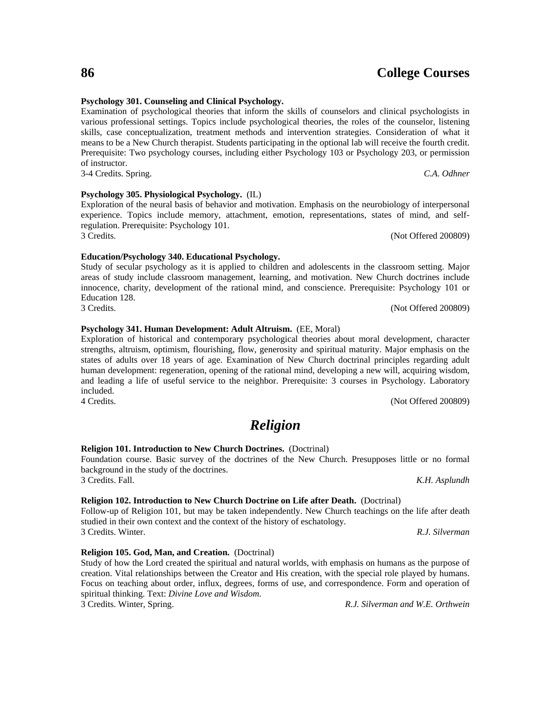#### **Psychology 301. Counseling and Clinical Psychology.**

Examination of psychological theories that inform the skills of counselors and clinical psychologists in various professional settings. Topics include psychological theories, the roles of the counselor, listening skills, case conceptualization, treatment methods and intervention strategies. Consideration of what it means to be a New Church therapist. Students participating in the optional lab will receive the fourth credit. Prerequisite: Two psychology courses, including either Psychology 103 or Psychology 203, or permission of instructor.

3-4 Credits. Spring. *C.A. Odhner*

#### **Psychology 305. Physiological Psychology.** (IL)

#### Exploration of the neural basis of behavior and motivation. Emphasis on the neurobiology of interpersonal experience. Topics include memory, attachment, emotion, representations, states of mind, and selfregulation. Prerequisite: Psychology 101. 3 Credits. (Not Offered 200809)

#### **Education/Psychology 340. Educational Psychology.**

Study of secular psychology as it is applied to children and adolescents in the classroom setting. Major areas of study include classroom management, learning, and motivation. New Church doctrines include innocence, charity, development of the rational mind, and conscience. Prerequisite: Psychology 101 or Education 128. 3 Credits. (Not Offered 200809)

#### **Psychology 341. Human Development: Adult Altruism.** (EE, Moral)

Exploration of historical and contemporary psychological theories about moral development, character strengths, altruism, optimism, flourishing, flow, generosity and spiritual maturity. Major emphasis on the states of adults over 18 years of age. Examination of New Church doctrinal principles regarding adult human development: regeneration, opening of the rational mind, developing a new will, acquiring wisdom, and leading a life of useful service to the neighbor. Prerequisite: 3 courses in Psychology. Laboratory included.

4 Credits. (Not Offered 200809)

## *Religion*

#### **Religion 101. Introduction to New Church Doctrines.** (Doctrinal)

Foundation course. Basic survey of the doctrines of the New Church. Presupposes little or no formal background in the study of the doctrines. 3 Credits. Fall. *K.H. Asplundh*

#### **Religion 102. Introduction to New Church Doctrine on Life after Death.** (Doctrinal)

Follow-up of Religion 101, but may be taken independently. New Church teachings on the life after death studied in their own context and the context of the history of eschatology. 3 Credits. Winter. *R.J. Silverman*

#### **Religion 105. God, Man, and Creation.** (Doctrinal)

Study of how the Lord created the spiritual and natural worlds, with emphasis on humans as the purpose of creation. Vital relationships between the Creator and His creation, with the special role played by humans. Focus on teaching about order, influx, degrees, forms of use, and correspondence. Form and operation of spiritual thinking. Text: *Divine Love and Wisdom*. 3 Credits. Winter, Spring. *R.J. Silverman and W.E. Orthwein*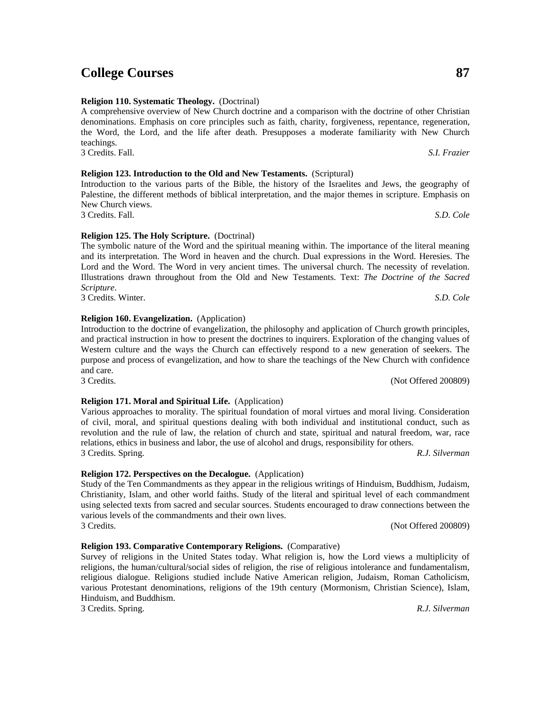#### **Religion 193. Comparative Contemporary Religions.** (Comparative)

Survey of religions in the United States today. What religion is, how the Lord views a multiplicity of religions, the human/cultural/social sides of religion, the rise of religious intolerance and fundamentalism, religious dialogue. Religions studied include Native American religion, Judaism, Roman Catholicism, various Protestant denominations, religions of the 19th century (Mormonism, Christian Science), Islam, Hinduism, and Buddhism.

3 Credits. Spring. *R.J. Silverman*

#### **Religion 123. Introduction to the Old and New Testaments.** (Scriptural)

Introduction to the various parts of the Bible, the history of the Israelites and Jews, the geography of Palestine, the different methods of biblical interpretation, and the major themes in scripture. Emphasis on New Church views. 3 Credits. Fall. *S.D. Cole*

A comprehensive overview of New Church doctrine and a comparison with the doctrine of other Christian denominations. Emphasis on core principles such as faith, charity, forgiveness, repentance, regeneration, the Word, the Lord, and the life after death. Presupposes a moderate familiarity with New Church

3 Credits. Fall. *S.I. Frazier*

teachings.

#### **Religion 125. The Holy Scripture.** (Doctrinal)

**Religion 110. Systematic Theology.** (Doctrinal)

The symbolic nature of the Word and the spiritual meaning within. The importance of the literal meaning and its interpretation. The Word in heaven and the church. Dual expressions in the Word. Heresies. The Lord and the Word. The Word in very ancient times. The universal church. The necessity of revelation. Illustrations drawn throughout from the Old and New Testaments. Text: *The Doctrine of the Sacred Scripture*. 3 Credits. Winter. *S.D. Cole*

#### **Religion 160. Evangelization.** (Application)

Introduction to the doctrine of evangelization, the philosophy and application of Church growth principles, and practical instruction in how to present the doctrines to inquirers. Exploration of the changing values of Western culture and the ways the Church can effectively respond to a new generation of seekers. The purpose and process of evangelization, and how to share the teachings of the New Church with confidence and care. 3 Credits. (Not Offered 200809)

of civil, moral, and spiritual questions dealing with both individual and institutional conduct, such as revolution and the rule of law, the relation of church and state, spiritual and natural freedom, war, race

3 Credits. Spring. *R.J. Silverman*

#### **Religion 171. Moral and Spiritual Life.** (Application) Various approaches to morality. The spiritual foundation of moral virtues and moral living. Consideration

#### **Religion 172. Perspectives on the Decalogue.** (Application) Study of the Ten Commandments as they appear in the religious writings of Hinduism, Buddhism, Judaism,

Christianity, Islam, and other world faiths. Study of the literal and spiritual level of each commandment using selected texts from sacred and secular sources. Students encouraged to draw connections between the various levels of the commandments and their own lives. 3 Credits. (Not Offered 200809)

relations, ethics in business and labor, the use of alcohol and drugs, responsibility for others.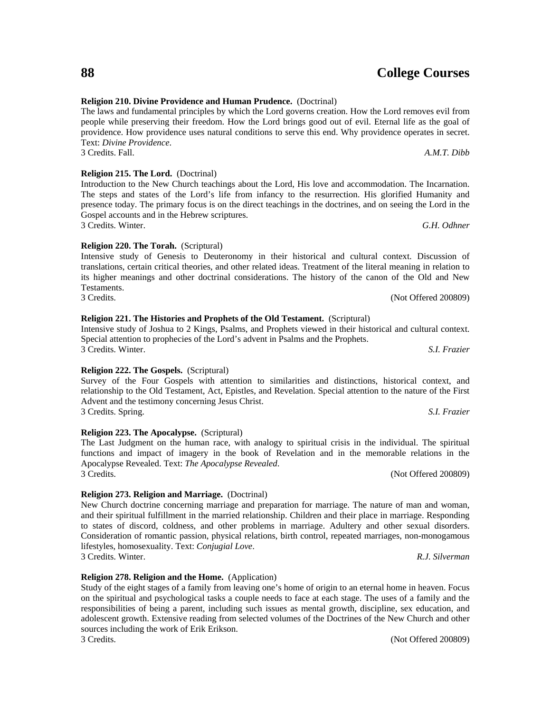#### **Religion 210. Divine Providence and Human Prudence.** (Doctrinal)

The laws and fundamental principles by which the Lord governs creation. How the Lord removes evil from people while preserving their freedom. How the Lord brings good out of evil. Eternal life as the goal of providence. How providence uses natural conditions to serve this end. Why providence operates in secret. Text: *Divine Providence*. 3 Credits. Fall. *A.M.T. Dibb*

#### **Religion 215. The Lord.** (Doctrinal)

#### Introduction to the New Church teachings about the Lord, His love and accommodation. The Incarnation. The steps and states of the Lord's life from infancy to the resurrection. His glorified Humanity and presence today. The primary focus is on the direct teachings in the doctrines, and on seeing the Lord in the Gospel accounts and in the Hebrew scriptures. 3 Credits. Winter. *G.H. Odhner*

**Religion 220. The Torah.** (Scriptural)

Intensive study of Genesis to Deuteronomy in their historical and cultural context. Discussion of translations, certain critical theories, and other related ideas. Treatment of the literal meaning in relation to its higher meanings and other doctrinal considerations. The history of the canon of the Old and New Testaments. 3 Credits. (Not Offered 200809)

#### **Religion 221. The Histories and Prophets of the Old Testament.** (Scriptural)

Intensive study of Joshua to 2 Kings, Psalms, and Prophets viewed in their historical and cultural context. Special attention to prophecies of the Lord's advent in Psalms and the Prophets. 3 Credits. Winter. *S.I. Frazier*

#### **Religion 222. The Gospels.** (Scriptural)

Survey of the Four Gospels with attention to similarities and distinctions, historical context, and relationship to the Old Testament, Act, Epistles, and Revelation. Special attention to the nature of the First Advent and the testimony concerning Jesus Christ. 3 Credits. Spring. *S.I. Frazier*

#### **Religion 223. The Apocalypse.** (Scriptural)

The Last Judgment on the human race, with analogy to spiritual crisis in the individual. The spiritual functions and impact of imagery in the book of Revelation and in the memorable relations in the Apocalypse Revealed. Text: *The Apocalypse Revealed*. 3 Credits. (Not Offered 200809)

#### **Religion 273. Religion and Marriage.** (Doctrinal)

New Church doctrine concerning marriage and preparation for marriage. The nature of man and woman, and their spiritual fulfillment in the married relationship. Children and their place in marriage. Responding to states of discord, coldness, and other problems in marriage. Adultery and other sexual disorders. Consideration of romantic passion, physical relations, birth control, repeated marriages, non-monogamous lifestyles, homosexuality. Text: *Conjugial Love*. 3 Credits. Winter. *R.J. Silverman*

**Religion 278. Religion and the Home.** (Application)

Study of the eight stages of a family from leaving one's home of origin to an eternal home in heaven. Focus on the spiritual and psychological tasks a couple needs to face at each stage. The uses of a family and the responsibilities of being a parent, including such issues as mental growth, discipline, sex education, and adolescent growth. Extensive reading from selected volumes of the Doctrines of the New Church and other sources including the work of Erik Erikson.

3 Credits. (Not Offered 200809)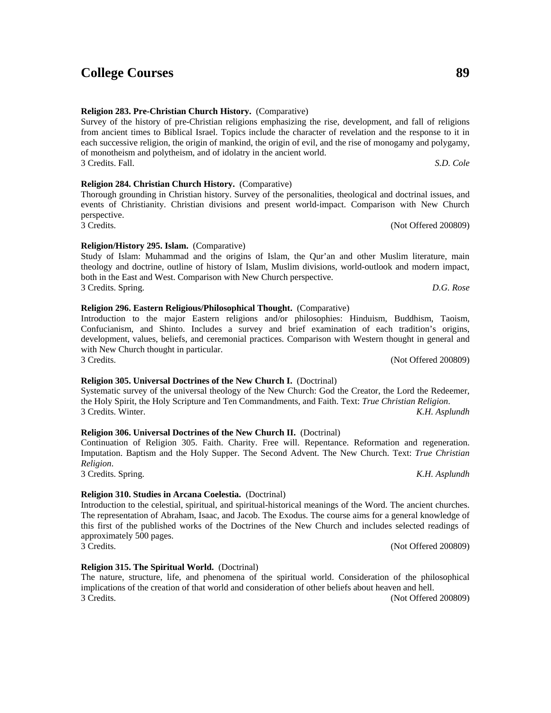3 Credits. (Not Offered 200809)

this first of the published works of the Doctrines of the New Church and includes selected readings of 3 Credits. (Not Offered 200809)

#### **Religion 315. The Spiritual World.** (Doctrinal)

The nature, structure, life, and phenomena of the spiritual world. Consideration of the philosophical implications of the creation of that world and consideration of other beliefs about heaven and hell. 3 Credits. (Not Offered 200809)

#### **Religion 283. Pre-Christian Church History.** (Comparative)

Survey of the history of pre-Christian religions emphasizing the rise, development, and fall of religions from ancient times to Biblical Israel. Topics include the character of revelation and the response to it in each successive religion, the origin of mankind, the origin of evil, and the rise of monogamy and polygamy, of monotheism and polytheism, and of idolatry in the ancient world. 3 Credits. Fall. *S.D. Cole*

#### **Religion 284. Christian Church History.** (Comparative)

#### Thorough grounding in Christian history. Survey of the personalities, theological and doctrinal issues, and events of Christianity. Christian divisions and present world-impact. Comparison with New Church perspective. 3 Credits. (Not Offered 200809)

#### **Religion/History 295. Islam.** (Comparative)

Study of Islam: Muhammad and the origins of Islam, the Qur'an and other Muslim literature, main theology and doctrine, outline of history of Islam, Muslim divisions, world-outlook and modern impact, both in the East and West. Comparison with New Church perspective. 3 Credits. Spring. *D.G. Rose*

#### **Religion 296. Eastern Religious/Philosophical Thought.** (Comparative)

Introduction to the major Eastern religions and/or philosophies: Hinduism, Buddhism, Taoism, Confucianism, and Shinto. Includes a survey and brief examination of each tradition's origins, development, values, beliefs, and ceremonial practices. Comparison with Western thought in general and with New Church thought in particular.

### **Religion 305. Universal Doctrines of the New Church I.** (Doctrinal)

Systematic survey of the universal theology of the New Church: God the Creator, the Lord the Redeemer, the Holy Spirit, the Holy Scripture and Ten Commandments, and Faith. Text: *True Christian Religion*. 3 Credits. Winter. *K.H. Asplundh*

#### **Religion 306. Universal Doctrines of the New Church II.** (Doctrinal)

Continuation of Religion 305. Faith. Charity. Free will. Repentance. Reformation and regeneration. Imputation. Baptism and the Holy Supper. The Second Advent. The New Church. Text: *True Christian Religion*. 3 Credits. Spring. *K.H. Asplundh*

The representation of Abraham, Isaac, and Jacob. The Exodus. The course aims for a general knowledge of

approximately 500 pages.

**Religion 310. Studies in Arcana Coelestia.** (Doctrinal) Introduction to the celestial, spiritual, and spiritual-historical meanings of the Word. The ancient churches.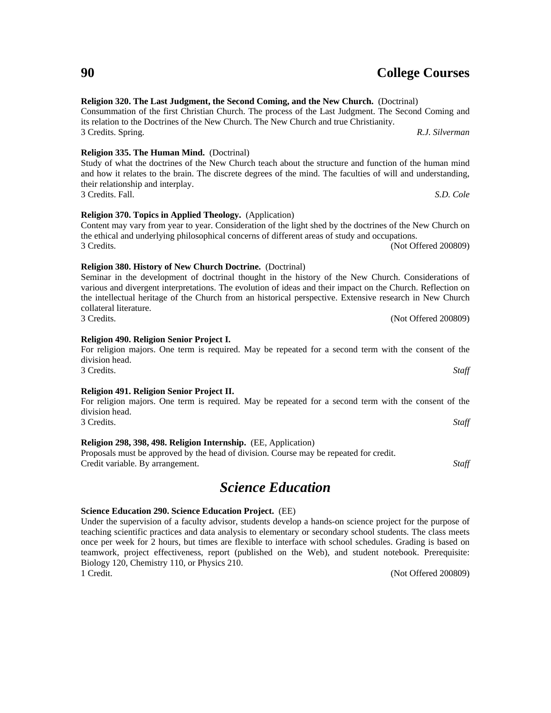#### **Religion 320. The Last Judgment, the Second Coming, and the New Church.** (Doctrinal)

Consummation of the first Christian Church. The process of the Last Judgment. The Second Coming and its relation to the Doctrines of the New Church. The New Church and true Christianity. 3 Credits. Spring. *R.J. Silverman*

#### **Religion 335. The Human Mind.** (Doctrinal)

#### Study of what the doctrines of the New Church teach about the structure and function of the human mind and how it relates to the brain. The discrete degrees of the mind. The faculties of will and understanding, their relationship and interplay. 3 Credits. Fall. *S.D. Cole*

#### **Religion 370. Topics in Applied Theology.** (Application)

#### Content may vary from year to year. Consideration of the light shed by the doctrines of the New Church on the ethical and underlying philosophical concerns of different areas of study and occupations. 3 Credits. (Not Offered 200809)

## **Religion 380. History of New Church Doctrine.** (Doctrinal)

| Seminar in the development of doctrinal thought in the history of the New Church. Considerations of         |                      |
|-------------------------------------------------------------------------------------------------------------|----------------------|
| various and divergent interpretations. The evolution of ideas and their impact on the Church. Reflection on |                      |
| the intellectual heritage of the Church from an historical perspective. Extensive research in New Church    |                      |
| collateral literature.                                                                                      |                      |
| 3 Credits.                                                                                                  | (Not Offered 200809) |

#### **Religion 490. Religion Senior Project I.**

#### For religion majors. One term is required. May be repeated for a second term with the consent of the division head. 3 Credits. *Staff*

#### **Religion 491. Religion Senior Project II.**

#### For religion majors. One term is required. May be repeated for a second term with the consent of the division head. 3 Credits. *Staff*

**Religion 298, 398, 498. Religion Internship.** (EE, Application)

Proposals must be approved by the head of division. Course may be repeated for credit. Credit variable. By arrangement. *Staff*

## *Science Education*

#### **Science Education 290. Science Education Project.** (EE)

Under the supervision of a faculty advisor, students develop a hands-on science project for the purpose of teaching scientific practices and data analysis to elementary or secondary school students. The class meets once per week for 2 hours, but times are flexible to interface with school schedules. Grading is based on teamwork, project effectiveness, report (published on the Web), and student notebook. Prerequisite: Biology 120, Chemistry 110, or Physics 210. 1 Credit. (Not Offered 200809)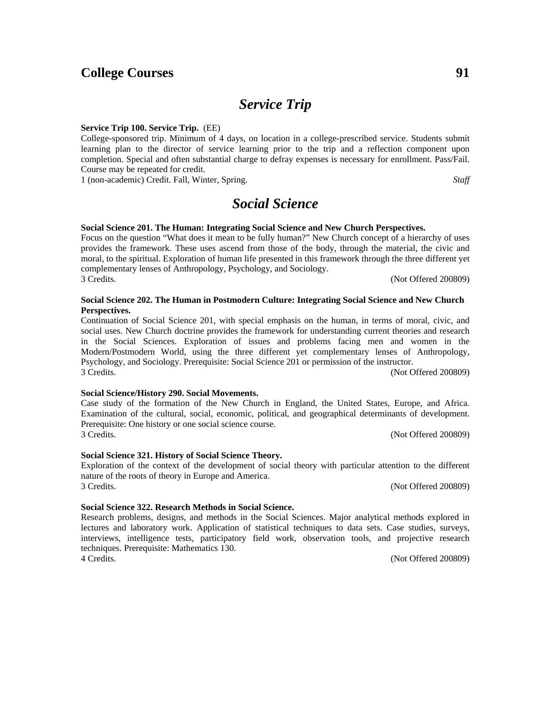## *Service Trip*

#### **Service Trip 100. Service Trip.** (EE)

College-sponsored trip. Minimum of 4 days, on location in a college-prescribed service. Students submit learning plan to the director of service learning prior to the trip and a reflection component upon completion. Special and often substantial charge to defray expenses is necessary for enrollment. Pass/Fail. Course may be repeated for credit.

1 (non-academic) Credit. Fall, Winter, Spring. *Staff*

## *Social Science*

#### **Social Science 201. The Human: Integrating Social Science and New Church Perspectives.**

Focus on the question "What does it mean to be fully human?" New Church concept of a hierarchy of uses provides the framework. These uses ascend from those of the body, through the material, the civic and moral, to the spiritual. Exploration of human life presented in this framework through the three different yet complementary lenses of Anthropology, Psychology, and Sociology. 3 Credits. (Not Offered 200809)

#### **Social Science 202. The Human in Postmodern Culture: Integrating Social Science and New Church Perspectives.**

Continuation of Social Science 201, with special emphasis on the human, in terms of moral, civic, and social uses. New Church doctrine provides the framework for understanding current theories and research in the Social Sciences. Exploration of issues and problems facing men and women in the Modern/Postmodern World, using the three different yet complementary lenses of Anthropology, Psychology, and Sociology. Prerequisite: Social Science 201 or permission of the instructor. 3 Credits. (Not Offered 200809)

#### **Social Science/History 290. Social Movements.**

Case study of the formation of the New Church in England, the United States, Europe, and Africa. Examination of the cultural, social, economic, political, and geographical determinants of development. Prerequisite: One history or one social science course. 3 Credits. (Not Offered 200809)

#### **Social Science 321. History of Social Science Theory.**

Exploration of the context of the development of social theory with particular attention to the different nature of the roots of theory in Europe and America. 3 Credits. (Not Offered 200809)

#### **Social Science 322. Research Methods in Social Science.**

Research problems, designs, and methods in the Social Sciences. Major analytical methods explored in lectures and laboratory work. Application of statistical techniques to data sets. Case studies, surveys, interviews, intelligence tests, participatory field work, observation tools, and projective research techniques. Prerequisite: Mathematics 130. 4 Credits. (Not Offered 200809)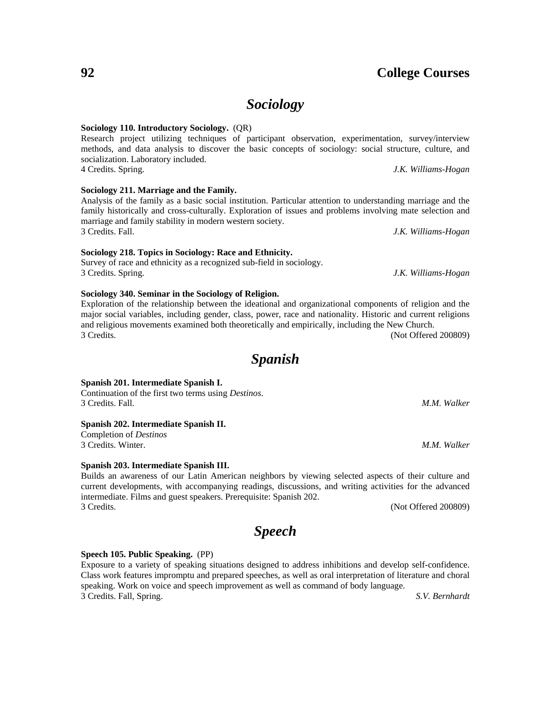## *Sociology*

#### **Sociology 110. Introductory Sociology.** (QR)

Research project utilizing techniques of participant observation, experimentation, survey/interview methods, and data analysis to discover the basic concepts of sociology: social structure, culture, and socialization. Laboratory included. 4 Credits. Spring. *J.K. Williams-Hogan*

**Sociology 211. Marriage and the Family.**

Analysis of the family as a basic social institution. Particular attention to understanding marriage and the family historically and cross-culturally. Exploration of issues and problems involving mate selection and marriage and family stability in modern western society. 3 Credits. Fall. *J.K. Williams-Hogan*

**Sociology 218. Topics in Sociology: Race and Ethnicity.**

Survey of race and ethnicity as a recognized sub-field in sociology. 3 Credits. Spring. *J.K. Williams-Hogan*

**Sociology 340. Seminar in the Sociology of Religion.**

Exploration of the relationship between the ideational and organizational components of religion and the major social variables, including gender, class, power, race and nationality. Historic and current religions and religious movements examined both theoretically and empirically, including the New Church. 3 Credits. (Not Offered 200809)

*Spanish*

#### **Spanish 201. Intermediate Spanish I.**

Continuation of the first two terms using *Destinos*. 3 Credits. Fall. *M.M. Walker*

#### **Spanish 202. Intermediate Spanish II.**

Completion of *Destinos* 3 Credits. Winter. *M.M. Walker*

#### **Spanish 203. Intermediate Spanish III.**

Builds an awareness of our Latin American neighbors by viewing selected aspects of their culture and current developments, with accompanying readings, discussions, and writing activities for the advanced intermediate. Films and guest speakers. Prerequisite: Spanish 202. 3 Credits. (Not Offered 200809)

*Speech*

#### **Speech 105. Public Speaking.** (PP)

Exposure to a variety of speaking situations designed to address inhibitions and develop self-confidence. Class work features impromptu and prepared speeches, as well as oral interpretation of literature and choral speaking. Work on voice and speech improvement as well as command of body language. 3 Credits. Fall, Spring. *S.V. Bernhardt*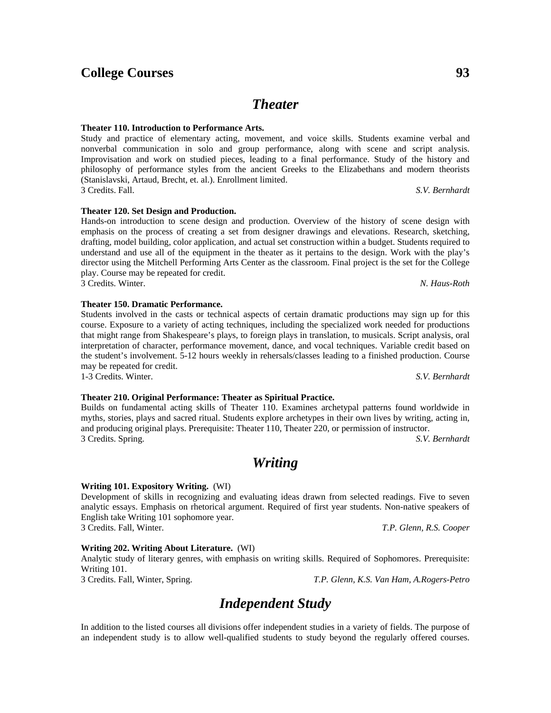*Theater*

#### **Theater 110. Introduction to Performance Arts.**

Study and practice of elementary acting, movement, and voice skills. Students examine verbal and nonverbal communication in solo and group performance, along with scene and script analysis. Improvisation and work on studied pieces, leading to a final performance. Study of the history and philosophy of performance styles from the ancient Greeks to the Elizabethans and modern theorists (Stanislavski, Artaud, Brecht, et. al.). Enrollment limited. 3 Credits. Fall. *S.V. Bernhardt*

Hands-on introduction to scene design and production. Overview of the history of scene design with emphasis on the process of creating a set from designer drawings and elevations. Research, sketching, drafting, model building, color application, and actual set construction within a budget. Students required to understand and use all of the equipment in the theater as it pertains to the design. Work with the play's director using the Mitchell Performing Arts Center as the classroom. Final project is the set for the College play. Course may be repeated for credit.

3 Credits. Winter. *N. Haus-Roth*

#### **Theater 150. Dramatic Performance.**

**Theater 120. Set Design and Production.**

Students involved in the casts or technical aspects of certain dramatic productions may sign up for this course. Exposure to a variety of acting techniques, including the specialized work needed for productions that might range from Shakespeare's plays, to foreign plays in translation, to musicals. Script analysis, oral interpretation of character, performance movement, dance, and vocal techniques. Variable credit based on the student's involvement. 5-12 hours weekly in rehersals/classes leading to a finished production. Course may be repeated for credit.

1-3 Credits. Winter. *S.V. Bernhardt*

#### **Theater 210. Original Performance: Theater as Spiritual Practice.**

Builds on fundamental acting skills of Theater 110. Examines archetypal patterns found worldwide in myths, stories, plays and sacred ritual. Students explore archetypes in their own lives by writing, acting in, and producing original plays. Prerequisite: Theater 110, Theater 220, or permission of instructor. 3 Credits. Spring. *S.V. Bernhardt*

## *Writing*

#### **Writing 101. Expository Writing.** (WI)

Development of skills in recognizing and evaluating ideas drawn from selected readings. Five to seven analytic essays. Emphasis on rhetorical argument. Required of first year students. Non-native speakers of English take Writing 101 sophomore year. 3 Credits. Fall, Winter. *T.P. Glenn, R.S. Cooper*

#### **Writing 202. Writing About Literature.** (WI)

Analytic study of literary genres, with emphasis on writing skills. Required of Sophomores. Prerequisite: Writing 101.

3 Credits. Fall, Winter, Spring. *T.P. Glenn, K.S. Van Ham, A.Rogers-Petro*

## *Independent Study*

In addition to the listed courses all divisions offer independent studies in a variety of fields. The purpose of an independent study is to allow well-qualified students to study beyond the regularly offered courses.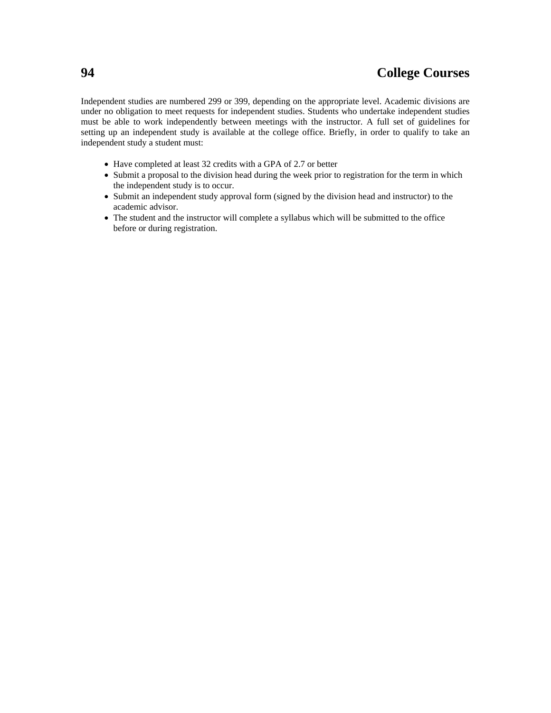Independent studies are numbered 299 or 399, depending on the appropriate level. Academic divisions are under no obligation to meet requests for independent studies. Students who undertake independent studies must be able to work independently between meetings with the instructor. A full set of guidelines for setting up an independent study is available at the college office. Briefly, in order to qualify to take an independent study a student must:

- Have completed at least 32 credits with a GPA of 2.7 or better
- Submit a proposal to the division head during the week prior to registration for the term in which the independent study is to occur.
- Submit an independent study approval form (signed by the division head and instructor) to the academic advisor.
- The student and the instructor will complete a syllabus which will be submitted to the office before or during registration.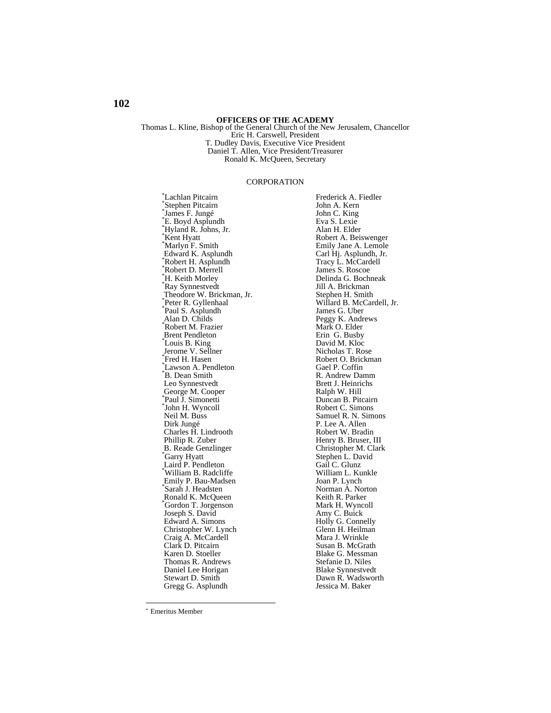**OFFICERS OF THE ACADEMY** Thomas L. Kline, Bishop of the General Church of the New Jerusalem, Chancellor Eric H. Carswell, President T. Dudley Davis, Executive Vice President Daniel T. Allen, Vice President/Treasurer Ronald K. McQueen, Secretary

#### CORPORATION

 Lachlan Pitcairn \* Stephen Pitcairn \* James F. Jungé \* E. Boyd Asplundh \* Hyland R. Johns, Jr. \* Kent Hyatt \* Marlyn F. Smith Edward K. Asplundh \* Robert H. Asplundh \* Robert D. Merrell \* H. Keith Morley \* Ray Synnestvedt Theodore W. Brickman, Jr. \* Peter R. Gyllenhaal \* Paul S. Asplundh Alan D. Childs \* Robert M. Frazier Brent Pendleton \* Louis B. King Jerome V. Sellner \* Fred H. Hasen \* Lawson A. Pendleton \* B. Dean Smith Leo Synnestvedt George M. Cooper \* Paul J. Simonetti \* John H. Wyncoll Neil M. Buss Dirk Jungé Charles H. Lindrooth Phillip R. Zuber B. Reade Genzlinger \* Garry Hyatt Laird P. Pendleton \* William B. Radcliffe Emily P. Bau-Madsen \* Sarah J. Headsten Ronald K. McQueen \*Gordon T. Jorgenson Joseph S. David Edward A. Simons Christopher W. Lynch Craig A. McCardell Clark D. Pitcairn Karen D. Stoeller Thomas R. Andrews Daniel Lee Horigan Stewart D. Smith Gregg G. Asplundh

Frederick A. Fiedler John A. Kern John C. King Eva S. Lexie Alan H. Elder Robert A. Beiswenger Emily Jane A. Lemole Carl Hj. Asplundh, Jr. Tracy L. McCardell James S. Roscoe Delinda G. Bochneak Jill A. Brickman Stephen H. Smith Willard B. McCardell, Jr. James G. Uber Peggy K. Andrews Mark O. Elder Erin G. Busby David M. Kloc Nicholas T. Rose Robert O. Brickman Gael P. Coffin R. Andrew Damm Brett J. Heinrichs Ralph W. Hill Duncan B. Pitcairn Robert C. Simons Samuel R. N. Simons P. Lee A. Allen Robert W. Bradin Henry B. Bruser, III Christopher M. Clark Stephen L. David Gail C. Glunz William L. Kunkle Joan P. Lynch Norman A. Norton Keith R. Parker Mark H. Wyncoll Amy C. Buick Holly G. Connelly Glenn H. Heilman Mara J. Wrinkle Susan B. McGrath Blake G. Messman Stefanie D. Niles Blake Synnestvedt Dawn R. Wadsworth Jessica M. Baker

l

Emeritus Member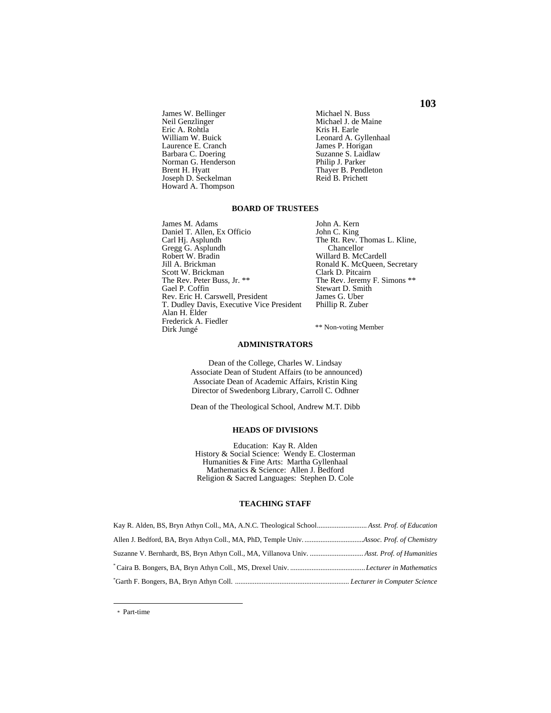James W. Bellinger Neil Genzlinger Eric A. Rohtla William W. Buick Laurence E. Cranch Barbara C. Doering Norman G. Henderson Brent H. Hyatt Joseph D. Seckelman Howard A. Thompson

Michael N. Buss Michael J. de Maine Kris H. Earle Leonard A. Gyllenhaal James P. Horigan Suzanne S. Laidlaw Philip J. Parker Thayer B. Pendleton Reid B. Prichett

#### **BOARD OF TRUSTEES**

James M. Adams Daniel T. Allen, Ex Officio Carl Hj. Asplundh Gregg G. Asplundh Robert W. Bradin Jill A. Brickman Scott W. Brickman The Rev. Peter Buss, Jr. \*\* Gael P. Coffin Rev. Eric H. Carswell, President T. Dudley Davis, Executive Vice President Alan H. Elder Frederick A. Fiedler Dirk Jungé

 John A. Kern John C. King The Rt. Rev. Thomas L. Kline, Chancellor Willard B. McCardell Ronald K. McQueen, Secretary Clark D. Pitcairn The Rev. Jeremy F. Simons \*\* Stewart D. Smith James G. Uber Phillip R. Zuber

\*\* Non-voting Member

#### **ADMINISTRATORS**

Dean of the College, Charles W. Lindsay Associate Dean of Student Affairs (to be announced) Associate Dean of Academic Affairs, Kristin King Director of Swedenborg Library, Carroll C. Odhner

Dean of the Theological School, Andrew M.T. Dibb

#### **HEADS OF DIVISIONS**

Education: Kay R. Alden History & Social Science: Wendy E. Closterman Humanities & Fine Arts: Martha Gyllenhaal Mathematics & Science: Allen J. Bedford Religion & Sacred Languages: Stephen D. Cole

#### **TEACHING STAFF**

**103** 

\* Part-time

l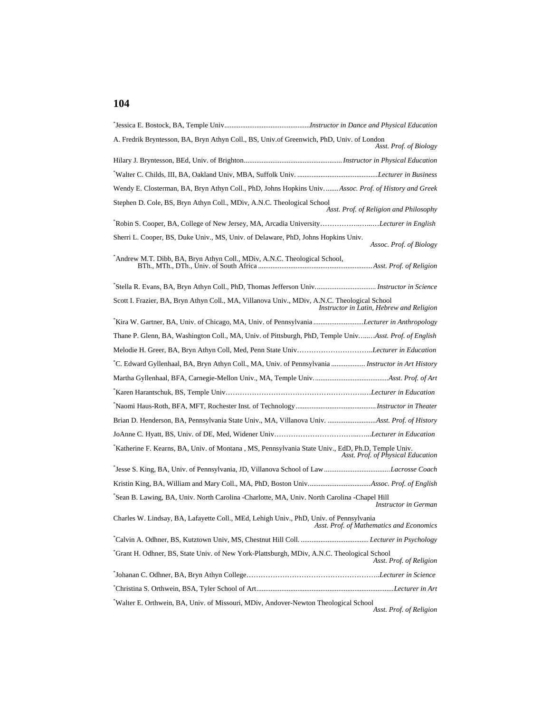## **104**

| A. Fredrik Bryntesson, BA, Bryn Athyn Coll., BS, Univ.of Greenwich, PhD, Univ. of London<br>Asst. Prof. of Biology                       |
|------------------------------------------------------------------------------------------------------------------------------------------|
|                                                                                                                                          |
|                                                                                                                                          |
| Wendy E. Closterman, BA, Bryn Athyn Coll., PhD, Johns Hopkins Univ Assoc. Prof. of History and Greek                                     |
| Stephen D. Cole, BS, Bryn Athyn Coll., MDiv, A.N.C. Theological School<br>Asst. Prof. of Religion and Philosophy                         |
| Robin S. Cooper, BA, College of New Jersey, MA, Arcadia UniversityLecturer in English                                                    |
| Sherri L. Cooper, BS, Duke Univ., MS, Univ. of Delaware, PhD, Johns Hopkins Univ.<br>Assoc. Prof. of Biology                             |
|                                                                                                                                          |
| "Stella R. Evans, BA, Bryn Athyn Coll., PhD, Thomas Jefferson Univ Instructor in Science                                                 |
| Scott I. Frazier, BA, Bryn Athyn Coll., MA, Villanova Univ., MDiv, A.N.C. Theological School<br>Instructor in Latin, Hebrew and Religion |
| Kira W. Gartner, BA, Univ. of Chicago, MA, Univ. of Pennsylvania <i>Lecturer in Anthropology</i>                                         |
| Thane P. Glenn, BA, Washington Coll., MA, Univ. of Pittsburgh, PhD, Temple UnivAsst. Prof. of English                                    |
| Melodie H. Greer, BA, Bryn Athyn Coll, Med, Penn State UnivLecturer in Education                                                         |
| *C. Edward Gyllenhaal, BA, Bryn Athyn Coll., MA, Univ. of Pennsylvania  Instructor in Art History                                        |
|                                                                                                                                          |
|                                                                                                                                          |
|                                                                                                                                          |
|                                                                                                                                          |
|                                                                                                                                          |
| Katherine F. Kearns, BA, Univ. of Montana, MS, Pennsylvania State Univ., EdD, Ph.D, Temple Univ.<br>Asst. Prof. of Physical Education    |
| *Jesse S. King, BA, Univ. of Pennsylvania, JD, Villanova School of LawLacrosse Coach                                                     |
|                                                                                                                                          |
| Sean B. Lawing, BA, Univ. North Carolina -Charlotte, MA, Univ. North Carolina -Chapel Hill<br>Instructor in German                       |
| Charles W. Lindsay, BA, Lafayette Coll., MEd, Lehigh Univ., PhD, Univ. of Pennsylvania<br>Asst. Prof. of Mathematics and Economics       |
|                                                                                                                                          |
| Grant H. Odhner, BS, State Univ. of New York-Plattsburgh, MDiv, A.N.C. Theological School<br>Asst. Prof. of Religion                     |
|                                                                                                                                          |
|                                                                                                                                          |
| Walter E. Orthwein, BA, Univ. of Missouri, MDiv, Andover-Newton Theological School<br>Asst. Prof. of Religion                            |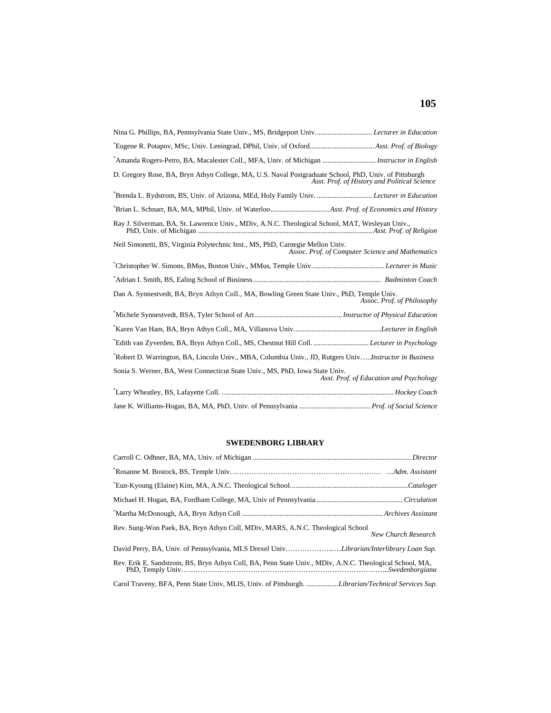| Amanda Rogers-Petro, BA, Macalester Coll., MFA, Univ. of Michigan  Instructor in English                                                              |
|-------------------------------------------------------------------------------------------------------------------------------------------------------|
| D. Gregory Rose, BA, Bryn Athyn College, MA, U.S. Naval Postgraduate School, PhD, Univ. of Pittsburgh<br>Asst. Prof. of History and Political Science |
| "Brenda L. Rydstrom, BS, Univ. of Arizona, MEd, Holy Family Univ.  Lecturer in Education                                                              |
|                                                                                                                                                       |
| Ray J. Silverman, BA, St. Lawrence Univ., MDiv, A.N.C. Theological School, MAT, Wesleyan Univ.,                                                       |
| Neil Simonetti, BS, Virginia Polytechnic Inst., MS, PhD, Carnegie Mellon Univ.<br>Assoc. Prof. of Computer Science and Mathematics                    |
|                                                                                                                                                       |
|                                                                                                                                                       |
| Dan A. Synnestvedt, BA, Bryn Athyn Coll., MA, Bowling Green State Univ., PhD, Temple Univ.<br>Assoc. Prof. of Philosophy                              |
|                                                                                                                                                       |
|                                                                                                                                                       |
|                                                                                                                                                       |
| Robert D. Warrington, BA, Lincoln Univ., MBA, Columbia Univ., JD, Rutgers Univ <i>Instructor in Business</i>                                          |
| Sonia S. Werner, BA, West Connecticut State Univ., MS, PhD, Iowa State Univ.<br>Asst. Prof. of Education and Psychology                               |
|                                                                                                                                                       |
|                                                                                                                                                       |

#### **SWEDENBORG LIBRARY**

| Rev. Sung-Won Paek, BA, Bryn Athyn Coll, MDiv, MARS, A.N.C. Theological School<br>New Church Research<br>David Perry, BA, Univ. of Pennsylvania, MLS Drexel UnivLibrarian/Interlibrary Loan Sup.<br>Rev. Erik E. Sandstrom, B.S. Bryn Athyn Coll, BA, Penn State Univ., MDiv, A.N.C. Theological School, MA,<br>Carol Traveny, BFA, Penn State Univ, MLIS, Univ. of Pittsburgh. Librarian/Technical Services Sup. |  |
|-------------------------------------------------------------------------------------------------------------------------------------------------------------------------------------------------------------------------------------------------------------------------------------------------------------------------------------------------------------------------------------------------------------------|--|
|                                                                                                                                                                                                                                                                                                                                                                                                                   |  |
|                                                                                                                                                                                                                                                                                                                                                                                                                   |  |
|                                                                                                                                                                                                                                                                                                                                                                                                                   |  |
|                                                                                                                                                                                                                                                                                                                                                                                                                   |  |
|                                                                                                                                                                                                                                                                                                                                                                                                                   |  |
|                                                                                                                                                                                                                                                                                                                                                                                                                   |  |
|                                                                                                                                                                                                                                                                                                                                                                                                                   |  |
|                                                                                                                                                                                                                                                                                                                                                                                                                   |  |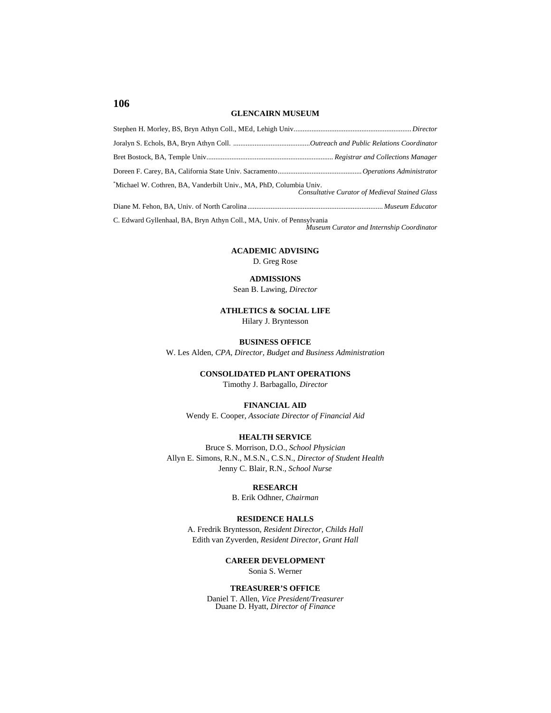#### **GLENCAIRN MUSEUM**

| "Michael W. Cothren, BA, Vanderbilt Univ., MA, PhD, Columbia Univ.    | <b>Consultative Curator of Medieval Stained Glass</b> |
|-----------------------------------------------------------------------|-------------------------------------------------------|
|                                                                       |                                                       |
| C. Edward Gyllenhaal, BA, Bryn Athyn Coll., MA, Univ. of Pennsylvania | Museum Curator and Internship Coordinator             |

#### **ACADEMIC ADVISING**

D. Greg Rose

#### **ADMISSIONS**

Sean B. Lawing, *Director* 

#### **ATHLETICS & SOCIAL LIFE** Hilary J. Bryntesson

#### **BUSINESS OFFICE**

W. Les Alden, *CPA, Director, Budget and Business Administration*

#### **CONSOLIDATED PLANT OPERATIONS**

Timothy J. Barbagallo, *Director*

#### **FINANCIAL AID**

Wendy E. Cooper, *Associate Director of Financial Aid* 

#### **HEALTH SERVICE**

Bruce S. Morrison, D.O., *School Physician* Allyn E. Simons, R.N., M.S.N., C.S.N., *Director of Student Health*  Jenny C. Blair, R.N., *School Nurse* 

#### **RESEARCH**

B. Erik Odhner, *Chairman* 

#### **RESIDENCE HALLS**

A. Fredrik Bryntesson, *Resident Director, Childs Hall* Edith van Zyverden, *Resident Director, Grant Hall*

## **CAREER DEVELOPMENT**

Sonia S. Werner

#### **TREASURER'S OFFICE**

Daniel T. Allen, *Vice President/Treasurer* Duane D. Hyatt, *Director of Finance*

#### **106**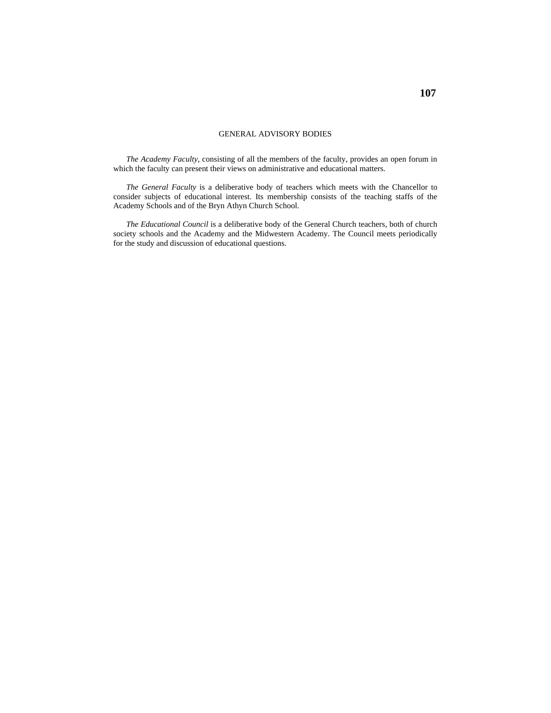#### GENERAL ADVISORY BODIES

*The Academy Faculty*, consisting of all the members of the faculty, provides an open forum in which the faculty can present their views on administrative and educational matters.

*The General Faculty* is a deliberative body of teachers which meets with the Chancellor to consider subjects of educational interest. Its membership consists of the teaching staffs of the Academy Schools and of the Bryn Athyn Church School.

*The Educational Council* is a deliberative body of the General Church teachers, both of church society schools and the Academy and the Midwestern Academy. The Council meets periodically for the study and discussion of educational questions.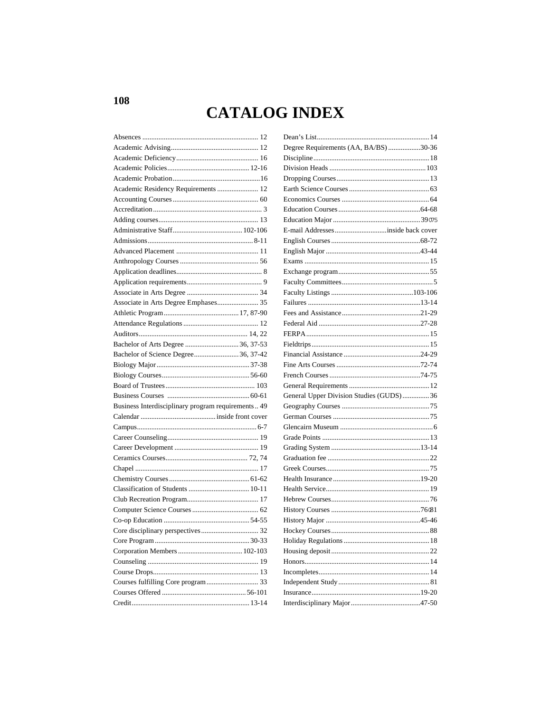# **CATALOG INDEX**

| Academic Residency Requirements  12                |  |
|----------------------------------------------------|--|
|                                                    |  |
|                                                    |  |
|                                                    |  |
|                                                    |  |
|                                                    |  |
|                                                    |  |
|                                                    |  |
|                                                    |  |
|                                                    |  |
|                                                    |  |
| Associate in Arts Degree Emphases 35               |  |
|                                                    |  |
|                                                    |  |
|                                                    |  |
|                                                    |  |
| Bachelor of Science Degree 36, 37-42               |  |
|                                                    |  |
|                                                    |  |
|                                                    |  |
|                                                    |  |
| Business Interdisciplinary program requirements 49 |  |
|                                                    |  |
|                                                    |  |
|                                                    |  |
|                                                    |  |
|                                                    |  |
|                                                    |  |
|                                                    |  |
|                                                    |  |
|                                                    |  |
|                                                    |  |
|                                                    |  |
|                                                    |  |
|                                                    |  |
|                                                    |  |
|                                                    |  |
|                                                    |  |
|                                                    |  |
|                                                    |  |
|                                                    |  |
|                                                    |  |

| Degree Requirements (AA, BA/BS)30-36    |  |
|-----------------------------------------|--|
|                                         |  |
|                                         |  |
|                                         |  |
|                                         |  |
|                                         |  |
|                                         |  |
|                                         |  |
|                                         |  |
|                                         |  |
|                                         |  |
|                                         |  |
|                                         |  |
|                                         |  |
|                                         |  |
|                                         |  |
|                                         |  |
|                                         |  |
|                                         |  |
|                                         |  |
|                                         |  |
|                                         |  |
|                                         |  |
|                                         |  |
| General Upper Division Studies (GUDS)36 |  |
|                                         |  |
|                                         |  |
|                                         |  |
|                                         |  |
|                                         |  |
|                                         |  |
|                                         |  |
|                                         |  |
|                                         |  |
|                                         |  |
|                                         |  |
|                                         |  |
|                                         |  |
|                                         |  |
|                                         |  |
|                                         |  |
|                                         |  |
|                                         |  |
|                                         |  |
|                                         |  |
|                                         |  |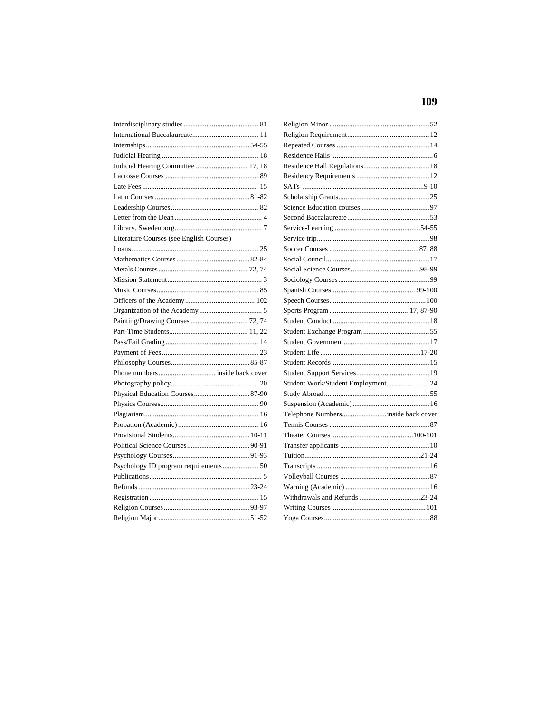| Judicial Hearing Committee  17, 18       |  |
|------------------------------------------|--|
|                                          |  |
|                                          |  |
|                                          |  |
|                                          |  |
|                                          |  |
|                                          |  |
| Literature Courses (see English Courses) |  |
|                                          |  |
|                                          |  |
|                                          |  |
|                                          |  |
|                                          |  |
|                                          |  |
|                                          |  |
| Painting/Drawing Courses  72, 74         |  |
|                                          |  |
|                                          |  |
|                                          |  |
|                                          |  |
|                                          |  |
|                                          |  |
|                                          |  |
|                                          |  |
|                                          |  |
|                                          |  |
|                                          |  |
|                                          |  |
|                                          |  |
|                                          |  |
|                                          |  |
|                                          |  |
|                                          |  |
|                                          |  |
|                                          |  |
|                                          |  |

| Student Work/Student Employment 24 |
|------------------------------------|
|                                    |
|                                    |
| Telephone Numbersinside back cover |
|                                    |
|                                    |
|                                    |
|                                    |
|                                    |
|                                    |
|                                    |
|                                    |
|                                    |
|                                    |
|                                    |